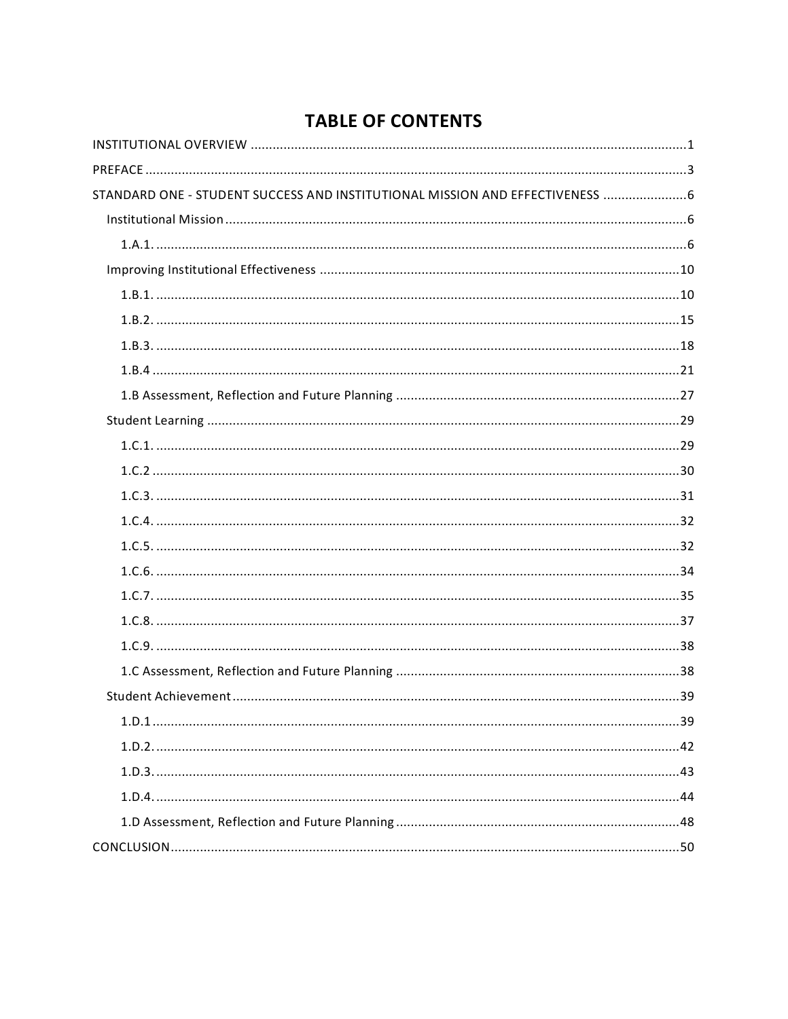# **TABLE OF CONTENTS**

| STANDARD ONE - STUDENT SUCCESS AND INSTITUTIONAL MISSION AND EFFECTIVENESS  6 |  |
|-------------------------------------------------------------------------------|--|
|                                                                               |  |
|                                                                               |  |
|                                                                               |  |
|                                                                               |  |
|                                                                               |  |
|                                                                               |  |
|                                                                               |  |
|                                                                               |  |
|                                                                               |  |
|                                                                               |  |
|                                                                               |  |
|                                                                               |  |
|                                                                               |  |
|                                                                               |  |
|                                                                               |  |
|                                                                               |  |
|                                                                               |  |
|                                                                               |  |
|                                                                               |  |
|                                                                               |  |
|                                                                               |  |
|                                                                               |  |
|                                                                               |  |
|                                                                               |  |
|                                                                               |  |
|                                                                               |  |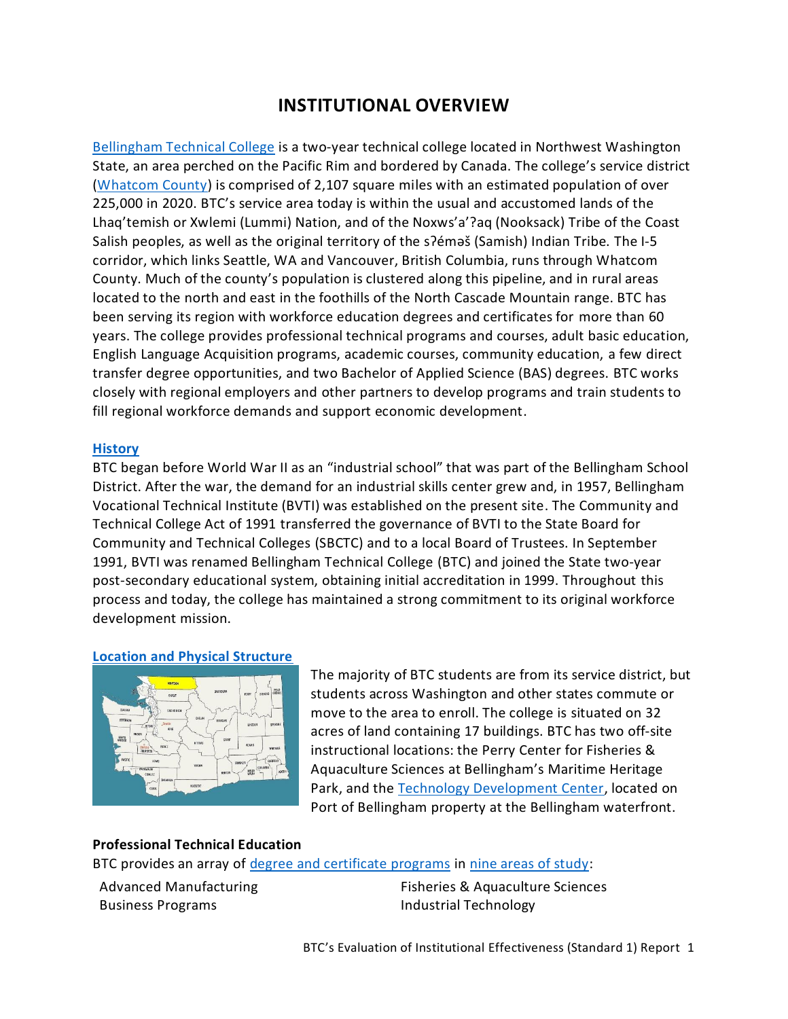# **INSTITUTIONAL OVERVIEW**

<span id="page-2-0"></span>[Bellingham Technical College](https://www.btc.edu/) is a two-year technical college located in Northwest Washington State, an area perched on the Pacific Rim and bordered by Canada. The college's service district [\(Whatcom County\)](https://www.whatcomcounty.us/) is comprised of 2,107 square miles with an estimated population of over 225,000 in 2020. BTC's service area today is within the usual and accustomed lands of the Lhaq'temish or Xwlemi (Lummi) Nation, and of the Noxws'a'?aq (Nooksack) Tribe of the Coast Salish peoples, as well as the original territory of the s?emes (Samish) Indian Tribe. The I-5 corridor, which links Seattle, WA and Vancouver, British Columbia, runs through Whatcom County. Much of the county's population is clustered along this pipeline, and in rural areas located to the north and east in the foothills of the North Cascade Mountain range. BTC has been serving its region with workforce education degrees and certificates for more than 60 years. The college provides professional technical programs and courses, adult basic education, English Language Acquisition programs, academic courses, community education, a few direct transfer degree opportunities, and two Bachelor of Applied Science (BAS) degrees. BTC works closely with regional employers and other partners to develop programs and train students to fill regional workforce demands and support economic development.

#### **[History](https://www.btc.edu/AboutBTC/BTCFacts.html)**

BTC began before World War II as an "industrial school" that was part of the Bellingham School District. After the war, the demand for an industrial skills center grew and, in 1957, Bellingham Vocational Technical Institute (BVTI) was established on the present site. The Community and Technical College Act of 1991 transferred the governance of BVTI to the State Board for Community and Technical Colleges (SBCTC) and to a local Board of Trustees. In September 1991, BVTI was renamed Bellingham Technical College (BTC) and joined the State two-year post-secondary educational system, obtaining initial accreditation in 1999. Throughout this process and today, the college has maintained a strong commitment to its original workforce development mission.

#### **[Location and Physical Structure](https://www.btc.edu/AboutBTC/HowtoFindUs.html)**



The majority of BTC students are from its service district, but students across Washington and other states commute or move to the area to enroll. The college is situated on 32 acres of land containing 17 buildings. BTC has two off-site instructional locations: the Perry Center for Fisheries & Aquaculture Sciences at Bellingham's Maritime Heritage Park, and the [Technology Development Center,](https://www.portofbellingham.com/544/Innovation-Zone#:~:text=The%20Innovation%20Zone%20includes%20the,the%20help%20of%20Bellingham%20Technical) located on Port of Bellingham property at the Bellingham waterfront.

#### **Professional Technical Education**

BTC provides an array o[f degree and certificate programs](https://www.btc.edu/Academics/DegreesAndCertificates/index.html) i[n nine areas of study:](https://www.btc.edu/Academics/AreasofStudy/index.html)

Advanced Manufacturing Business Programs

Fisheries & Aquaculture Sciences Industrial Technology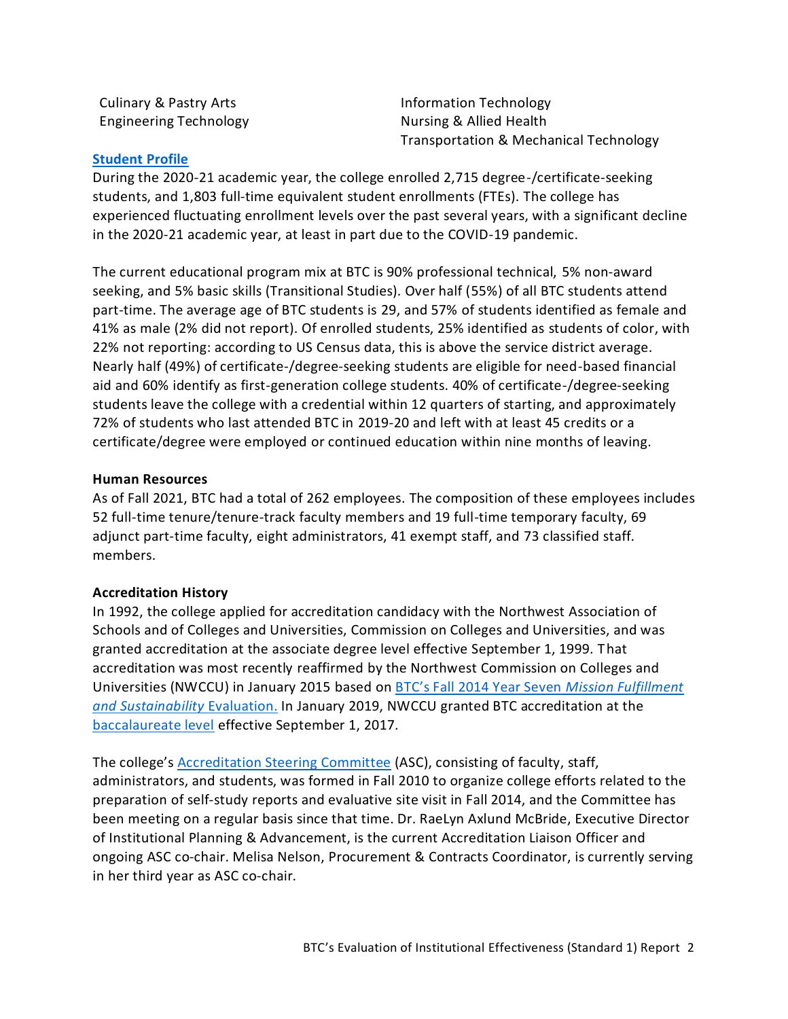Culinary & Pastry Arts Engineering Technology Information Technology Nursing & Allied Health Transportation & Mechanical Technology

#### **[Student Profile](https://www.btc.edu/AboutBTC/BTCFacts.html#StudentProfile)**

During the 2020-21 academic year, the college enrolled 2,715 degree-/certificate-seeking students, and 1,803 full-time equivalent student enrollments (FTEs). The college has experienced fluctuating enrollment levels over the past several years, with a significant decline in the 2020-21 academic year, at least in part due to the COVID-19 pandemic.

The current educational program mix at BTC is 90% professional technical, 5% non-award seeking, and 5% basic skills (Transitional Studies). Over half (55%) of all BTC students attend part-time. The average age of BTC students is 29, and 57% of students identified as female and 41% as male (2% did not report). Of enrolled students, 25% identified as students of color, with 22% not reporting: according to US Census data, this is above the service district average. Nearly half (49%) of certificate-/degree-seeking students are eligible for need-based financial aid and 60% identify as first-generation college students. 40% of certificate-/degree-seeking students leave the college with a credential within 12 quarters of starting, and approximately 72% of students who last attended BTC in 2019-20 and left with at least 45 credits or a certificate/degree were employed or continued education within nine months of leaving.

#### **Human Resources**

As of Fall 2021, BTC had a total of 262 employees. The composition of these employees includes 52 full-time tenure/tenure-track faculty members and 19 full-time temporary faculty, 69 adjunct part-time faculty, eight administrators, 41 exempt staff, and 73 classified staff. members.

#### **Accreditation History**

In 1992, the college applied for accreditation candidacy with the Northwest Association of Schools and of Colleges and Universities, Commission on Colleges and Universities, and was granted accreditation at the associate degree level effective September 1, 1999. That accreditation was most recently [reaffirmed](https://www.btc.edu/files/Documents/Publications/Reports/IPA/Accreditation_Reaffirmation_Letter_Jan2015.pdf) by the Northwest Commission on Colleges and Universities (NWCCU) in January 2015 based on [BTC's Fall 2014 Year Seven](https://www.btc.edu/files/Documents/Publications/Reports/IPA/BTCAccreditationReport.pdf) *Mission Fulfillment [and Sustainability](https://www.btc.edu/files/Documents/Publications/Reports/IPA/BTCAccreditationReport.pdf)* Evaluation. In January 2019, NWCCU granted BTC accreditation at the [baccalaureate level](https://www.btc.edu/files/Documents/Publications/Reports/IPA/BASapproval-letter.pdf) effective September 1, 2017.

The college's [Accreditation Steering Committee](https://nwccu.box.com/s/uixeeojgupr7nd1d27v1iwgftq81eke9) (ASC), consisting of faculty, staff, administrators, and students, was formed in Fall 2010 to organize college efforts related to the preparation of self-study reports and evaluative site visit in Fall 2014, and the Committee has been meeting on a regular basis since that time. Dr. RaeLyn Axlund McBride, Executive Director of Institutional Planning & Advancement, is the current Accreditation Liaison Officer and ongoing ASC co-chair. Melisa Nelson, Procurement & Contracts Coordinator, is currently serving in her third year as ASC co-chair.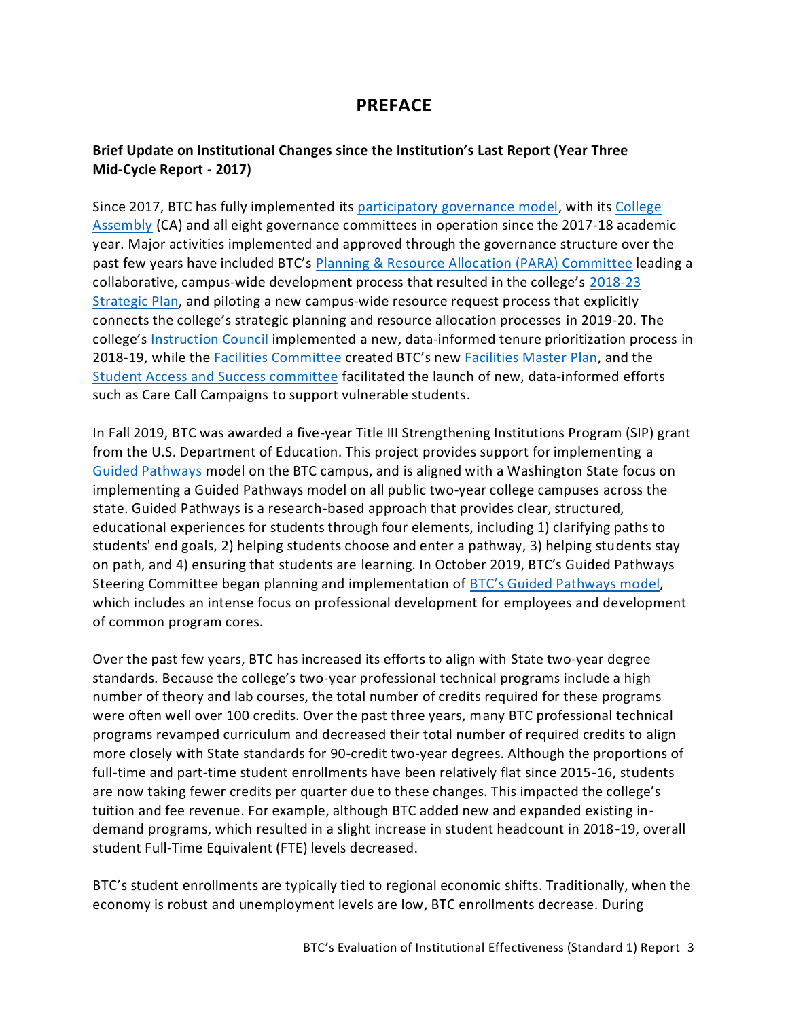# **PREFACE**

## <span id="page-4-0"></span>**Brief Update on Institutional Changes since the Institution's Last Report (Year Three Mid-Cycle Report - 2017)**

Since 2017, BTC has fully implemented it[s participatory governance model,](https://nwccu.box.com/s/7ymv9jrya4c93mccaa5fj8zq6nfbsvqu) with its [College](https://nwccu.box.com/s/xqdtznc74moap2ljy5jmxjcrmrazih81)  [Assembly](https://nwccu.box.com/s/xqdtznc74moap2ljy5jmxjcrmrazih81) (CA) and all eight governance committees in operation since the 2017-18 academic year. Major activities implemented and approved through the governance structure over the past few years have included BTC's [Planning & Resource Allocation \(PARA\) Committee](https://nwccu.box.com/s/ftmi1cp798lj0z5deq394646q7z50tec) leading a collaborative, campus-wide development process that resulted in the college's [2018-23](https://www.btc.edu/AboutBTC/ReportsandPolicies/InstitutionalEffectiveness.html)  [Strategic Plan,](https://www.btc.edu/AboutBTC/ReportsandPolicies/InstitutionalEffectiveness.html) and piloting a new campus-wide resource request process that explicitly connects the college's strategic planning and resource allocation processes in 2019-20. The college's [Instruction Council](https://nwccu.box.com/s/ntmljr9nr7jdcttfr5jnajo9yjg65hk6) implemented a new, data-informed tenure prioritization process in 2018-19, while the [Facilities Committee](https://nwccu.box.com/s/72peg1ttfzadf2o4h0vi7gf343t78baj) created BTC's new [Facilities Master Plan,](https://nwccu.box.com/s/cu8hu9ixpa88rsa9thae4egt7bhaqh5m) and the [Student Access and Success committee](https://nwccu.box.com/s/sf2o8ttdazszlxc4u7ast2vgfc1gjiuv) facilitated the launch of new, data-informed efforts such as Care Call Campaigns to support vulnerable students.

In Fall 2019, BTC was awarded a five-year Title III Strengthening Institutions Program (SIP) grant from the U.S. Department of Education. This project provides support for implementing a [Guided Pathways](https://www.sbctc.edu/colleges-staff/programs-services/student-success-center/guided-pathways.aspx) model on the BTC campus, and is aligned with a Washington State focus on implementing a Guided Pathways model on all public two-year college campuses across the state. Guided Pathways is a research-based approach that provides clear, structured, educational experiences for students through four elements, including 1) clarifying paths to students' end goals, 2) helping students choose and enter a pathway, 3) helping students stay on path, and 4) ensuring that students are learning. In October 2019, BTC's Guided Pathways Steering Committee began planning and implementation of [BTC's Guided Pathways mo](https://nwccu.box.com/s/29zje421o3eb1y85igs15fhrgig3ne80)del, which includes an intense focus on professional development for employees and development of common program cores.

Over the past few years, BTC has increased its efforts to align with State two-year degree standards. Because the college's two-year professional technical programs include a high number of theory and lab courses, the total number of credits required for these programs were often well over 100 credits. Over the past three years, many BTC professional technical programs revamped curriculum and decreased their total number of required credits to align more closely with State standards for 90-credit two-year degrees. Although the proportions of full-time and part-time student enrollments have been relatively flat since 2015-16, students are now taking fewer credits per quarter due to these changes. This impacted the college's tuition and fee revenue. For example, although BTC added new and expanded existing indemand programs, which resulted in a slight increase in student headcount in 2018-19, overall student Full-Time Equivalent (FTE) levels decreased.

BTC's student enrollments are typically tied to regional economic shifts. Traditionally, when the economy is robust and unemployment levels are low, BTC enrollments decrease. During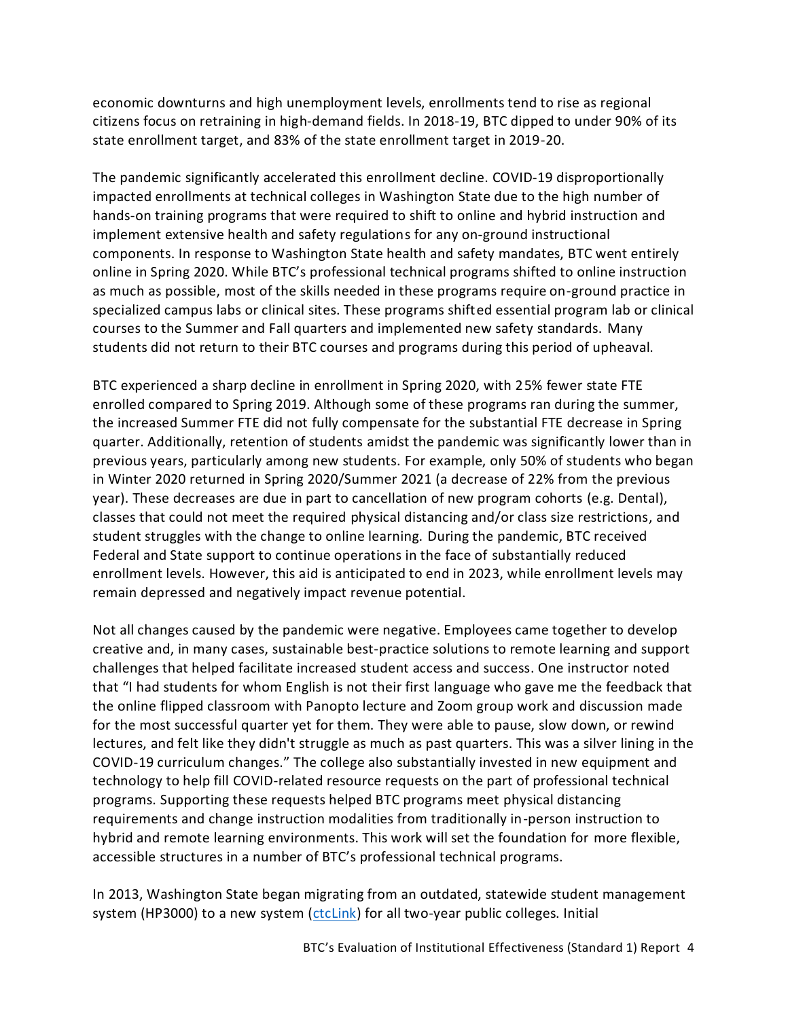economic downturns and high unemployment levels, enrollments tend to rise as regional citizens focus on retraining in high-demand fields. In 2018-19, BTC dipped to under 90% of its state enrollment target, and 83% of the state enrollment target in 2019-20.

The pandemic significantly accelerated this enrollment decline. COVID-19 disproportionally impacted enrollments at technical colleges in Washington State due to the high number of hands-on training programs that were required to shift to online and hybrid instruction and implement extensive health and safety regulations for any on-ground instructional components. In response to Washington State health and safety mandates, BTC went entirely online in Spring 2020. While BTC's professional technical programs shifted to online instruction as much as possible, most of the skills needed in these programs require on-ground practice in specialized campus labs or clinical sites. These programs shifted essential program lab or clinical courses to the Summer and Fall quarters and implemented new safety standards. Many students did not return to their BTC courses and programs during this period of upheaval.

BTC experienced a sharp decline in enrollment in Spring 2020, with 25% fewer state FTE enrolled compared to Spring 2019. Although some of these programs ran during the summer, the increased Summer FTE did not fully compensate for the substantial FTE decrease in Spring quarter. Additionally, retention of students amidst the pandemic was significantly lower than in previous years, particularly among new students. For example, only 50% of students who began in Winter 2020 returned in Spring 2020/Summer 2021 (a decrease of 22% from the previous year). These decreases are due in part to cancellation of new program cohorts (e.g. Dental), classes that could not meet the required physical distancing and/or class size restrictions, and student struggles with the change to online learning. During the pandemic, BTC received Federal and State support to continue operations in the face of substantially reduced enrollment levels. However, this aid is anticipated to end in 2023, while enrollment levels may remain depressed and negatively impact revenue potential.

Not all changes caused by the pandemic were negative. Employees came together to develop creative and, in many cases, sustainable best-practice solutions to remote learning and support challenges that helped facilitate increased student access and success. One instructor noted that "I had students for whom English is not their first language who gave me the feedback that the online flipped classroom with Panopto lecture and Zoom group work and discussion made for the most successful quarter yet for them. They were able to pause, slow down, or rewind lectures, and felt like they didn't struggle as much as past quarters. This was a silver lining in the COVID-19 curriculum changes." The college also substantially invested in new equipment and technology to help fill COVID-related resource requests on the part of professional technical programs. Supporting these requests helped BTC programs meet physical distancing requirements and change instruction modalities from traditionally in-person instruction to hybrid and remote learning environments. This work will set the foundation for more flexible, accessible structures in a number of BTC's professional technical programs.

In 2013, Washington State began migrating from an outdated, statewide student management system (HP3000) to a new system [\(ctcLink\)](https://www.sbctc.edu/colleges-staff/it-support/ctclink/) for all two-year public colleges. Initial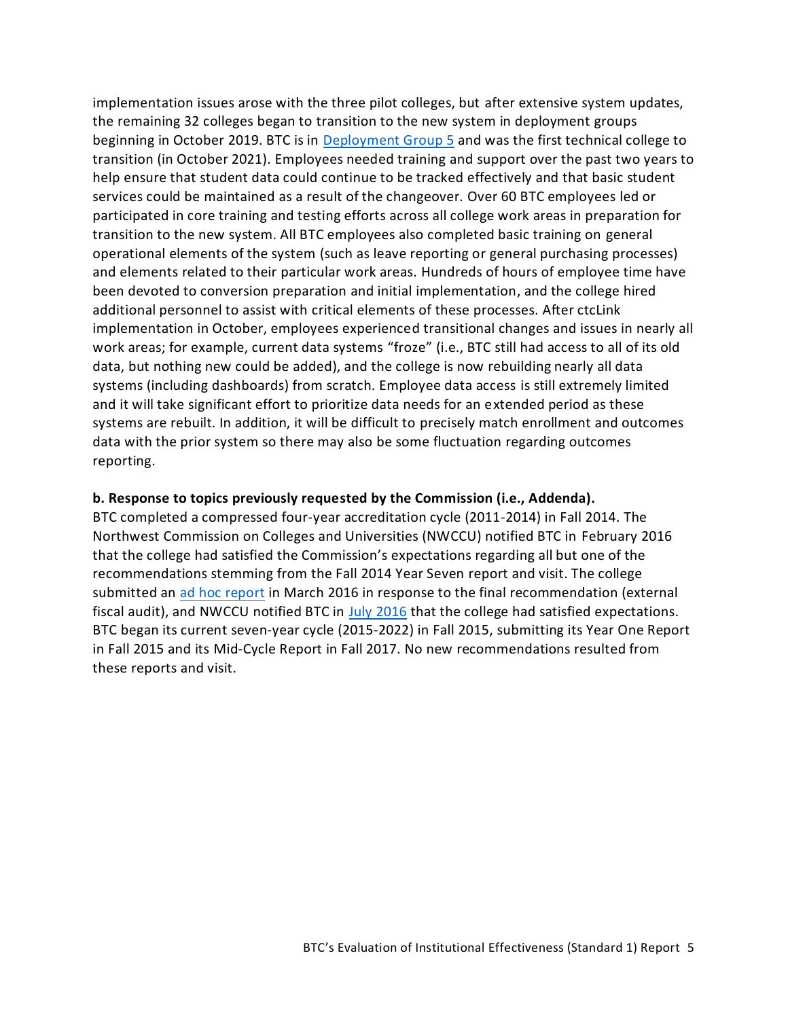implementation issues arose with the three pilot colleges, but after extensive system updates, the remaining 32 colleges began to transition to the new system in deployment groups beginning in October 2019. BTC is in [Deployment Group 5](https://www.sbctc.edu/colleges-staff/it-support/ctclink/deployment-groups.aspx) and was the first technical college to transition (in October 2021). Employees needed training and support over the past two years to help ensure that student data could continue to be tracked effectively and that basic student services could be maintained as a result of the changeover. Over 60 BTC employees led or participated in core training and testing efforts across all college work areas in preparation for transition to the new system. All BTC employees also completed basic training on general operational elements of the system (such as leave reporting or general purchasing processes) and elements related to their particular work areas. Hundreds of hours of employee time have been devoted to conversion preparation and initial implementation, and the college hired additional personnel to assist with critical elements of these processes. After ctcLink implementation in October, employees experienced transitional changes and issues in nearly all work areas; for example, current data systems "froze" (i.e., BTC still had access to all of its old data, but nothing new could be added), and the college is now rebuilding nearly all data systems (including dashboards) from scratch. Employee data access is still extremely limited and it will take significant effort to prioritize data needs for an extended period as these systems are rebuilt. In addition, it will be difficult to precisely match enrollment and outcomes data with the prior system so there may also be some fluctuation regarding outcomes reporting.

#### **b. Response to topics previously requested by the Commission (i.e., Addenda).**

<span id="page-6-0"></span>BTC completed a compressed four-year accreditation cycle (2011-2014) in Fall 2014. The Northwest Commission on Colleges and Universities (NWCCU) notified BTC in [February 2016](https://www.btc.edu/files/Documents/Publications/Reports/IPA/Accreditation_Reaffirmation_Letter_Feb2016.pdf) that the college had satisfied the Commission's expectations regarding all but one of the recommendations stemming from th[e Fall 2014 Year Seven](https://www.btc.edu/files/Documents/Publications/Reports/IPA/BTCAccreditationReport.pdf) report and visit. The college submitted an [ad hoc report](https://nwccu.box.com/s/wlm3sm0ntij8nq2rzsriuy4v6iie50t2) in March 2016 in response to the final recommendation (external fiscal audit), and NWCCU notified BTC in [July 2016](https://nwccu.box.com/s/jqjcalfa9gfi6yku7wmsq1in7w1gk2ri) that the college had satisfied expectations. BTC began its current seven-year cycle (2015-2022) in Fall 2015, submitting its [Year One Report](https://www.btc.edu/files/Documents/Publications/Reports/IPA/Year%201%20Self-Evaluation%20Report.pdf) in Fall 2015 and its [Mid-Cycle](https://www.btc.edu/files/Documents/Publications/Reports/IPA/Mid-Cycle_Self-Eval_Report_Sept.2017.pdf) Report in Fall 2017. No new recommendations resulted from these reports and visit.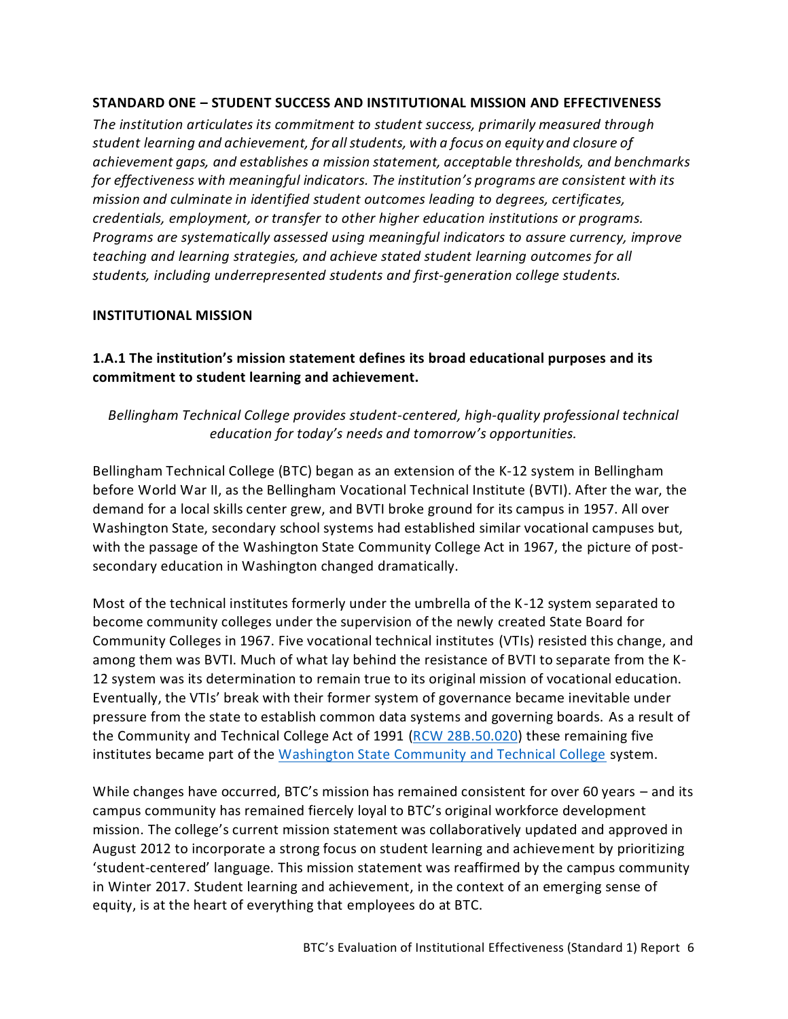### **STANDARD ONE – STUDENT SUCCESS AND INSTITUTIONAL MISSION AND EFFECTIVENESS**

*The institution articulates its commitment to student success, primarily measured through student learning and achievement, for all students, with a focus on equity and closure of achievement gaps, and establishes a mission statement, acceptable thresholds, and benchmarks for effectiveness with meaningful indicators. The institution's programs are consistent with its mission and culminate in identified student outcomes leading to degrees, certificates, credentials, employment, or transfer to other higher education institutions or programs. Programs are systematically assessed using meaningful indicators to assure currency, improve teaching and learning strategies, and achieve stated student learning outcomes for all students, including underrepresented students and first-generation college students.*

### <span id="page-7-0"></span>**INSTITUTIONAL MISSION**

<span id="page-7-1"></span>**1.A.1 The institution's mission statement defines its broad educational purposes and its commitment to student learning and achievement.** 

# *Bellingham Technical College provides student-centered, high-quality professional technical education for today's needs and tomorrow's opportunities.*

Bellingham Technical College (BTC) began as an extension of the K-12 system in Bellingham before World War II, as the Bellingham Vocational Technical Institute (BVTI). After the war, the demand for a local skills center grew, and BVTI broke ground for its campus in 1957. All over Washington State, secondary school systems had established similar vocational campuses but, with the passage of the Washington State Community College Act in 1967, the picture of postsecondary education in Washington changed dramatically.

Most of the technical institutes formerly under the umbrella of the K-12 system separated to become community colleges under the supervision of the newly created State Board for Community Colleges in 1967. Five vocational technical institutes (VTIs) resisted this change, and among them was BVTI. Much of what lay behind the resistance of BVTI to separate from the K-12 system was its determination to remain true to its original mission of vocational education. Eventually, the VTIs' break with their former system of governance became inevitable under pressure from the state to establish common data systems and governing boards. As a result of the Community and Technical College Act of 1991 [\(RCW 28B.50.020\)](https://app.leg.wa.gov/rcw/default.aspx?cite=28B.50.020) these remaining five institutes became part of the [Washington State Community and Technical College](https://www.sbctc.edu/) system.

While changes have occurred, BTC's mission has remained consistent for over 60 years – and its campus community has remained fiercely loyal to BTC's original workforce development mission. The college's current mission statement was collaboratively updated and approved in August 2012 to incorporate a strong focus on student learning and achievement by prioritizing 'student-centered' language. This mission statement was reaffirmed by the campus community in Winter 2017. Student learning and achievement, in the context of an emerging sense of equity, is at the heart of everything that employees do at BTC.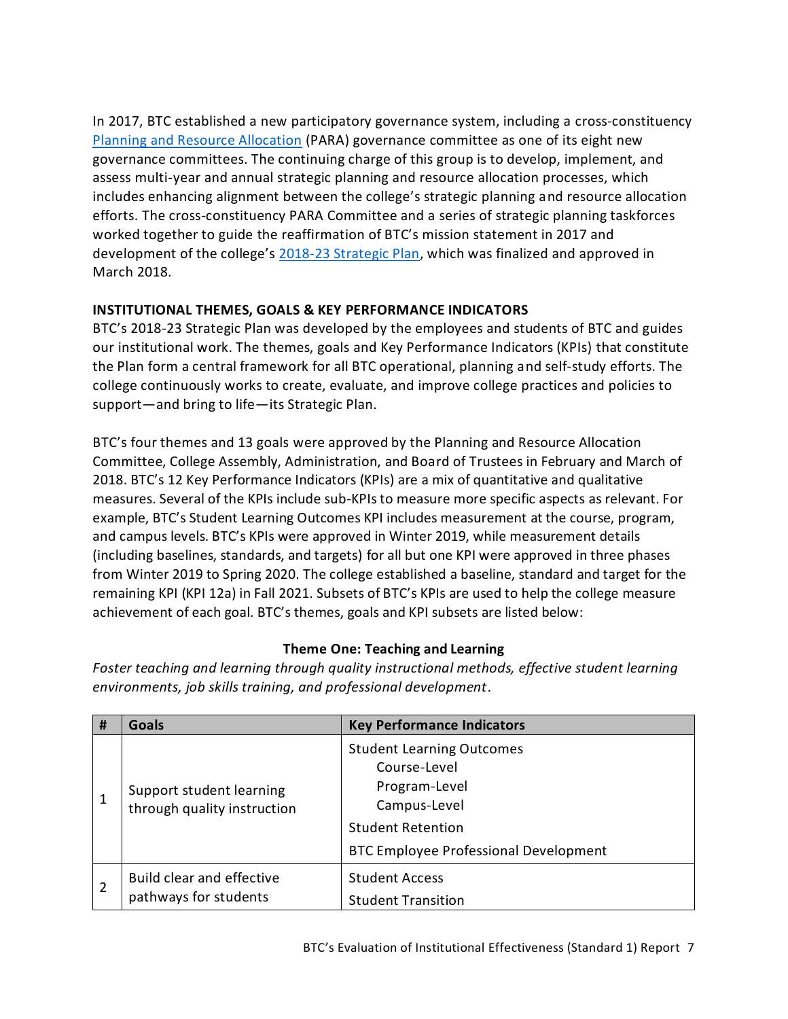In 2017, BTC established a new participatory governance system, including a cross-constituency [Planning and Resource Allocation](https://nwccu.box.com/s/ftmi1cp798lj0z5deq394646q7z50tec) (PARA) governance committee as one of its eight new governance committees. The continuing charge of this group is to develop, implement, and assess multi-year and annual strategic planning and resource allocation processes, which includes enhancing alignment between the college's strategic planning and resource allocation efforts. The cross-constituency PARA Committee and a series of strategic planning taskforces worked together to guide the reaffirmation of BTC's mission statement in 2017 and development of the college's [2018-23 Strategic Plan,](https://www.btc.edu/AboutBTC/ReportsandPolicies/InstitutionalEffectiveness.html) which was finalized and approved in March 2018.

# **INSTITUTIONAL THEMES, GOALS & KEY PERFORMANCE INDICATORS**

BTC's 2018-23 Strategic Plan was developed by the employees and students of BTC and guides our institutional work. The themes, goals and Key Performance Indicators (KPIs) that constitute the Plan form a central framework for all BTC operational, planning and self-study efforts. The college continuously works to create, evaluate, and improve college practices and policies to support—and bring to life—its Strategic Plan.

BTC's four themes and 13 goals were approved by the Planning and Resource Allocation Committee, College Assembly, Administration, and Board of Trustees in February and March of 2018. BTC's 12 Key Performance Indicators (KPIs) are a mix of quantitative and qualitative measures. Several of the KPIs include sub-KPIs to measure more specific aspects as relevant. For example, BTC's Student Learning Outcomes KPI includes measurement at the course, program, and campus levels. BTC's KPIs were approved in Winter 2019, while measurement details (including baselines, standards, and targets) for all but one KPI were approved in three phases from Winter 2019 to Spring 2020. The college established a baseline, standard and target for the remaining KPI (KPI 12a) in Fall 2021. Subsets of BTC's KPIs are used to help the college measure achievement of each goal. BTC's themes, goals and KPI subsets are listed below:

## **Theme One: Teaching and Learning**

*Foster teaching and learning through quality instructional methods, effective student learning environments, job skills training, and professional development*.

| # | <b>Goals</b>                                              | <b>Key Performance Indicators</b>                                                                                                                             |
|---|-----------------------------------------------------------|---------------------------------------------------------------------------------------------------------------------------------------------------------------|
|   | Support student learning<br>through quality instruction   | <b>Student Learning Outcomes</b><br>Course-Level<br>Program-Level<br>Campus-Level<br><b>Student Retention</b><br><b>BTC Employee Professional Development</b> |
| 2 | <b>Build clear and effective</b><br>pathways for students | <b>Student Access</b><br><b>Student Transition</b>                                                                                                            |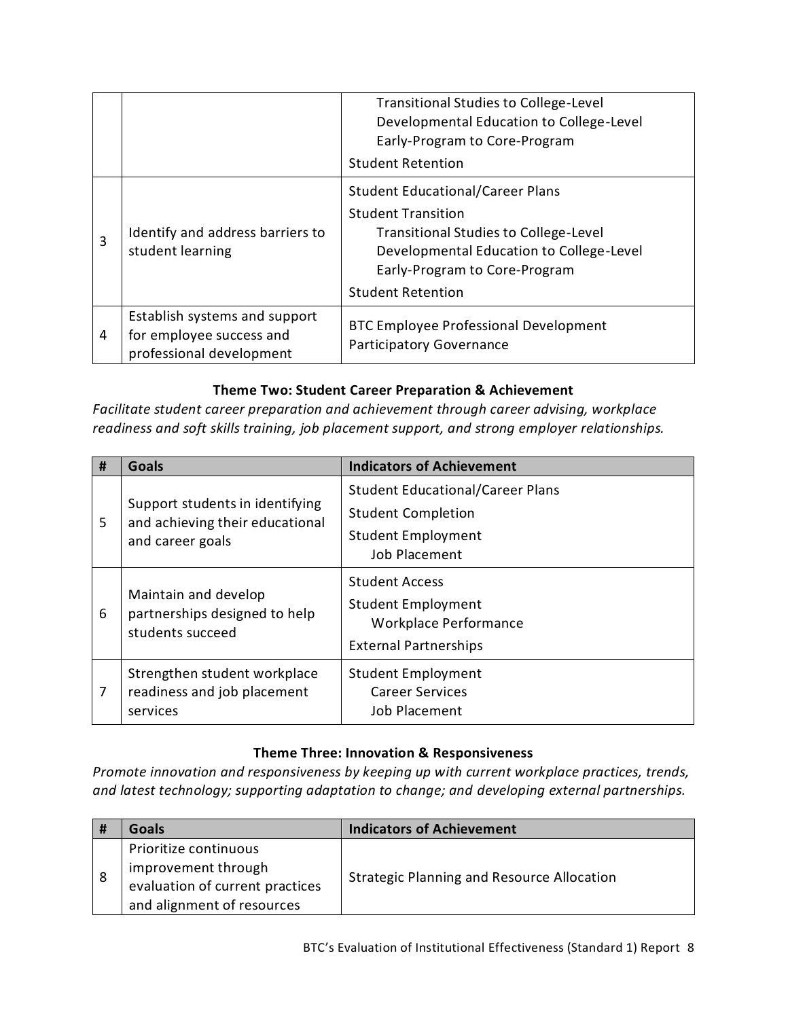|   |                                                                                       | <b>Transitional Studies to College-Level</b><br>Developmental Education to College-Level<br>Early-Program to Core-Program<br><b>Student Retention</b>                                                                         |
|---|---------------------------------------------------------------------------------------|-------------------------------------------------------------------------------------------------------------------------------------------------------------------------------------------------------------------------------|
| 3 | Identify and address barriers to<br>student learning                                  | <b>Student Educational/Career Plans</b><br><b>Student Transition</b><br><b>Transitional Studies to College-Level</b><br>Developmental Education to College-Level<br>Early-Program to Core-Program<br><b>Student Retention</b> |
| 4 | Establish systems and support<br>for employee success and<br>professional development | <b>BTC Employee Professional Development</b><br><b>Participatory Governance</b>                                                                                                                                               |

### **Theme Two: Student Career Preparation & Achievement**

*Facilitate student career preparation and achievement through career advising, workplace readiness and soft skills training, job placement support, and strong employer relationships.*

| # | <b>Goals</b>                                                                           | <b>Indicators of Achievement</b>                                                                                   |
|---|----------------------------------------------------------------------------------------|--------------------------------------------------------------------------------------------------------------------|
| 5 | Support students in identifying<br>and achieving their educational<br>and career goals | <b>Student Educational/Career Plans</b><br><b>Student Completion</b><br><b>Student Employment</b><br>Job Placement |
| 6 | Maintain and develop<br>partnerships designed to help<br>students succeed              | <b>Student Access</b><br><b>Student Employment</b><br><b>Workplace Performance</b><br><b>External Partnerships</b> |
| 7 | Strengthen student workplace<br>readiness and job placement<br>services                | <b>Student Employment</b><br><b>Career Services</b><br>Job Placement                                               |

## **Theme Three: Innovation & Responsiveness**

*Promote innovation and responsiveness by keeping up with current workplace practices, trends, and latest technology; supporting adaptation to change; and developing external partnerships.*

|   | Goals                                                                                                         | <b>Indicators of Achievement</b>                  |
|---|---------------------------------------------------------------------------------------------------------------|---------------------------------------------------|
| 8 | Prioritize continuous<br>improvement through<br>evaluation of current practices<br>and alignment of resources | <b>Strategic Planning and Resource Allocation</b> |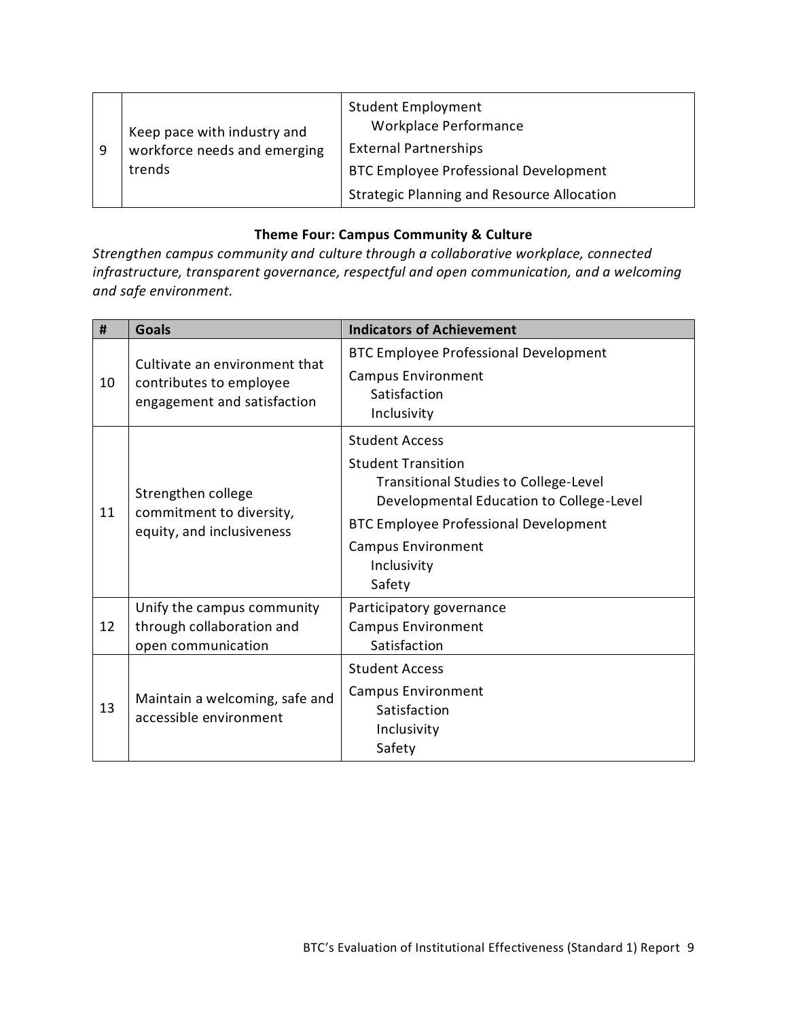| -9 | Keep pace with industry and<br>workforce needs and emerging<br>trends | <b>Student Employment</b><br><b>Workplace Performance</b><br><b>External Partnerships</b><br><b>BTC Employee Professional Development</b> |
|----|-----------------------------------------------------------------------|-------------------------------------------------------------------------------------------------------------------------------------------|
|    |                                                                       | <b>Strategic Planning and Resource Allocation</b>                                                                                         |

# **Theme Four: Campus Community & Culture**

*Strengthen campus community and culture through a collaborative workplace, connected infrastructure, transparent governance, respectful and open communication, and a welcoming and safe environment.*

| #  | Goals                                                                                   | <b>Indicators of Achievement</b>                                                                                                                                                                                                                     |
|----|-----------------------------------------------------------------------------------------|------------------------------------------------------------------------------------------------------------------------------------------------------------------------------------------------------------------------------------------------------|
| 10 | Cultivate an environment that<br>contributes to employee<br>engagement and satisfaction | <b>BTC Employee Professional Development</b><br><b>Campus Environment</b><br>Satisfaction<br>Inclusivity                                                                                                                                             |
| 11 | Strengthen college<br>commitment to diversity,<br>equity, and inclusiveness             | <b>Student Access</b><br><b>Student Transition</b><br><b>Transitional Studies to College-Level</b><br>Developmental Education to College-Level<br><b>BTC Employee Professional Development</b><br><b>Campus Environment</b><br>Inclusivity<br>Safety |
| 12 | Unify the campus community<br>through collaboration and<br>open communication           | Participatory governance<br><b>Campus Environment</b><br>Satisfaction                                                                                                                                                                                |
| 13 | Maintain a welcoming, safe and<br>accessible environment                                | <b>Student Access</b><br><b>Campus Environment</b><br>Satisfaction<br>Inclusivity<br>Safety                                                                                                                                                          |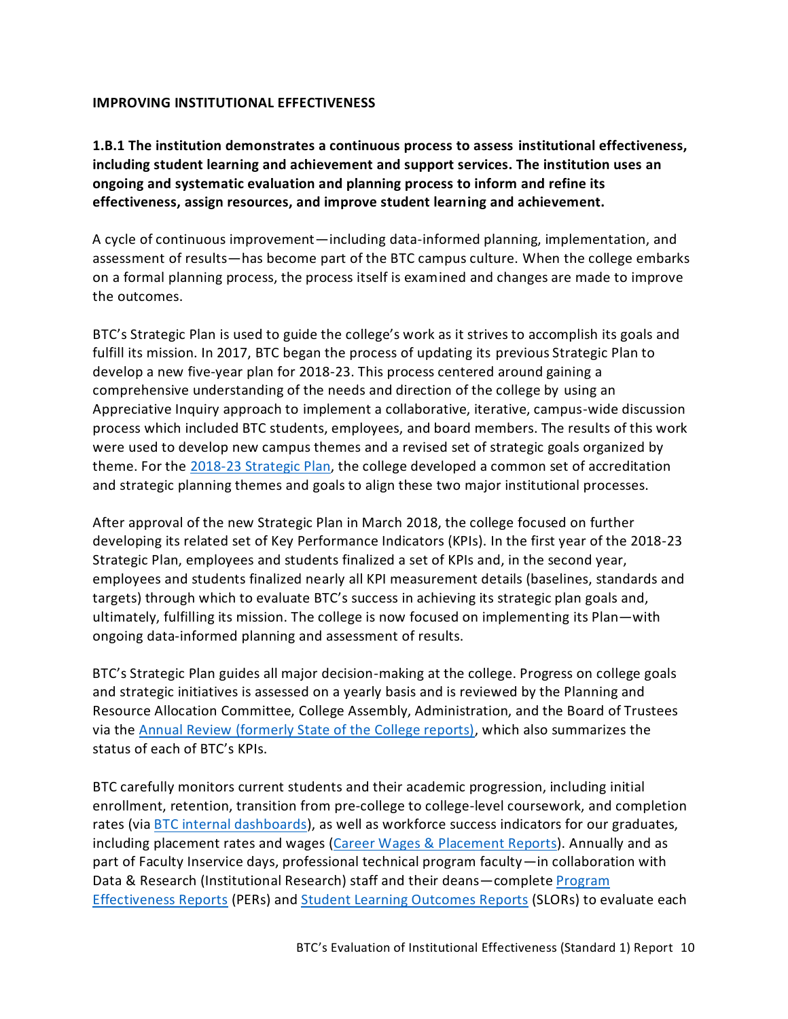#### <span id="page-11-0"></span>**IMPROVING INSTITUTIONAL EFFECTIVENESS**

<span id="page-11-1"></span>**1.B.1 The institution demonstrates a continuous process to assess institutional effectiveness, including student learning and achievement and support services. The institution uses an ongoing and systematic evaluation and planning process to inform and refine its effectiveness, assign resources, and improve student learning and achievement.**

A cycle of continuous improvement—including data-informed planning, implementation, and assessment of results—has become part of the BTC campus culture. When the college embarks on a formal planning process, the process itself is examined and changes are made to improve the outcomes.

BTC's Strategic Plan is used to guide the college's work as it strives to accomplish its goals and fulfill its mission. In 2017, BTC began the process of updating its previous Strategic Plan to develop a new five-year plan for 2018-23. This process centered around gaining a comprehensive understanding of the needs and direction of the college by using an Appreciative Inquiry approach to implement a collaborative, iterative, campus-wide discussion process which included BTC students, employees, and board members. The results of this work were used to develop new campus themes and a revised set of strategic goals organized by theme. For the [2018-23 Strategic Plan,](https://www.btc.edu/AboutBTC/ReportsandPolicies/InstitutionalEffectiveness.html) the college developed a common set of accreditation and strategic planning themes and goals to align these two major institutional processes.

After approval of the new Strategic Plan in March 2018, the college focused on further developing its related set of Key Performance Indicators (KPIs). In the first year of the 2018-23 Strategic Plan, employees and students finalized a set of KPIs and, in the second year, employees and students finalized nearly all KPI measurement details (baselines, standards and targets) through which to evaluate BTC's success in achieving its strategic plan goals and, ultimately, fulfilling its mission. The college is now focused on implementing its Plan—with ongoing data-informed planning and assessment of results.

BTC's Strategic Plan guides all major decision-making at the college. Progress on college goals and strategic initiatives is assessed on a yearly basis and is reviewed by the Planning and Resource Allocation Committee, College Assembly, Administration, and the Board of Trustees via the [Annual Review](https://nwccu.box.com/s/1pvuni3ia5b24ldaxakx6kymjcgn7tfc) (formerly State of the College reports), which also summarizes the status of each of BTC's KPIs.

BTC carefully monitors current students and their academic progression, including initial [enrollment, retention,](https://www.btc.edu/AboutBTC/BTCFacts.html#StudentProfile) transition from pre-college to college-level coursework, and [completion](https://www.btc.edu/AboutBTC/BTCFacts.html#StudentProfile) rates (vi[a BTC internal dashboards\)](https://nwccu.box.com/s/q8pax7atc3ioaierr80jqjirsixydjzw), as well as workforce success indicators for our graduates, including [placement](https://www.btc.edu/AboutBTC/BTCFacts.html#StudentProfile) rates and wages [\(Career Wages & Placement Reports\)](https://nwccu.box.com/s/igo8g7px4e9ncsvic1lfvv2lie568cyp). Annually and as part of Faculty Inservice days, professional technical program faculty—in collaboration with Data & Research (Institutional Research) staff and their deans—complete [Program](https://nwccu.box.com/s/68pmk7kf91law5dytrf1vafwoqgv7xfs)  [Effectiveness Reports](https://nwccu.box.com/s/68pmk7kf91law5dytrf1vafwoqgv7xfs) (PERs) and [Student Learning Outcomes](https://nwccu.box.com/s/8q13adu9t68qba1jwybbj6d3vo7286v7) Reports (SLORs) to evaluate each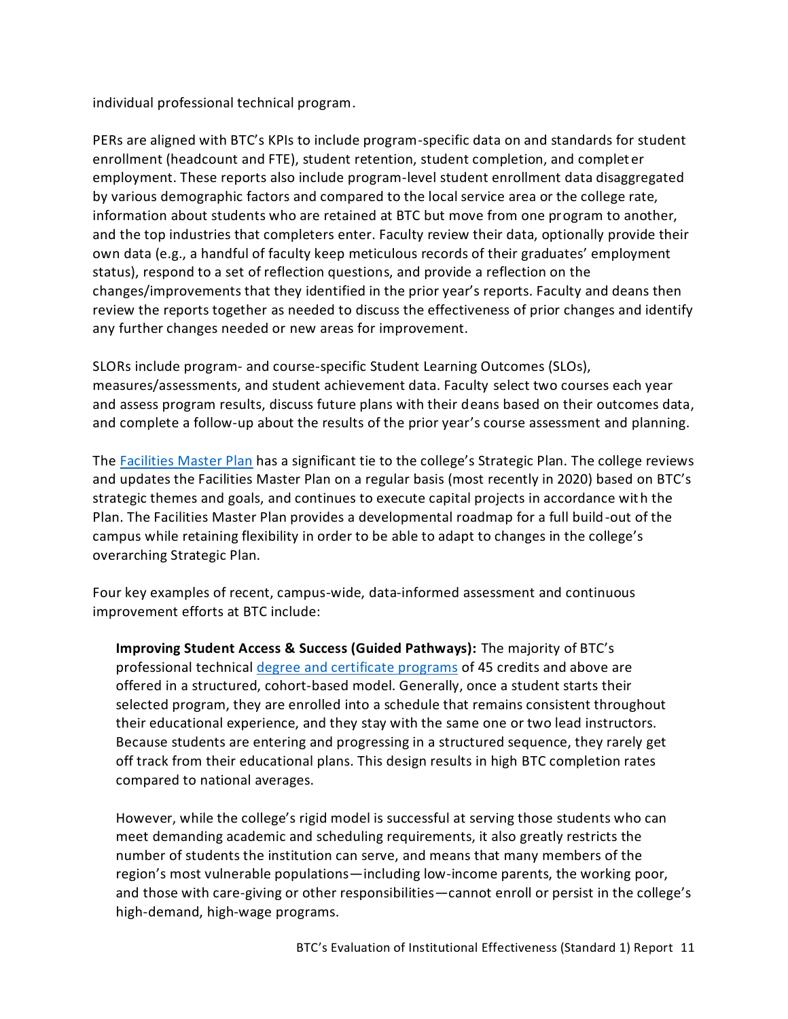individual professional technical program.

PERs are aligned with BTC's KPIs to include program-specific data on and standards for student enrollment (headcount and FTE), student retention, student completion, and completer employment. These reports also include program-level student enrollment data disaggregated by various demographic factors and compared to the local service area or the college rate, information about students who are retained at BTC but move from one program to another, and the top industries that completers enter. Faculty review their data, optionally provide their own data (e.g., a handful of faculty keep meticulous records of their graduates' employment status), respond to a set of reflection questions, and provide a reflection on the changes/improvements that they identified in the prior year's reports. Faculty and deans then review the reports together as needed to discuss the effectiveness of prior changes and identify any further changes needed or new areas for improvement.

SLORs include program- and course-specific Student Learning Outcomes (SLOs), measures/assessments, and student achievement data. Faculty select two courses each year and assess program results, discuss future plans with their deans based on their outcomes data, and complete a follow-up about the results of the prior year's course assessment and planning.

The [Facilities Master Plan](https://nwccu.box.com/s/cu8hu9ixpa88rsa9thae4egt7bhaqh5m) has a significant tie to the college's Strategic Plan. The college reviews and updates the Facilities Master Plan on a regular basis (most recently in 2020) based on BTC's strategic themes and goals, and continues to execute capital projects in accordance with the Plan. The Facilities Master Plan provides a developmental roadmap for a full build-out of the campus while retaining flexibility in order to be able to adapt to changes in the college's overarching Strategic Plan.

Four key examples of recent, campus-wide, data-informed assessment and continuous improvement efforts at BTC include:

**Improving Student Access & Success (Guided Pathways):** The majority of BTC's professional technical [degree and certificate programs](https://www.btc.edu/Academics/DegreesAndCertificates/index.html) of 45 credits and above are offered in a structured, cohort-based model. Generally, once a student starts their selected program, they are enrolled into a schedule that remains consistent throughout their educational experience, and they stay with the same one or two lead instructors. Because students are entering and progressing in a structured sequence, they rarely get off track from their educational plans. This design results in high BTC completion rates compared to national averages.

However, while the college's rigid model is successful at serving those students who can meet demanding academic and scheduling requirements, it also greatly restricts the number of students the institution can serve, and means that many members of the region's most vulnerable populations—including low-income parents, the working poor, and those with care-giving or other responsibilities—cannot enroll or persist in the college's high-demand, high-wage programs.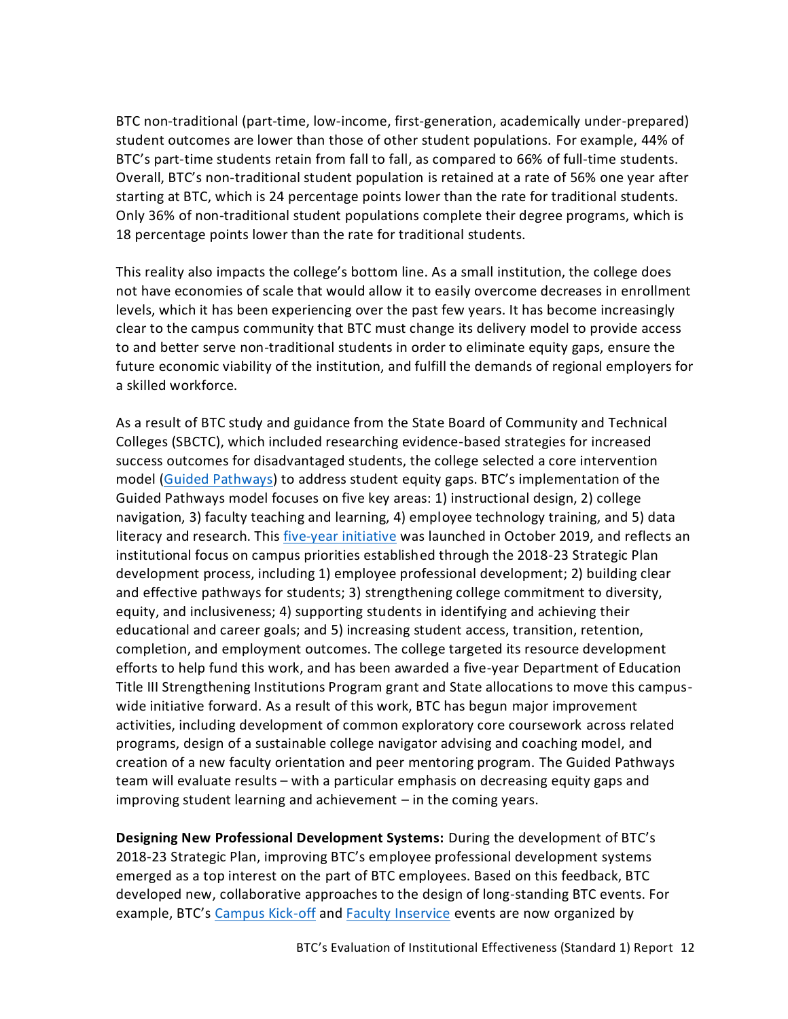BTC non-traditional (part-time, low-income, first-generation, academically under-prepared) student outcomes are lower than those of other student populations. For example, 44% of BTC's part-time students retain from fall to fall, as compared to 66% of full-time students. Overall, BTC's non-traditional student population is retained at a rate of 56% one year after starting at BTC, which is 24 percentage points lower than the rate for traditional students. Only 36% of non-traditional student populations complete their degree programs, which is 18 percentage points lower than the rate for traditional students.

This reality also impacts the college's bottom line. As a small institution, the college does not have economies of scale that would allow it to easily overcome decreases in enrollment levels, which it has been experiencing over the past few years. It has become increasingly clear to the campus community that BTC must change its delivery model to provide access to and better serve non-traditional students in order to eliminate equity gaps, ensure the future economic viability of the institution, and fulfill the demands of regional employers for a skilled workforce.

As a result of BTC study and guidance from the State Board of Community and Technical Colleges (SBCTC), which included researching evidence-based strategies for increased success outcomes for disadvantaged students, the college selected a core intervention model [\(Guided Pathways](https://www.sbctc.edu/colleges-staff/programs-services/student-success-center/guided-pathways.aspx)) to address student equity gaps. BTC's implementation of the Guided Pathways model focuses on five key areas: 1) instructional design, 2) college navigation, 3) faculty teaching and learning, 4) employee technology training, and 5) data literacy and research. This [five-year initiative](https://nwccu.box.com/s/29zje421o3eb1y85igs15fhrgig3ne80) was launched in October 2019, and reflects an institutional focus on campus priorities established through the 2018-23 Strategic Plan development process, including 1) employee professional development; 2) building clear and effective pathways for students; 3) strengthening college commitment to diversity, equity, and inclusiveness; 4) supporting students in identifying and achieving their educational and career goals; and 5) increasing student access, transition, retention, completion, and employment outcomes. The college targeted its resource development efforts to help fund this work, and has been awarded a five-year Department of Education Title III Strengthening Institutions Program grant and State allocations to move this campuswide initiative forward. As a result of this work, BTC has begun major improvement activities, including development of common exploratory core coursework across related programs, design of a sustainable college navigator advising and coaching model, and creation of a new faculty orientation and peer mentoring program. The Guided Pathways team will evaluate results – with a particular emphasis on decreasing equity gaps and improving student learning and achievement – in the coming years.

**Designing New Professional Development Systems:** During the development of BTC's 2018-23 Strategic Plan, improving BTC's employee professional development systems emerged as a top interest on the part of BTC employees. Based on this feedback, BTC developed new, collaborative approaches to the design of long-standing BTC events. For example, BTC's [Campus Kick-off](https://nwccu.box.com/s/47ymzqpj6r0xa08diajsu23vpcjaowom) and **Faculty Inservice** events are now organized by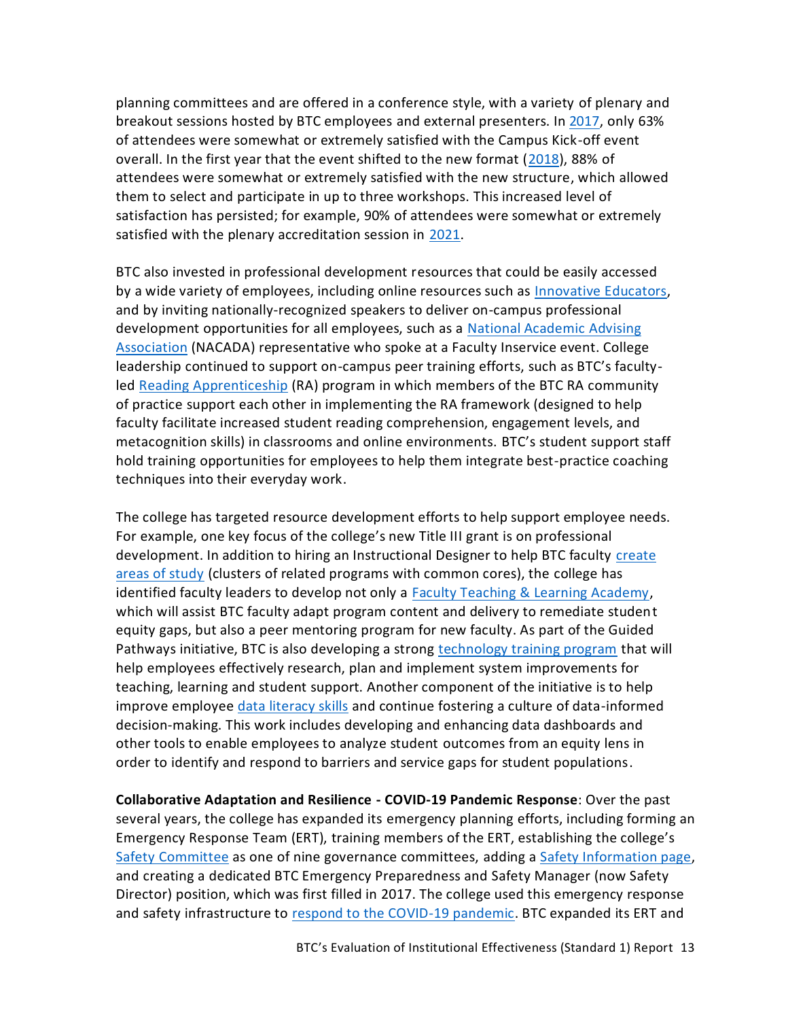planning committees and are offered in a conference style, with a variety of plenary and breakout sessions hosted by BTC employees and external presenters. In [2017,](https://nwccu.box.com/s/amtlcs8h9gyip5omqmq957y64p1xtobf) only 63% of attendees were somewhat or extremely satisfied with the Campus Kick-off event overall. In the first year that the event shifted to the new format [\(2018\)](https://nwccu.box.com/s/t55gkdz09zedfevm6fgv6v3g3ar6r6u1), 88% of attendees were somewhat or extremely satisfied with the new structure, which allowed them to select and participate in up to three workshops. This increased level of satisfaction has persisted; for example, 90% of attendees were somewhat or extremely satisfied with the plenary accreditation session in [2021.](https://nwccu.box.com/s/edpavywzaki19t90n0oaks8gi3qeh0ll)

BTC also invested in professional development resources that could be easily accessed by a wide variety of employees, including online resources such as **Innovative Educators**, and by inviting nationally-recognized speakers to deliver on-campus professional development opportunities for all employees, such as a [National Academic Advising](https://nacada.ksu.edu/)  [Association](https://nacada.ksu.edu/) (NACADA) representative who spoke at a Faculty Inservice event. College leadership continued to support on-campus peer training efforts, such as BTC's facultyled [Reading Apprenticeship](http://raprojectwa.weebly.com/) (RA) program in which members of the BTC RA community of practice support each other in implementing the RA framework (designed to help faculty facilitate increased student reading comprehension, engagement levels, and metacognition skills) in classrooms and online environments. BTC's student support staff hold training opportunities for employees to help them integrate best-practice coaching techniques into their everyday work.

The college has targeted resource development efforts to help support employee needs. For example, one key focus of the college's new Title III grant is on professional development. In addition to hiring an Instructional Designer to help BTC faculty [create](https://nwccu.box.com/s/4l7mnfi5gchdx1fp9csqxvuxb6mk4k34)  [areas of study](https://nwccu.box.com/s/4l7mnfi5gchdx1fp9csqxvuxb6mk4k34) (clusters of related programs with common cores), the college has identified faculty leaders to develop not only a [Faculty Teaching & Learning Academy,](https://nwccu.box.com/s/9suunk5uzfv9chquys1rx9hr7xrshfwi) which will assist BTC faculty adapt program content and delivery to remediate student equity gaps, but also a peer mentoring program for new faculty. As part of the Guided Pathways initiative, BTC is also developing a strong [technology training program](https://nwccu.box.com/s/j0rm16dvtm4efnkv3owyq4fobop5vi6z) that will help employees effectively research, plan and implement system improvements for teaching, learning and student support. Another component of the initiative is to help improve employee [data literacy skills](https://nwccu.box.com/s/xxod1mimql7raqsd5gr8izzt7y9wafkg) and continue fostering a culture of data-informed decision-making. This work includes developing and enhancing data dashboards and other tools to enable employees to analyze student outcomes from an equity lens in order to identify and respond to barriers and service gaps for student populations.

**Collaborative Adaptation and Resilience - COVID-19 Pandemic Response**: Over the past several years, the college has expanded its emergency planning efforts, including forming an Emergency Response Team (ERT), training members of the ERT, establishing the college's [Safety Committee](https://nwccu.box.com/s/0or9e2o5zz8r1bfo1k6xixgmzwdb1xmj) as one of nine governance committees, adding a [Safety Information page,](https://www.btc.edu/AboutBTC/ReportsandPolicies/SafetyInformation.html) and creating a dedicated BTC Emergency Preparedness and Safety Manager (now Safety Director) position, which was first filled in 2017. The college used this emergency response and safety infrastructure to [respond to the COVID-19 pandemic.](https://www.btc.edu/AboutBTC/CovidUpdates.html) BTC expanded its ERT and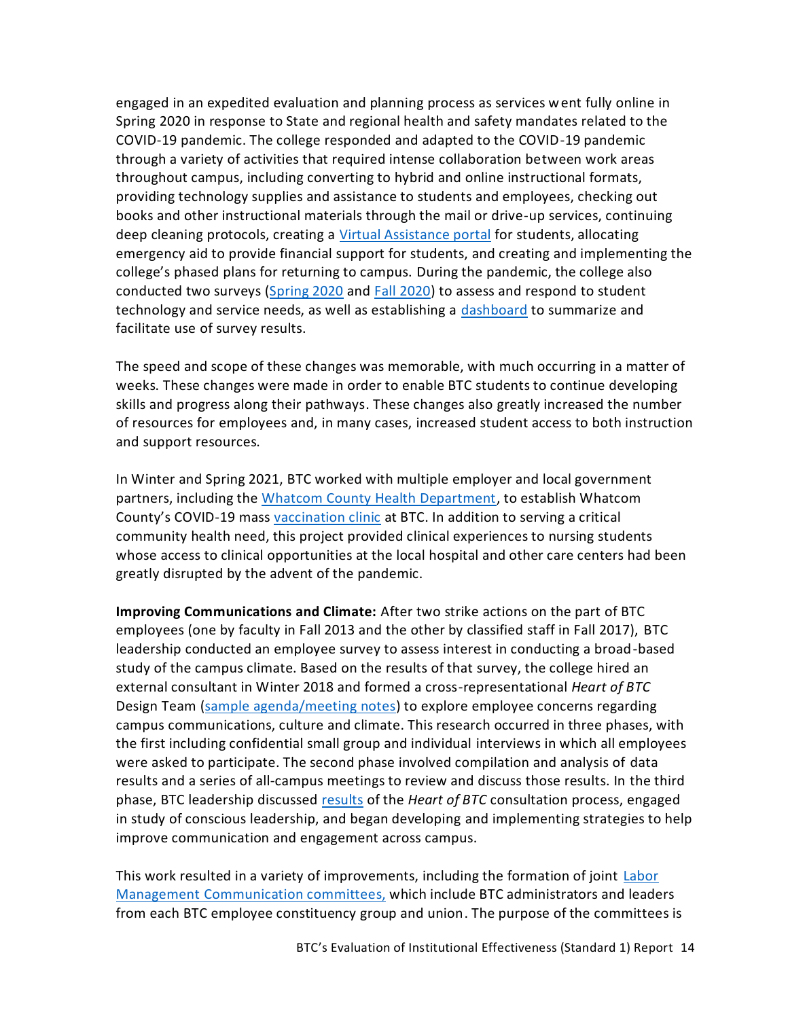engaged in an expedited evaluation and planning process as services went fully online in Spring 2020 in response to State and regional health and safety mandates related to the COVID-19 pandemic. The college responded and adapted to the COVID-19 pandemic through a variety of activities that required intense collaboration between work areas throughout campus, including converting to hybrid and online instructional formats, providing technology supplies and assistance to students and employees, checking out books and other instructional materials through the mail or drive-up services, continuing deep cleaning protocols, creating a [Virtual Assistance portal](https://www.btc.edu/VirtualAssistance.html#ZoomLobbies) for students, allocating emergency aid to provide financial support for students, and creating and implementing the college's phased plans for returning to campus. During the pandemic, the college also conducted two surveys [\(Spring 2020](https://nwccu.box.com/s/b935fjoa55pixdrqrv6h5zohymka7w6x) and [Fall 2020\)](https://nwccu.box.com/s/og59sz4esirrvbvesvfws1nhkcibzwaa) to assess and respond to student technology and service needs, as well as establishing a [dashboard](https://tableau.sbctc.edu/t/Bellingham/views/AnnualStudentSurvey_Fall2020/Surveyinstrument?%3AshowAppBanner=false&%3Adisplay_count=n&%3AshowVizHome=n&%3Aorigin=viz_share_link&%3AisGuestRedirectFromVizportal=y&%3Aembed=y) to summarize and facilitate use of survey results.

The speed and scope of these changes was memorable, with much occurring in a matter of weeks. These changes were made in order to enable BTC students to continue developing skills and progress along their pathways. These changes also greatly increased the number of resources for employees and, in many cases, increased student access to both instruction and support resources.

In Winter and Spring 2021, BTC worked with multiple employer and local government partners, including the [Whatcom County Health Department,](https://www.whatcomcounty.us/360/Health-Department) to establish Whatcom County's COVID-19 mas[s vaccination clinic](https://www.btc.edu/AboutBTC/Joint-Media-Release---Large-Scale-Vaccination-Site-Coming-March-2-17-2021.pdf) at BTC. In addition to serving a critical community health need, this project provided clinical experiences to nursing students whose access to clinical opportunities at the local hospital and other care centers had been greatly disrupted by the advent of the pandemic.

**Improving Communications and Climate:** After two strike actions on the part of BTC employees (one by faculty in Fall 2013 and the other by classified staff in Fall 2017), BTC leadership conducted an employee survey to assess interest in conducting a broad-based study of the campus climate. Based on the results of that survey, the college hired an external consultant in Winter 2018 and formed a cross-representational *Heart of BTC* Design Team [\(sample agenda/meeting notes\)](https://nwccu.box.com/s/mdlrj1gdodwbq4oukmps1wdzv0c7knvx) to explore employee concerns regarding campus communications, culture and climate. This research occurred in three phases, with the first including confidential small group and individual interviews in which all employees were asked to participate. The second phase involved compilation and analysis of data results and a series of all-campus meetings to review and discuss those results. In the third phase, BTC leadership discussed [results](https://nwccu.box.com/s/3q8ktz0u0q3sxc2oxnk05iufklvkgrr0) of the *Heart of BTC* consultation process, engaged in study of conscious leadership, and began developing and implementing strategies to help improve communication and engagement across campus.

This work resulted in a variety of improvements, including the formation of joint [Labor](https://nwccu.box.com/s/r1ohqthlaiq6v6uoobxs4f2oy3ggn2nv)  [Management Communication committees,](https://nwccu.box.com/s/r1ohqthlaiq6v6uoobxs4f2oy3ggn2nv) which include BTC administrators and leaders from each BTC employee constituency group and union. The purpose of the committees is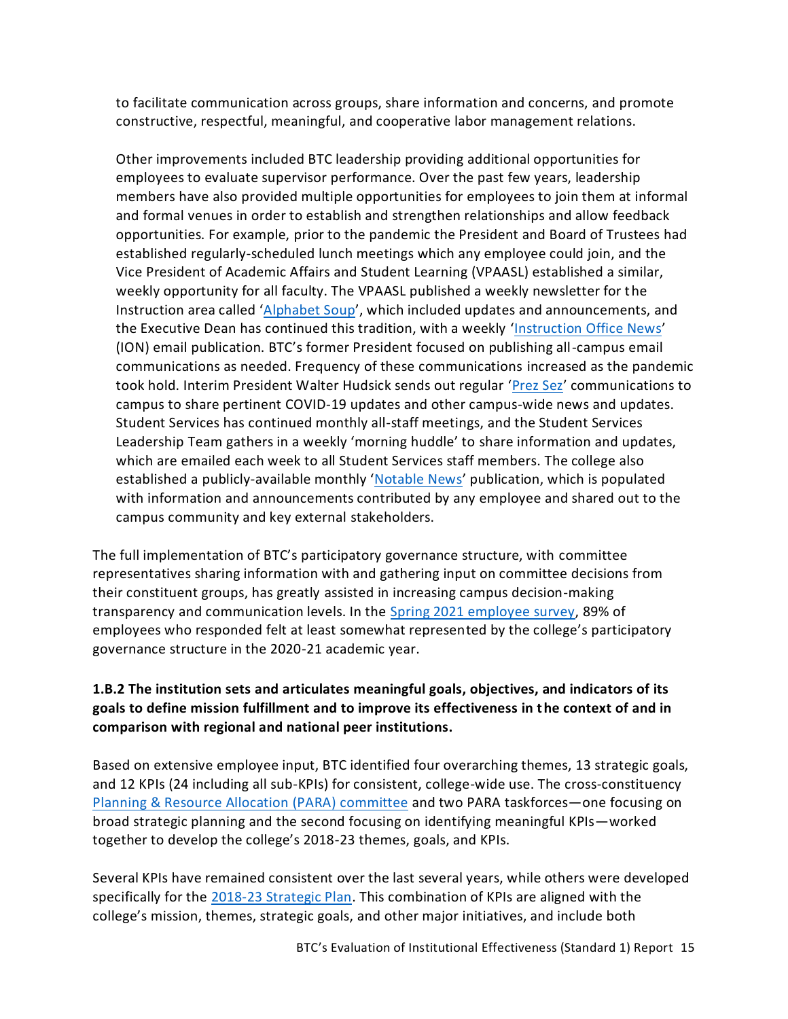to facilitate communication across groups, share information and concerns, and promote constructive, respectful, meaningful, and cooperative labor management relations.

Other improvements included BTC leadership providing additional opportunities for employees to evaluate supervisor performance. Over the past few years, leadership members have also provided multiple opportunities for employees to join them at informal and formal venues in order to establish and strengthen relationships and allow feedback opportunities. For example, prior to the pandemic the President and Board of Trustees had established regularly-scheduled lunch meetings which any employee could join, and the Vice President of Academic Affairs and Student Learning (VPAASL) established a similar, weekly opportunity for all faculty. The VPAASL published a weekly newsletter for the Instruction area called '[Alphabet Soup](https://nwccu.box.com/s/zxj72xv7t019w5w9rwf4nvl9107ucdpu)', which included updates and announcements, and the Executive Dean has continued this tradition, with a weekly '[Instruction Office News](https://nwccu.box.com/s/qfknf2m66hknbc3b8e61xypiohl72vnd)' (ION) email publication. BTC's former President focused on publishing all-campus email communications as needed. Frequency of these communications increased as the pandemic took hold. Interim President Walter Hudsick sends out regular '[Prez Sez](https://nwccu.box.com/s/xvu45w100qk044agmdicmo0vovlqe15n)' communications to campus to share pertinent COVID-19 updates and other campus-wide news and updates. Student Services has continued monthly all-staff meetings, and the Student Services Leadership Team gathers in a weekly 'morning huddle' to share information and updates, which are emailed each week to all Student Services staff members. The college also established a publicly-available monthly '[Notable News](https://nwccu.box.com/s/8ojinaqpwb8spepp1o1jiif46k1ou2bd)' publication, which is populated with information and announcements contributed by any employee and shared out to the campus community and key external stakeholders.

The full implementation of BTC's participatory governance structure, with committee representatives sharing information with and gathering input on committee decisions from their constituent groups, has greatly assisted in increasing campus decision-making transparency and communication levels. In the [Spring 2021 employee survey,](https://nwccu.box.com/s/y39nciy27xku0aiip5v50mn8ndu44vg0) 89% of employees who responded felt at least somewhat represented by the college's participatory governance structure in the 2020-21 academic year.

# <span id="page-16-0"></span>**1.B.2 The institution sets and articulates meaningful goals, objectives, and indicators of its goals to define mission fulfillment and to improve its effectiveness in the context of and in comparison with regional and national peer institutions.**

Based on extensive employee input, BTC identified four overarching themes, 13 strategic goals, and 12 KPIs (24 including all sub-KPIs) for consistent, college-wide use. The cross-constituency [Planning & Resource Allocation \(PARA\)](https://nwccu.box.com/s/ftmi1cp798lj0z5deq394646q7z50tec) committee and two PARA taskforces—one focusing on broad strategic planning and the second focusing on identifying meaningful KPIs—worked together to develop the college's 2018-23 themes, goals, and KPIs.

Several KPIs have remained consistent over the last several years, while others were developed specifically for the [2018-23 Strategic Plan.](https://www.btc.edu/AboutBTC/ReportsandPolicies/InstitutionalEffectiveness.html) This combination of KPIs are aligned with the college's mission, themes, strategic goals, and other major initiatives, and include both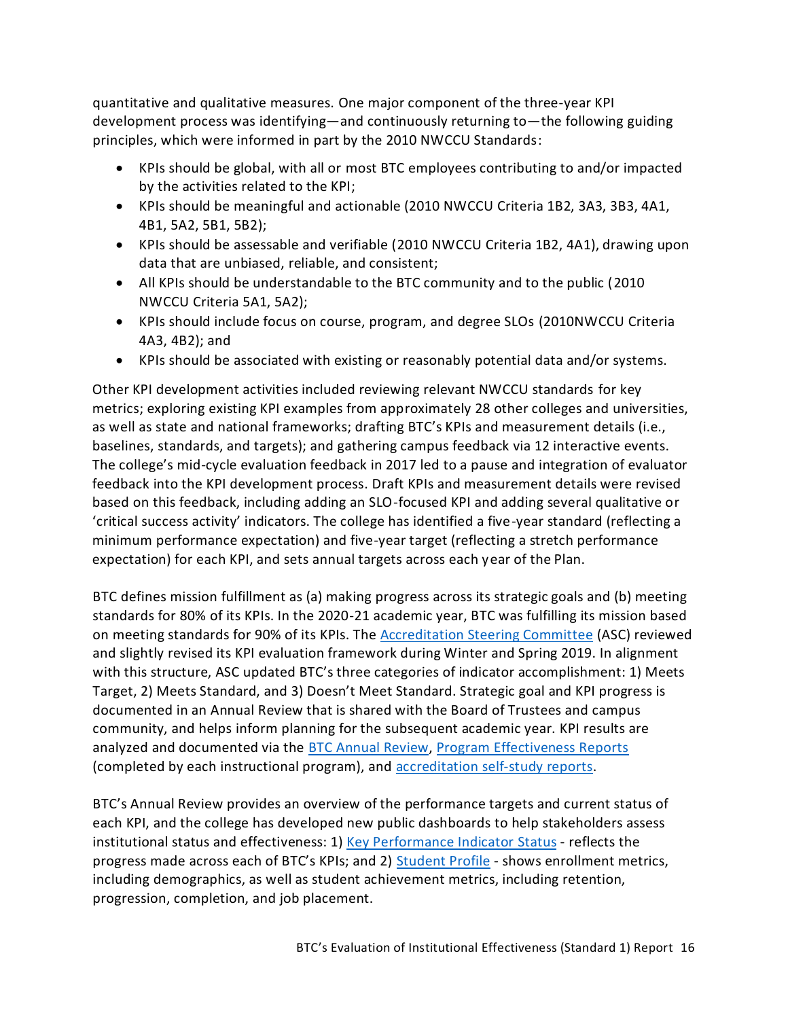quantitative and qualitative measures. One major component of the three-year KPI development process was identifying—and continuously returning to—the following guiding principles, which were informed in part by the 2010 NWCCU Standards:

- KPIs should be global, with all or most BTC employees contributing to and/or impacted by the activities related to the KPI;
- KPIs should be meaningful and actionable (2010 NWCCU Criteria 1B2, 3A3, 3B3, 4A1, 4B1, 5A2, 5B1, 5B2);
- KPIs should be assessable and verifiable (2010 NWCCU Criteria 1B2, 4A1), drawing upon data that are unbiased, reliable, and consistent;
- All KPIs should be understandable to the BTC community and to the public (2010 NWCCU Criteria 5A1, 5A2);
- KPIs should include focus on course, program, and degree SLOs (2010NWCCU Criteria 4A3, 4B2); and
- KPIs should be associated with existing or reasonably potential data and/or systems.

Other KPI development activities included reviewing relevant NWCCU standards for key metrics; exploring existing KPI examples from approximately 28 other colleges and universities, as well as state and national frameworks; drafting BTC's KPIs and measurement details (i.e., baselines, standards, and targets); and gathering campus feedback via 12 interactive events. The college's mid-cycle evaluation feedback in 2017 led to a pause and integration of evaluator feedback into the KPI development process. Draft KPIs and measurement details were revised based on this feedback, including adding an SLO-focused KPI and adding several qualitative or 'critical success activity' indicators. The college has identified a five-year standard (reflecting a minimum performance expectation) and five-year target (reflecting a stretch performance expectation) for each KPI, and sets annual targets across each year of the Plan.

BTC defines mission fulfillment as (a) making progress across its strategic goals and (b) meeting standards for 80% of its KPIs. In the 2020-21 academic year, BTC was fulfilling its mission based on meeting standards for 90% of its KPIs. The [Accreditation Steering Committee](https://nwccu.box.com/s/uixeeojgupr7nd1d27v1iwgftq81eke9) (ASC) reviewed and slightly revised its KPI evaluation framework during Winter and Spring 2019. In alignment with this structure, ASC updated BTC's three categories of indicator accomplishment: 1) Meets Target, 2) Meets Standard, and 3) Doesn't Meet Standard. Strategic goal and KPI progress is documented in an Annual Review that is shared with the Board of Trustees and campus community, and helps inform planning for the subsequent academic year. KPI results are analyzed and documented via the [BTC Annual Review,](https://nwccu.box.com/s/1pvuni3ia5b24ldaxakx6kymjcgn7tfc) [Program Effectiveness Reports](https://nwccu.box.com/s/68pmk7kf91law5dytrf1vafwoqgv7xfs) (completed by each instructional program), and [accreditation self-study reports.](https://www.btc.edu/AboutBTC/Accreditation.html#Reports)

BTC's Annual Review provides an overview of the performance targets and current status of each KPI, and the college has developed new public dashboards to help stakeholders assess institutional status and effectiveness: 1) [Key Performance Indicator](https://www.btc.edu/AboutBTC/ReportsandPolicies/InstitutionalEffectiveness.html#KeyPerformanceIndicatorStatus) Status - reflects the progress made across each of BTC's KPIs; and 2) [Student Profile](https://www.btc.edu/AboutBTC/BTCFacts.html#StudentProfile) - shows enrollment metrics, including demographics, as well as student achievement metrics, including retention, progression, completion, and job placement.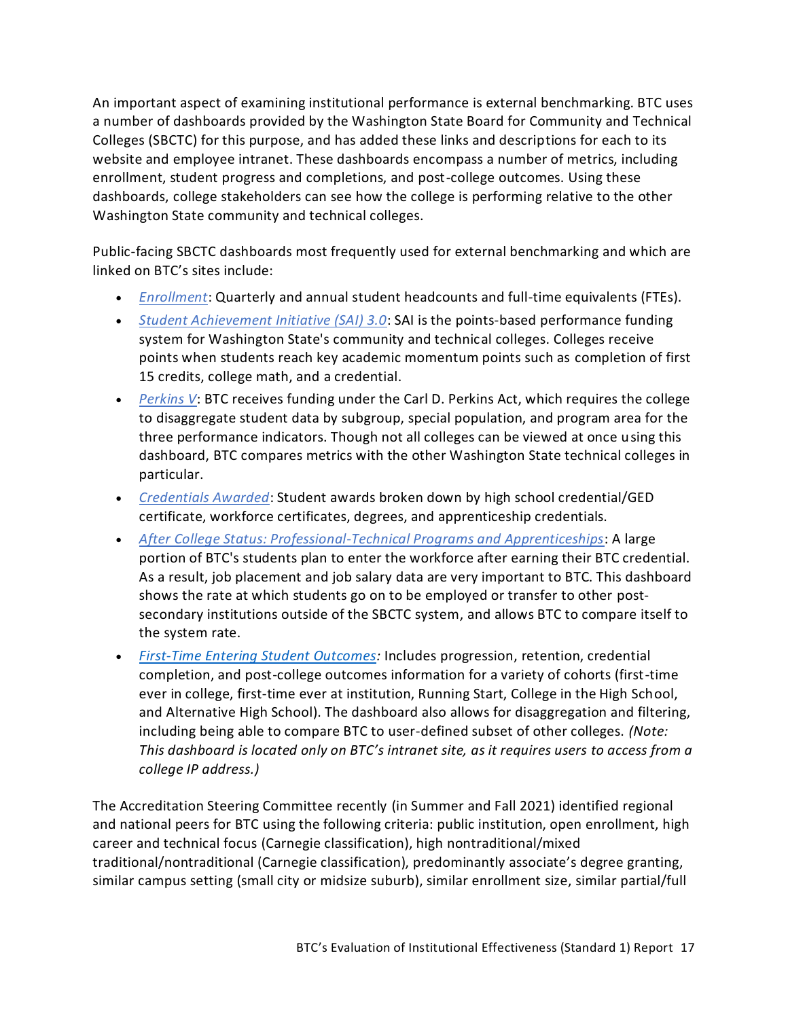An important aspect of examining institutional performance is external benchmarking. BTC uses a number of dashboards provided by the Washington State Board for Community and Technical Colleges (SBCTC) for this purpose, and has added these links and descriptions for each to its website and employee intranet. These dashboards encompass a number of metrics, including enrollment, student progress and completions, and post-college outcomes. Using these dashboards, college stakeholders can see how the college is performing relative to the other Washington State community and technical colleges.

Public-facing SBCTC dashboards most frequently used for external benchmarking and which are linked on BTC's sites include:

- *[Enrollment](https://www.sbctc.edu/colleges-staff/research/data-public/enrollment-data-dashboard.aspx)*: Quarterly and annual student headcounts and full-time equivalents (FTEs).
- *[Student Achievement Initiative \(SAI\) 3.0](https://www.sbctc.edu/colleges-staff/research/data-public/sai3-points-summary-dashboard.aspx)*: SAI is the points-based performance funding system for Washington State's community and technical colleges. Colleges receive points when students reach key academic momentum points such as completion of first 15 credits, college math, and a credential.
- *[Perkins V](https://www.sbctc.edu/colleges-staff/research/data-public/perkins-dashboard.aspx)*: BTC receives funding under the Carl D. Perkins Act, which requires the college to disaggregate student data by subgroup, special population, and program area for the three performance indicators. Though not all colleges can be viewed at once using this dashboard, BTC compares metrics with the other Washington State technical colleges in particular.
- *[Credentials Awarded](https://www.sbctc.edu/colleges-staff/research/data-public/credentials-awarded-dashboard.aspx)*: Student awards broken down by high school credential/GED certificate, workforce certificates, degrees, and apprenticeship credentials.
- *[After College Status: Professional-Technical Programs and Apprenticeships](https://www.sbctc.edu/colleges-staff/research/data-public/after-college-outcomes-dashboard.aspx)*: A large portion of BTC's students plan to enter the workforce after earning their BTC credential. As a result, job placement and job salary data are very important to BTC. This dashboard shows the rate at which students go on to be employed or transfer to other postsecondary institutions outside of the SBCTC system, and allows BTC to compare itself to the system rate.
- *[First-Time Entering Student Outcomes:](https://nwccu.box.com/s/53iuf7flih16jjuogu9t73gzhosdnyb8)* Includes progression, retention, credential completion, and post-college outcomes information for a variety of cohorts (first-time ever in college, first-time ever at institution, Running Start, College in the High School, and Alternative High School). The dashboard also allows for disaggregation and filtering, including being able to compare BTC to user-defined subset of other colleges. *(Note: This dashboard is located only on BTC's intranet site, as it requires users to access from a college IP address.)*

The Accreditation Steering Committee recently (in Summer and Fall 2021) identified regional and national peers for BTC using the following criteria: public institution, open enrollment, high career and technical focus (Carnegie classification), high nontraditional/mixed traditional/nontraditional (Carnegie classification), predominantly associate's degree granting, similar campus setting (small city or midsize suburb), similar enrollment size, similar partial/full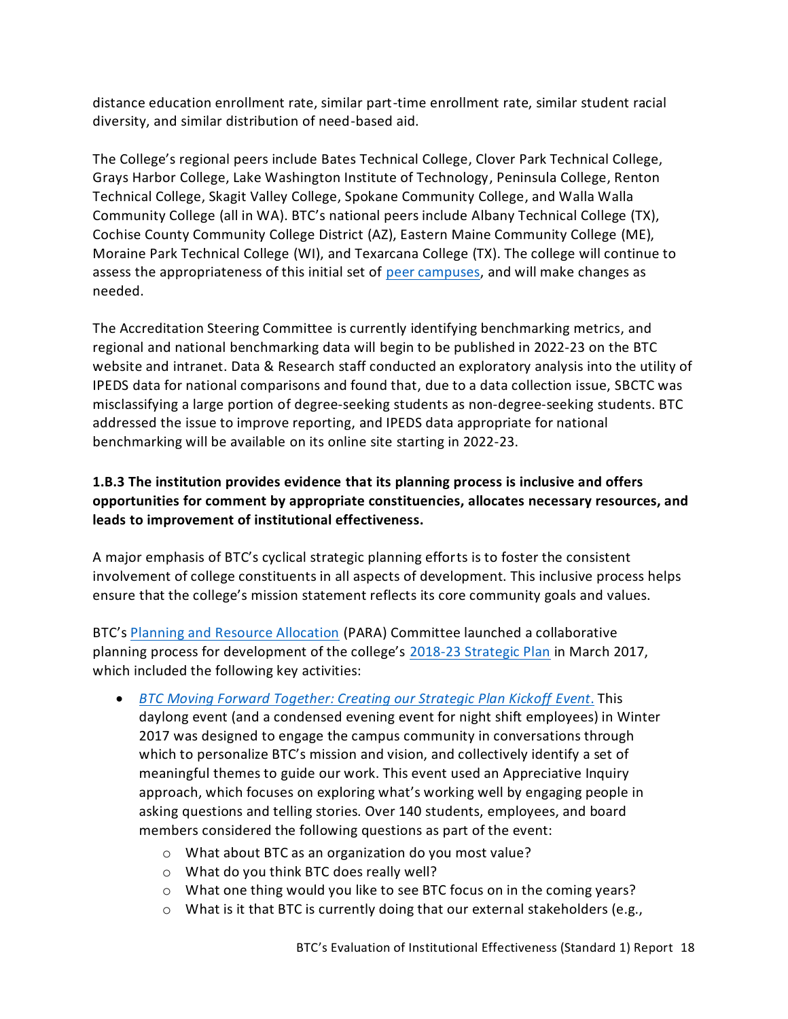distance education enrollment rate, similar part-time enrollment rate, similar student racial diversity, and similar distribution of need-based aid.

The College's regional peers include Bates Technical College, Clover Park Technical College, Grays Harbor College, Lake Washington Institute of Technology, Peninsula College, Renton Technical College, Skagit Valley College, Spokane Community College, and Walla Walla Community College (all in WA). BTC's national peers include Albany Technical College (TX), Cochise County Community College District (AZ), Eastern Maine Community College (ME), Moraine Park Technical College (WI), and Texarcana College (TX). The college will continue to assess the appropriateness of this initial set of [peer campuses,](https://www.btc.edu/AboutBTC/BTCFacts.html#ExternalBenchmarking) and will make changes as needed.

The Accreditation Steering Committee is currently identifying benchmarking metrics, and regional and national benchmarking data will begin to be published in 2022-23 on the BTC website and intranet. Data & Research staff conducted an exploratory analysis into the utility of IPEDS data for national comparisons and found that, due to a data collection issue, SBCTC was misclassifying a large portion of degree-seeking students as non-degree-seeking students. BTC addressed the issue to improve reporting, and IPEDS data appropriate for national benchmarking will be available on its online site starting in 2022-23.

# <span id="page-19-0"></span>**1.B.3 The institution provides evidence that its planning process is inclusive and offers opportunities for comment by appropriate constituencies, allocates necessary resources, and leads to improvement of institutional effectiveness.**

A major emphasis of BTC's cyclical strategic planning efforts is to foster the consistent involvement of college constituents in all aspects of development. This inclusive process helps ensure that the college's mission statement reflects its core community goals and values.

BTC's [Planning and Resource Allocation](https://nwccu.box.com/s/ftmi1cp798lj0z5deq394646q7z50tec) (PARA) Committee launched a collaborative planning process for development of the college's [2018-23 Strategic Plan](https://www.btc.edu/AboutBTC/ReportsandPolicies/InstitutionalEffectiveness.html) in March 2017, which included the following key activities:

- *[BTC Moving Forward Together: Creating our Strategic Plan Kickoff](https://nwccu.box.com/s/c67eqcp8ufttni3hxekaqavlirxxwfko) Event*. This daylong event (and a condensed evening event for night shift employees) in Winter 2017 was designed to engage the campus community in conversations through which to personalize BTC's mission and vision, and collectively identify a set of meaningful themes to guide our work. This event used an Appreciative Inquiry approach, which focuses on exploring what's working well by engaging people in asking questions and telling stories. Over 140 students, employees, and board members considered the following questions as part of the event:
	- o What about BTC as an organization do you most value?
	- o What do you think BTC does really well?
	- o What one thing would you like to see BTC focus on in the coming years?
	- o What is it that BTC is currently doing that our external stakeholders (e.g.,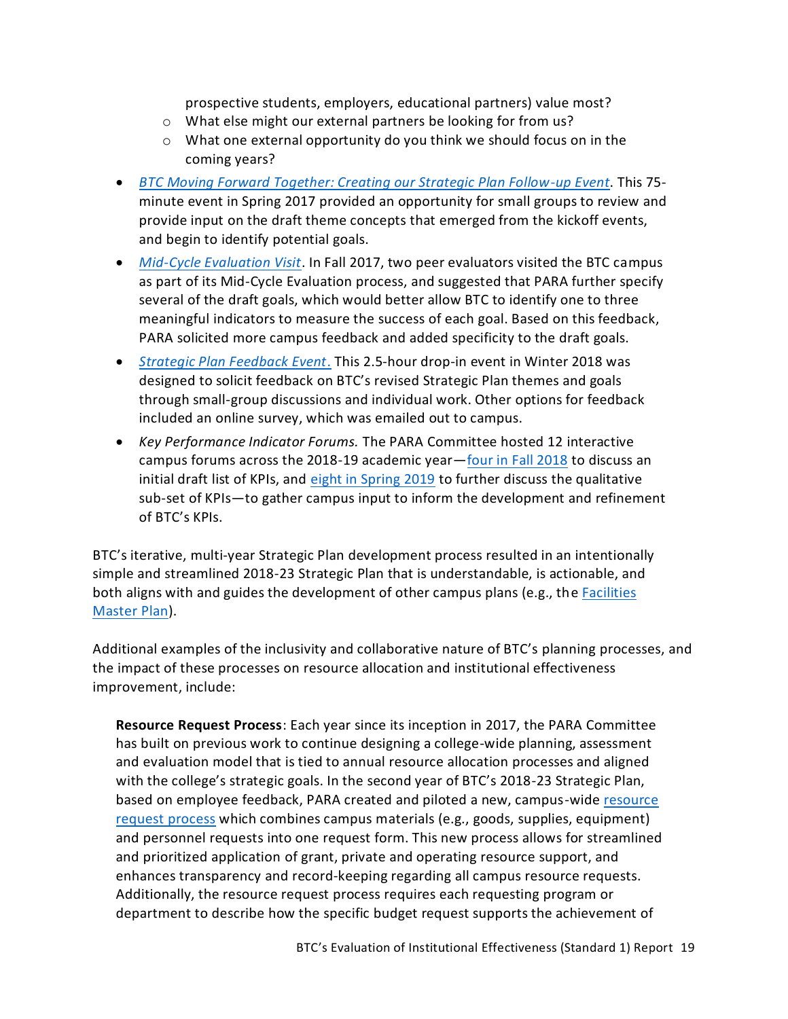prospective students, employers, educational partners) value most?

- o What else might our external partners be looking for from us?
- o What one external opportunity do you think we should focus on in the coming years?
- *[BTC Moving Forward Together: Creating our Strategic Plan Follow-up Event](https://nwccu.box.com/s/36yfwgy5ztdalgk2j2lky761hodiqlg1)*. This 75 minute event in Spring 2017 provided an opportunity for small groups to review and provide input on the draft theme concepts that emerged from the kickoff events, and begin to identify potential goals.
- *[Mid-Cycle Evaluation Visit](https://nwccu.box.com/s/wd7blby1k12mymoxyrnxwy13me2qoehm)*. In Fall 2017, two peer evaluators visited the BTC campus as part of its Mid-Cycle Evaluation process, and suggested that PARA further specify several of the draft goals, which would better allow BTC to identify one to three meaningful indicators to measure the success of each goal. Based on this feedback, PARA solicited more campus feedback and added specificity to the draft goals.
- *[Strategic Plan Feedback Event](https://nwccu.box.com/s/tsqehg5z124ilui37g0jpanh5hx8l89a)*. This 2.5-hour drop-in event in Winter 2018 was designed to solicit feedback on BTC's revised Strategic Plan themes and goals through small-group discussions and individual work. Other options for feedback included an online survey, which was emailed out to campus.
- *Key Performance Indicator Forums.* The PARA Committee hosted 12 interactive campus forums across the 2018-19 academic year—[four in Fall 2018](https://nwccu.box.com/s/d6dlkykeno7d6ubmijrnyf51nthy63nb) to discuss an initial draft list of KPIs, and [eight in Spring 2019](https://nwccu.box.com/s/nipofl086y337dpvjn80uxuo47t4sesk) to further discuss the qualitative sub-set of KPIs—to gather campus input to inform the development and refinement of BTC's KPIs.

BTC's iterative, multi-year Strategic Plan development process resulted in an intentionally simple and streamlined 2018-23 Strategic Plan that is understandable, is actionable, and both aligns with and guides the development of other campus plans (e.g., the [Facilities](https://nwccu.box.com/s/cu8hu9ixpa88rsa9thae4egt7bhaqh5m)  [Master Plan\)](https://nwccu.box.com/s/cu8hu9ixpa88rsa9thae4egt7bhaqh5m).

Additional examples of the inclusivity and collaborative nature of BTC's planning processes, and the impact of these processes on resource allocation and institutional effectiveness improvement, include:

**Resource Request Process**: Each year since its inception in 2017, the PARA Committee has built on previous work to continue designing a college-wide planning, assessment and evaluation model that is tied to annual resource allocation processes and aligned with the college's strategic goals. In the second year of BTC's 2018-23 Strategic Plan, based on employee feedback, PARA created and piloted a new, campus-wid[e resource](https://nwccu.box.com/s/ji6kdvxtgv23sct85xt9uuxzlm2gp027)  [request process](https://nwccu.box.com/s/ji6kdvxtgv23sct85xt9uuxzlm2gp027) which combines campus materials (e.g., goods, supplies, equipment) and personnel requests into one request form. This new process allows for streamlined and prioritized application of grant, private and operating resource support, and enhances transparency and record-keeping regarding all campus resource requests. Additionally, the resource request process requires each requesting program or department to describe how the specific budget request supports the achievement of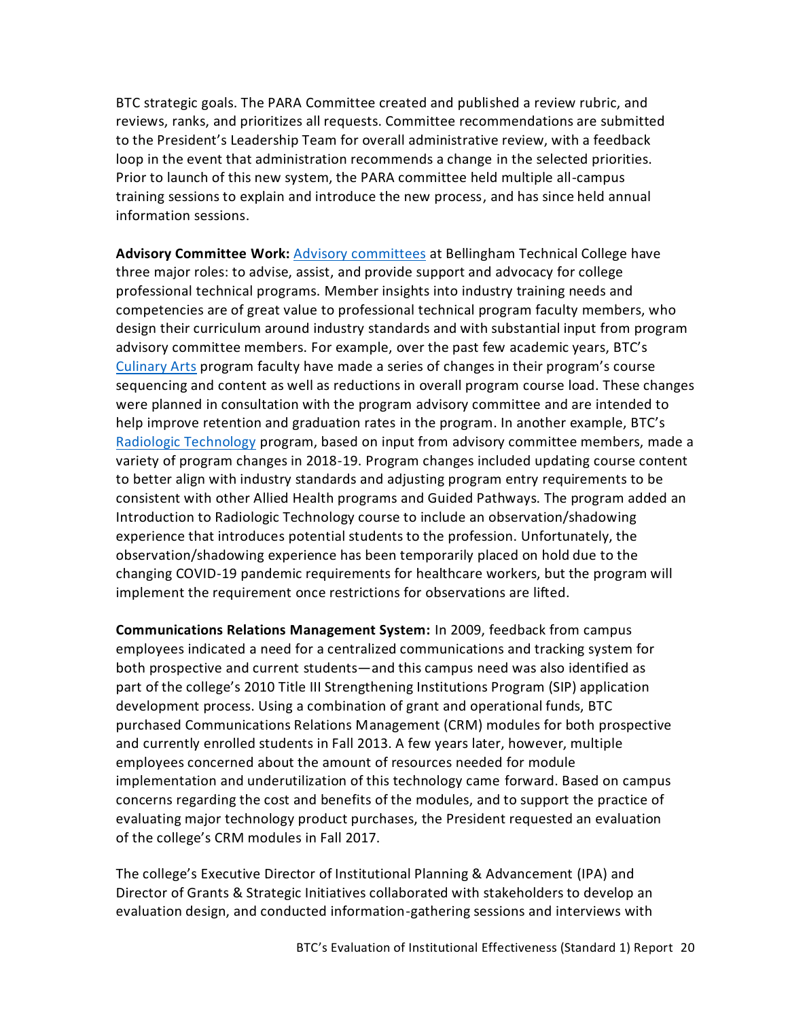BTC strategic goals. The PARA Committee created and published a review rubric, and reviews, ranks, and prioritizes all requests. Committee recommendations are submitted to the President's Leadership Team for overall administrative review, with a feedback loop in the event that administration recommends a change in the selected priorities. Prior to launch of this new system, the PARA committee held multiple all-campus training sessions to explain and introduce the new process, and has since held annual information sessions.

**Advisory Committee Work:** [Advisory committees](https://nwccu.box.com/s/b18mjbwq8gs65cmcepxrbytz7wpkcay8) at Bellingham Technical College have three major roles: to advise, assist, and provide support and advocacy for college professional technical programs. Member insights into industry training needs and competencies are of great value to professional technical program faculty members, who design their curriculum around industry standards and with substantial input from program advisory committee members. For example, over the past few academic years, BTC's [Culinary Arts](https://www.btc.edu/Academics/DegreesAndCertificates/CulinaryArts/index.html) program faculty have made a series of changes in their program's course sequencing and content as well as reductions in overall program course load. These changes were planned in consultation with the program advisory committee and are intended to help improve retention and graduation rates in the program. In another example, BTC's [Radiologic Technology](https://www.btc.edu/Academics/DegreesAndCertificates/RadiologicTechnology/index.html) program, based on input from advisory committee members, made a variety of program changes in 2018-19. Program changes included updating course content to better align with industry standards and adjusting program entry requirements to be consistent with other Allied Health programs and Guided Pathways. The program added an Introduction to Radiologic Technology course to include an observation/shadowing experience that introduces potential students to the profession. Unfortunately, the observation/shadowing experience has been temporarily placed on hold due to the changing COVID-19 pandemic requirements for healthcare workers, but the program will implement the requirement once restrictions for observations are lifted.

**Communications Relations Management System:** In 2009, feedback from campus employees indicated a need for a centralized communications and tracking system for both prospective and current students—and this campus need was also identified as part of the college's 2010 Title III Strengthening Institutions Program (SIP) application development process. Using a combination of grant and operational funds, BTC purchased Communications Relations Management (CRM) modules for both prospective and currently enrolled students in Fall 2013. A few years later, however, multiple employees concerned about the amount of resources needed for module implementation and underutilization of this technology came forward. Based on campus concerns regarding the cost and benefits of the modules, and to support the practice of evaluating major technology product purchases, the President requested an evaluation of the college's CRM modules in Fall 2017.

The college's Executive Director of Institutional Planning & Advancement (IPA) and Director of Grants & Strategic Initiatives collaborated with stakeholders to develop an evaluation design, and conducted information-gathering sessions and interviews with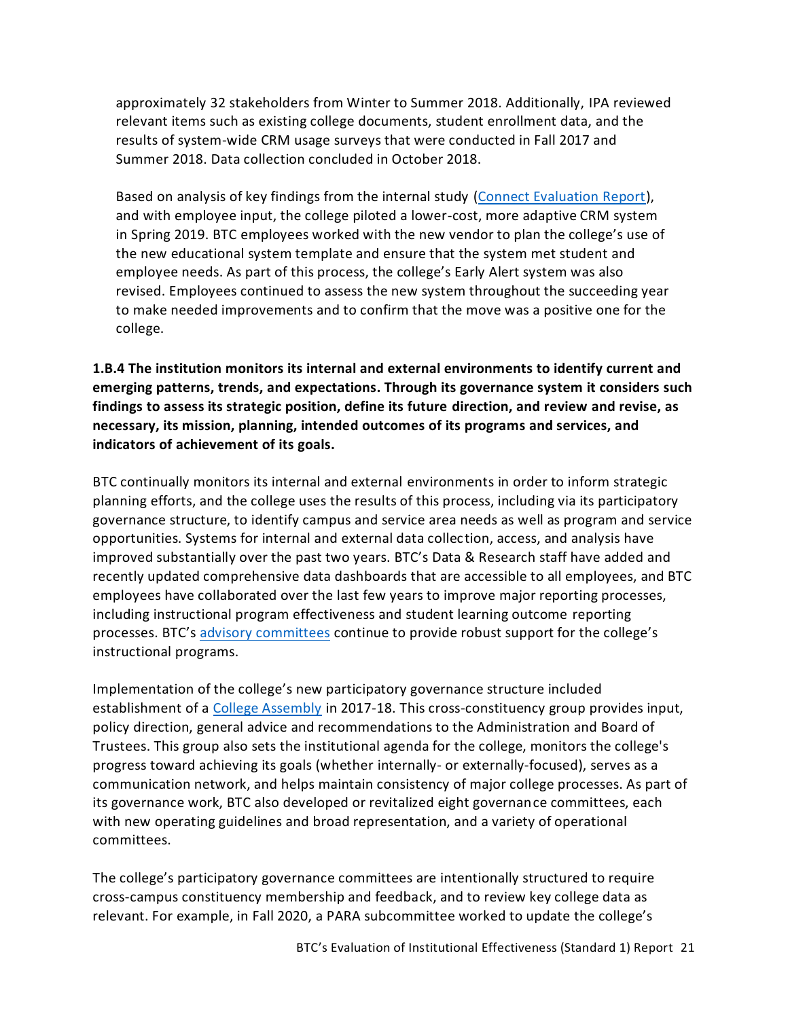approximately 32 stakeholders from Winter to Summer 2018. Additionally, IPA reviewed relevant items such as existing college documents, student enrollment data, and the results of system-wide CRM usage surveys that were conducted in Fall 2017 and Summer 2018. Data collection concluded in October 2018.

Based on analysis of key findings from the internal study [\(Connect Evaluation Report\)](https://nwccu.box.com/s/qx95zp2jmolr48zwxenfgjn8nuh1r7qt), and with employee input, the college piloted a lower-cost, more adaptive CRM system in Spring 2019. BTC employees worked with the new vendor to plan the college's use of the new educational system template and ensure that the system met student and employee needs. As part of this process, the college's Early Alert system was also revised. Employees continued to assess the new system throughout the succeeding year to make needed improvements and to confirm that the move was a positive one for the college.

<span id="page-22-0"></span>**1.B.4 The institution monitors its internal and external environments to identify current and emerging patterns, trends, and expectations. Through its governance system it considers such findings to assess its strategic position, define its future direction, and review and revise, as necessary, its mission, planning, intended outcomes of its programs and services, and indicators of achievement of its goals.**

BTC continually monitors its internal and external environments in order to inform strategic planning efforts, and the college uses the results of this process, including via its participatory governance structure, to identify campus and service area needs as well as program and service opportunities. Systems for internal and external data collection, access, and analysis have improved substantially over the past two years. BTC's Data & Research staff have added and recently updated comprehensive data dashboards that are accessible to all employees, and BTC employees have collaborated over the last few years to improve major reporting processes, including instructional program effectiveness and student learning outcome reporting processes. BTC's [advisory committees](https://nwccu.box.com/s/b18mjbwq8gs65cmcepxrbytz7wpkcay8) continue to provide robust support for the college's instructional programs.

Implementation of the college's new participatory governance structure included establishment of a [College Assembly](https://nwccu.box.com/s/xqdtznc74moap2ljy5jmxjcrmrazih81) in 2017-18. This cross-constituency group provides input, policy direction, general advice and recommendations to the Administration and Board of Trustees. This group also sets the institutional agenda for the college, monitors the college's progress toward achieving its goals (whether internally- or externally-focused), serves as a communication network, and helps maintain consistency of major college processes. As part of its governance work, BTC also developed or revitalized eight governance committees, each with new operating guidelines and broad representation, and a variety of operational committees.

The college's participatory governance committees are intentionally structured to require cross-campus constituency membership and feedback, and to review key college data as relevant. For example, in Fall 2020, a PARA subcommittee worked to update the college's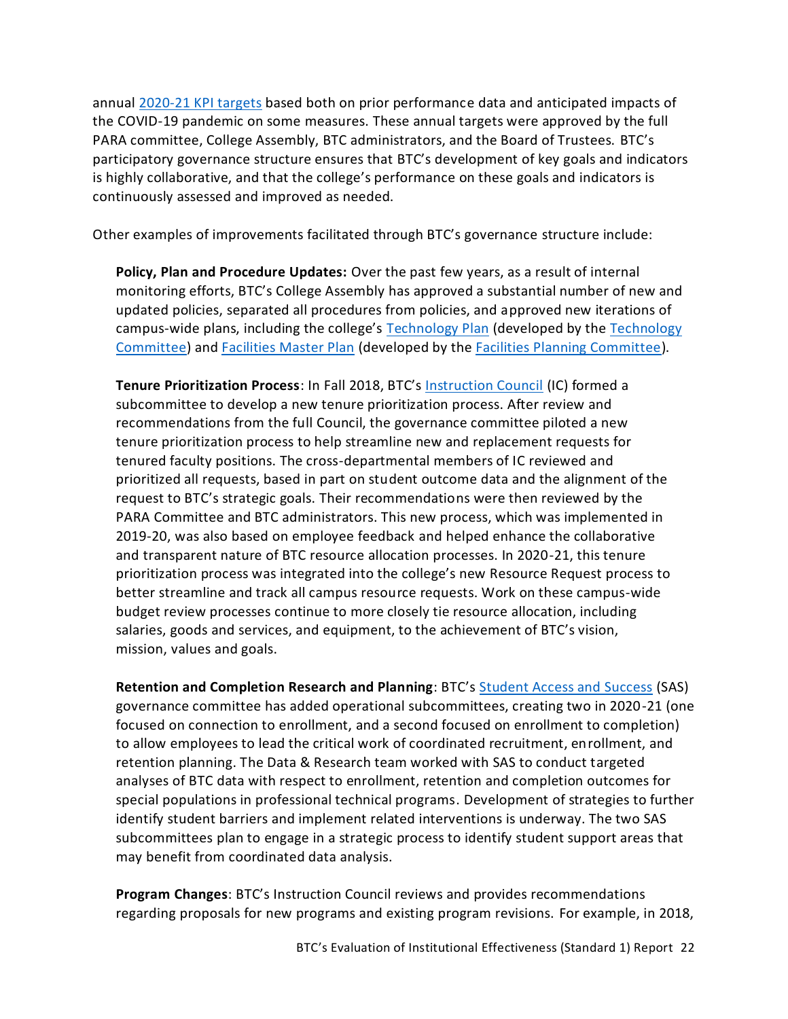annual [2020-21 KPI targets](https://nwccu.box.com/s/2yj9dv2nxnbisguxghjcqm06354yi5b1) based both on prior performance data and anticipated impacts of the COVID-19 pandemic on some measures. These annual targets were approved by the full PARA committee, College Assembly, BTC administrators, and the Board of Trustees. BTC's participatory governance structure ensures that BTC's development of key goals and indicators is highly collaborative, and that the college's performance on these goals and indicators is continuously assessed and improved as needed.

Other examples of improvements facilitated through BTC's governance structure include:

**Policy, Plan and Procedure Updates:** Over the past few years, as a result of internal monitoring efforts, BTC's College Assembly has approved a substantial number of new and updated policies, separated all procedures from policies, and approved new iterations of campus-wide plans, including the college's [Technology Plan](https://nwccu.box.com/s/uzqfbn60lx7tmh8tacczogouj3r3hngt) (developed by th[e Technology](https://nwccu.box.com/s/sflg15qqehsrk1ovlhg12ruudchloubt)  [Committee\)](https://nwccu.box.com/s/sflg15qqehsrk1ovlhg12ruudchloubt) and [Facilities Master Plan](https://nwccu.box.com/s/cu8hu9ixpa88rsa9thae4egt7bhaqh5m) (developed by the [Facilities Planning Committee\)](https://nwccu.box.com/s/72peg1ttfzadf2o4h0vi7gf343t78baj).

**Tenure Prioritization Process**: In Fall 2018, BTC's [Instruction Council](https://nwccu.box.com/s/ntmljr9nr7jdcttfr5jnajo9yjg65hk6) (IC) formed a subcommittee to develop a new tenure prioritization process. After review and recommendations from the full Council, the governance committee piloted a new tenure prioritization process to help streamline new and replacement requests for tenured faculty positions. The cross-departmental members of IC reviewed and prioritized all requests, based in part on student outcome data and the alignment of the request to BTC's strategic goals. Their recommendations were then reviewed by the PARA Committee and BTC administrators. This new process, which was implemented in 2019-20, was also based on employee feedback and helped enhance the collaborative and transparent nature of BTC resource allocation processes. In 2020-21, this tenure prioritization process was integrated into the college's new Resource Request process to better streamline and track all campus resource requests. Work on these campus-wide budget review processes continue to more closely tie resource allocation, including salaries, goods and services, and equipment, to the achievement of BTC's vision, mission, values and goals.

**Retention and Completion Research and Planning**: BTC's [Student Access and Success](https://nwccu.box.com/s/sf2o8ttdazszlxc4u7ast2vgfc1gjiuv) (SAS) governance committee has added operational subcommittees, creating two in 2020-21 (one focused on connection to enrollment, and a second focused on enrollment to completion) to allow employees to lead the critical work of coordinated recruitment, enrollment, and retention planning. The Data & Research team worked with SAS to conduct targeted analyses of BTC data with respect to enrollment, retention and completion outcomes for special populations in professional technical programs. Development of strategies to further identify student barriers and implement related interventions is underway. The two SAS subcommittees plan to engage in a strategic process to identify student support areas that may benefit from coordinated data analysis.

**Program Changes**: BTC's Instruction Council reviews and provides recommendations regarding proposals for new programs and existing program revisions. For example, in 2018,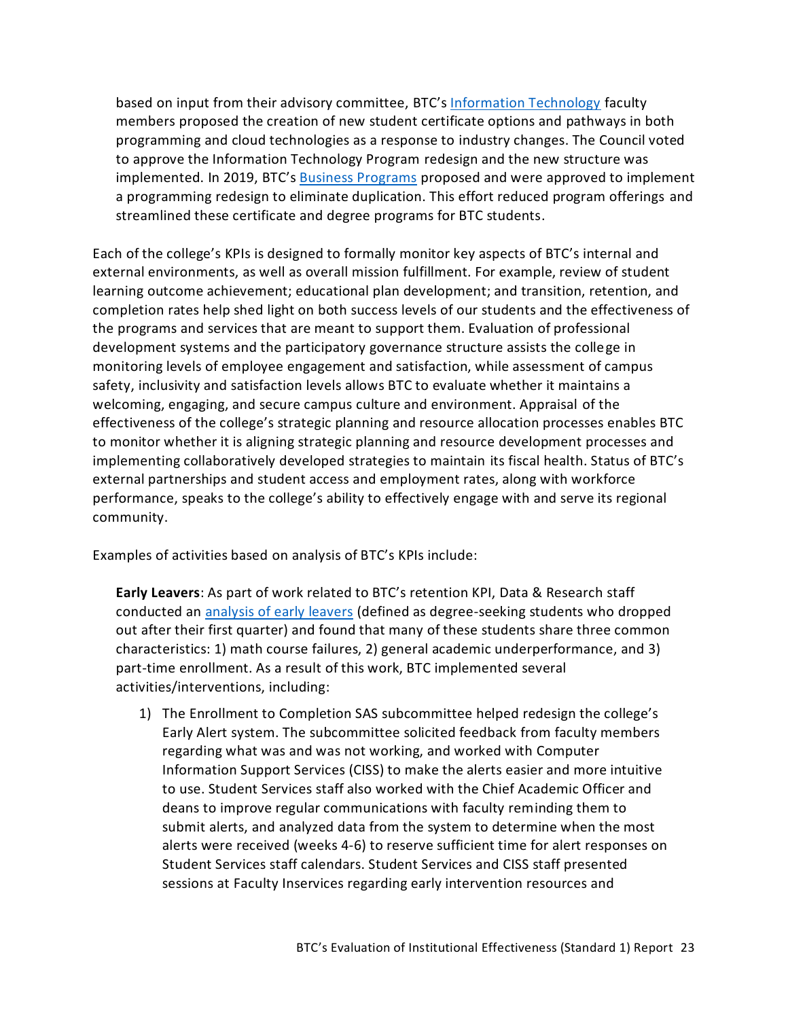based on input from their advisory committee, BTC's [Information Technology](https://www.btc.edu/Academics/AreasofStudy/InformationTechnology.html) faculty members proposed the creation of new student certificate options and pathways in both programming and cloud technologies as a response to industry changes. The Council voted to approve the Information Technology Program redesign and the new structure was implemented. In 2019, BTC's [Business Programs](https://www.btc.edu/Academics/AreasofStudy/BusinessPrograms.html) proposed and were approved to implement a programming redesign to eliminate duplication. This effort reduced program offerings and streamlined these certificate and degree programs for BTC students.

Each of the college's KPIs is designed to formally monitor key aspects of BTC's internal and external environments, as well as overall mission fulfillment. For example, review of student learning outcome achievement; educational plan development; and transition, retention, and completion rates help shed light on both success levels of our students and the effectiveness of the programs and services that are meant to support them. Evaluation of professional development systems and the participatory governance structure assists the college in monitoring levels of employee engagement and satisfaction, while assessment of campus safety, inclusivity and satisfaction levels allows BTC to evaluate whether it maintains a welcoming, engaging, and secure campus culture and environment. Appraisal of the effectiveness of the college's strategic planning and resource allocation processes enables BTC to monitor whether it is aligning strategic planning and resource development processes and implementing collaboratively developed strategies to maintain its fiscal health. Status of BTC's external partnerships and student access and employment rates, along with workforce performance, speaks to the college's ability to effectively engage with and serve its regional community.

Examples of activities based on analysis of BTC's KPIs include:

**Early Leavers**: As part of work related to BTC's retention KPI, Data & Research staff conducted an [analysis of early leavers](https://nwccu.box.com/s/jo1fm1k4svnzsp0v6s8m29vv24dva79t) (defined as degree-seeking students who dropped out after their first quarter) and found that many of these students share three common characteristics: 1) math course failures, 2) general academic underperformance, and 3) part-time enrollment. As a result of this work, BTC implemented several activities/interventions, including:

1) The Enrollment to Completion SAS subcommittee helped redesign the college's Early Alert system. The subcommittee solicited feedback from faculty members regarding what was and was not working, and worked with Computer Information Support Services (CISS) to make the alerts easier and more intuitive to use. Student Services staff also worked with the Chief Academic Officer and deans to improve regular communications with faculty reminding them to submit alerts, and analyzed data from the system to determine when the most alerts were received (weeks 4-6) to reserve sufficient time for alert responses on Student Services staff calendars. Student Services and CISS staff presented sessions at Faculty Inservices regarding early intervention resources and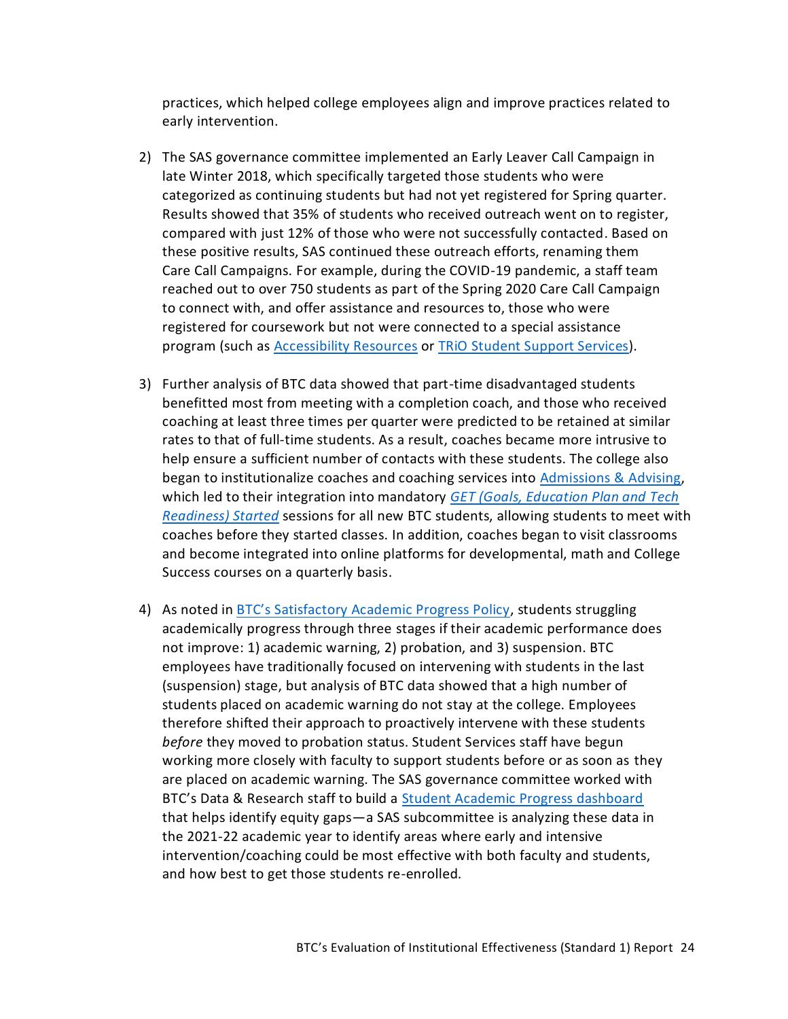practices, which helped college employees align and improve practices related to early intervention.

- 2) The SAS governance committee implemented an Early Leaver Call Campaign in late Winter 2018, which specifically targeted those students who were categorized as continuing students but had not yet registered for Spring quarter. Results showed that 35% of students who received outreach went on to register, compared with just 12% of those who were not successfully contacted. Based on these positive results, SAS continued these outreach efforts, renaming them Care Call Campaigns. For example, during the COVID-19 pandemic, a staff team reached out to over 750 students as part of the Spring 2020 Care Call Campaign to connect with, and offer assistance and resources to, those who were registered for coursework but not were connected to a special assistance program (such as [Accessibility Resources](https://www.btc.edu/CurrentStudents/AccessibilityResources/Index.html) or TRiO [Student Support Services\)](https://www.btc.edu/CurrentStudents/StudentResources/TRIO.html).
- 3) Further analysis of BTC data showed that part-time disadvantaged students benefitted most from meeting with a completion coach, and those who received coaching at least three times per quarter were predicted to be retained at similar rates to that of full-time students. As a result, coaches became more intrusive to help ensure a sufficient number of contacts with these students. The college also began to institutionalize coaches and coaching services into [Admissions &](https://www.btc.edu/CurrentStudents/AdmissionsAndAdvising/Index.html) Advising, which led to their integration into mandatory *[GET \(Goals, Education Plan and Tech](https://www.btc.edu/AboutBTC/Forms/getstarted.html)  [Readiness\) Started](https://www.btc.edu/AboutBTC/Forms/getstarted.html)* sessions for all new BTC students, allowing students to meet with coaches before they started classes. In addition, coaches began to visit classrooms and become integrated into online platforms for developmental, math and College Success courses on a quarterly basis.
- 4) As noted in [BTC's Satisfactory Academic Progress Policy](https://www.btc.edu/General/Forms/20-21%20-%20Satisfactory%20Academic%20Progress.pdf), students struggling academically progress through three stages if their academic performance does not improve: 1) academic warning, 2) probation, and 3) suspension. BTC employees have traditionally focused on intervening with students in the last (suspension) stage, but analysis of BTC data showed that a high number of students placed on academic warning do not stay at the college. Employees therefore shifted their approach to proactively intervene with these students *before* they moved to probation status. Student Services staff have begun working more closely with faculty to support students before or as soon as they are placed on academic warning. The SAS governance committee worked with BTC's Data & Research staff to build a **[Student Academic Progress dashboard](https://tableau.sbctc.edu/t/Bellingham/views/StudentAcademicProgress/Overview?%3AshowAppBanner=false&%3Adisplay_count=n&%3AshowVizHome=n&%3Aorigin=viz_share_link&%3AisGuestRedirectFromVizportal=y&%3Aembed=y)** that helps identify equity gaps—a SAS subcommittee is analyzing these data in the 2021-22 academic year to identify areas where early and intensive intervention/coaching could be most effective with both faculty and students, and how best to get those students re-enrolled.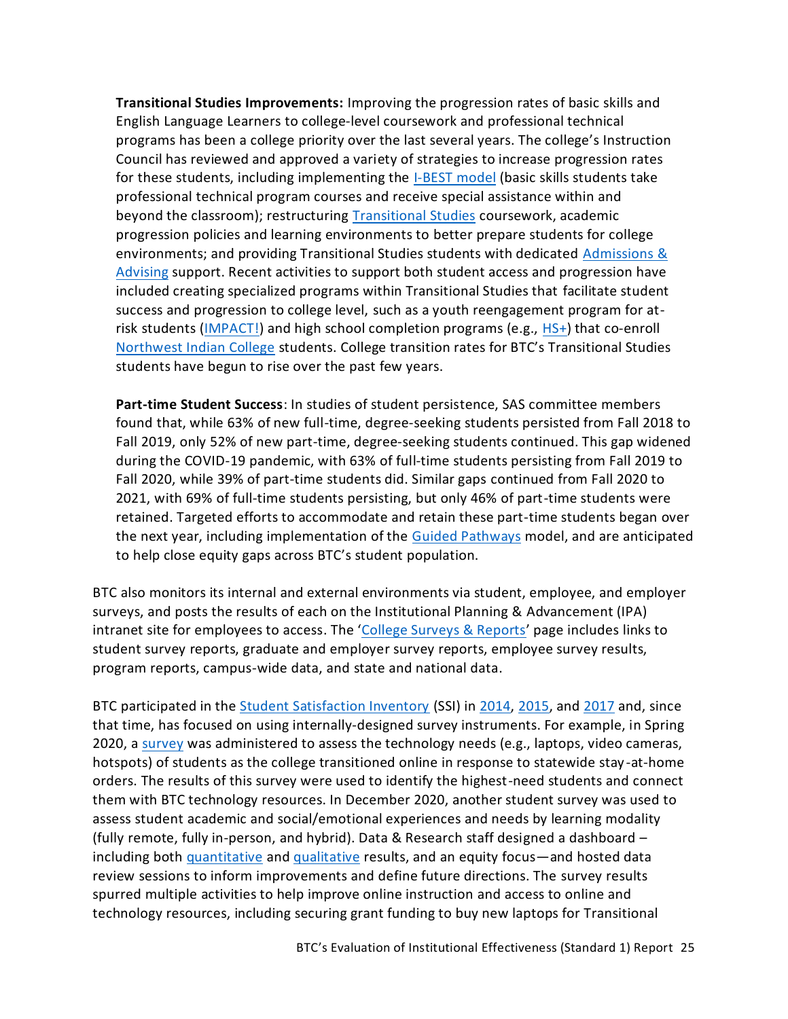**Transitional Studies Improvements:** Improving the progression rates of basic skills and English Language Learners to college-level coursework and professional technical programs has been a college priority over the last several years. The college's Instruction Council has reviewed and approved a variety of strategies to increase progression rates for these students, including implementing the [I-BEST model](https://www.btc.edu/Academics/TransitionalStudies.html#IBESTPrograms) (basic skills students take professional technical program courses and receive special assistance within and beyond the classroom); restructuring [Transitional Studies](https://www.btc.edu/Academics/TransitionalStudies.html) coursework, academic progression policies and learning environments to better prepare students for college environments; and providing Transitional Studies students with dedicated [Admissions &](https://www.btc.edu/CurrentStudents/AdmissionsAndAdvising/Index.html) [Advising](https://www.btc.edu/CurrentStudents/AdmissionsAndAdvising/Index.html) support. Recent activities to support both student access and progression have included creating specialized programs within Transitional Studies that facilitate student success and progression to college level, such as a youth reengagement program for atrisk students [\(IMPACT!\)](https://www.btc.edu/FutureStudents/HighSchoolPrograms/IMPACT.html) and high school completion programs (e.g., [HS+\)](https://www.btc.edu/Academics/TransitionalStudies.html#HighSchoolDiplomaHS+) that co-enroll [Northwest Indian College](https://www.nwic.edu/) students. College transition rates for BTC's Transitional Studies students have begun to rise over the past few years.

**Part-time Student Success**: In studies of student persistence, SAS committee members found that, while 63% of new full-time, degree-seeking students persisted from Fall 2018 to Fall 2019, only 52% of new part-time, degree-seeking students continued. This gap widened during the COVID-19 pandemic, with 63% of full-time students persisting from Fall 2019 to Fall 2020, while 39% of part-time students did. Similar gaps continued from Fall 2020 to 2021, with 69% of full-time students persisting, but only 46% of part-time students were retained. Targeted efforts to accommodate and retain these part-time students began over the next year, including implementation of the [Guided Pathways](https://www.sbctc.edu/colleges-staff/programs-services/student-success-center/guided-pathways.aspx) model, and are anticipated to help close equity gaps across BTC's student population.

BTC also monitors its internal and external environments via student, employee, and employer surveys, and posts the results of each on the Institutional Planning & Advancement (IPA) intranet site for employees to access. The '[College Surveys & Reports](https://nwccu.box.com/s/05worjl7185ng8c0jminvcrr6lqmnhp0)' page includes links to student survey reports, graduate and employer survey reports, employee survey results, program reports, campus-wide data, and state and national data.

BTC participated in the [Student Satisfaction Inventory](https://www.ruffalonl.com/enrollment-management-solutions/student-success/student-satisfaction-assessment/student-satisfaction-inventory/) (SSI) in [2014,](https://nwccu.box.com/s/4pqaefryv89g4wgzqzlktc2mz2l20xdd) [2015,](https://nwccu.box.com/s/z2ouj7nya150sgpesinufidkv91agcjt) and [2017](https://nwccu.box.com/s/14ipoayb5ysom8dms5lf0grjn9g0xvrp) and, since that time, has focused on using internally-designed survey instruments. For example, in Spring 2020, a [survey](https://nwccu.box.com/s/b935fjoa55pixdrqrv6h5zohymka7w6x) was administered to assess the technology needs (e.g., laptops, video cameras, hotspots) of students as the college transitioned online in response to statewide stay -at-home orders. The results of this survey were used to identify the highest-need students and connect them with BTC technology resources. In December 2020, another student survey was used to assess student academic and social/emotional experiences and needs by learning modality (fully remote, fully in-person, and hybrid). Data & Research staff designed a dashboard – including both [quantitative](https://tableau.sbctc.edu/t/Bellingham/views/AnnualStudentSurvey_Fall2020/Surveyinstrument?%3AshowAppBanner=false&%3Adisplay_count=n&%3AshowVizHome=n&%3Aorigin=viz_share_link&%3AisGuestRedirectFromVizportal=y&%3Aembed=y) an[d qualitative](https://nwccu.box.com/s/4oviw5qmqsf3rm2i1uavrkd7qnz8cci7) results, and an equity focus—and hosted data review sessions to inform improvements and define future directions. The [survey r](https://tableau.sbctc.edu/t/Bellingham/views/AnnualStudentSurvey_Fall2020/Surveyinstrument?%3AshowAppBanner=false&%3Adisplay_count=n&%3AshowVizHome=n&%3Aorigin=viz_share_link&%3AisGuestRedirectFromVizportal=y&%3Aembed=y)esults spurred multiple activities to help improve online instruction and access to online and technology resources, including securing grant funding to buy new laptops for Transitional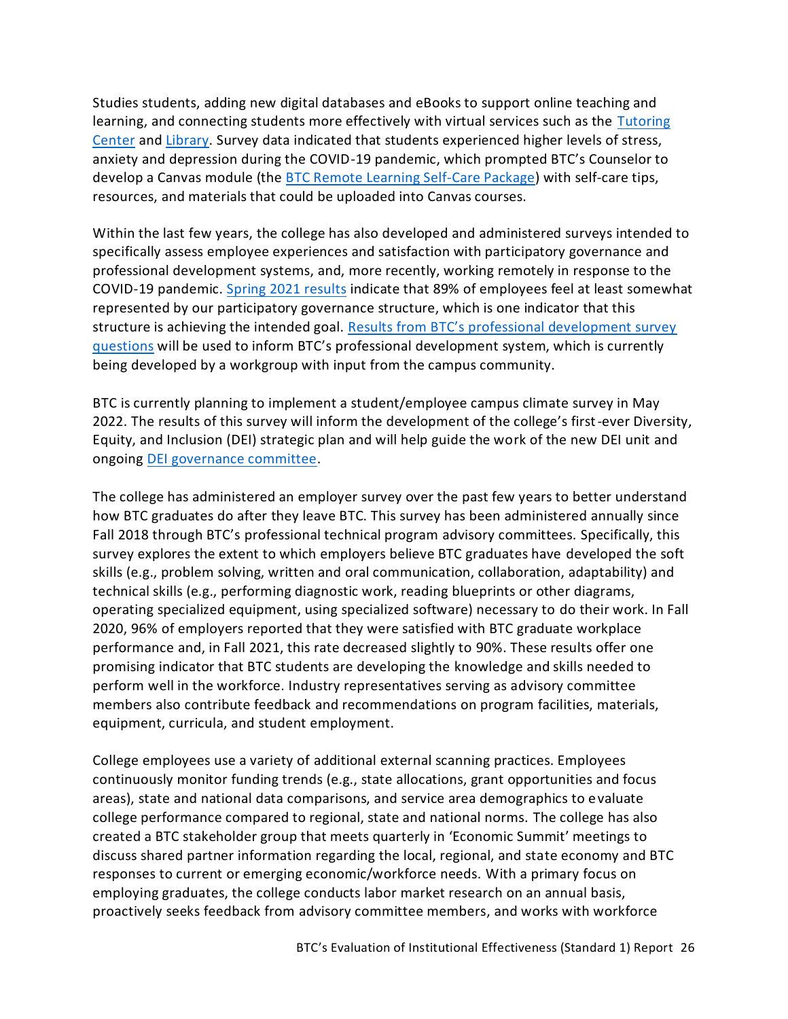Studies students, adding new digital databases and eBooks to support online teaching and learning, and connecting students more effectively with virtual services such as the [Tutoring](https://www.btc.edu/CurrentStudents/StudentResources/TutoringCenter.html)  [Center](https://www.btc.edu/CurrentStudents/StudentResources/TutoringCenter.html) an[d Library.](https://www.btc.edu/Academics/Library/Index.html) Survey data indicated that students experienced higher levels of stress, anxiety and depression during the COVID-19 pandemic, which prompted BTC's Counselor to develop a Canvas module (the [BTC Remote Learning Self-Care Package\)](https://nwccu.box.com/s/64kpgj4p67um2fu7ihhytq4piea5u7kx) with self-care tips, resources, and materials that could be uploaded into Canvas courses.

Within the last few years, the college has also developed and administered surveys intended to specifically assess employee experiences and satisfaction with participatory governance and professional development systems, and, more recently, working remotely in response to the COVID-19 pandemic. [Spring 2021 results](https://nwccu.box.com/s/y39nciy27xku0aiip5v50mn8ndu44vg0) indicate that 89% of employees feel at least somewhat represented by our participatory governance structure, which is one indicator that this structure is achieving the intended goal. Results from BTC's professional development survey [questions](https://nwccu.box.com/s/a55i8vtj9wih9on4gps3kh559g18t4x9) will be used to inform BTC's professional development system, which is currently being developed by a workgroup with input from the campus community.

BTC is currently planning to implement a student/employee campus climate survey in May 2022. The results of this survey will inform the development of the college's first-ever Diversity, Equity, and Inclusion (DEI) strategic plan and will help guide the work of the new DEI unit and ongoing [DEI governance committee.](https://nwccu.box.com/s/bt440mxcc9uvckshyez932jksrgmduao)

The college has administered an employer survey over the past few years to better understand how BTC graduates do after they leave BTC. This survey has been administered annually since Fall 2018 through BTC's professional technical program advisory committees. Specifically, this survey explores the extent to which employers believe BTC graduates have developed the soft skills (e.g., problem solving, written and oral communication, collaboration, adaptability) and technical skills (e.g., performing diagnostic work, reading blueprints or other diagrams, operating specialized equipment, using specialized software) necessary to do their work. In Fall 2020, 96% of employers reported that they were satisfied with BTC graduate workplace performance and, in Fall 2021, this rate decreased slightly to 90%. These results offer one promising indicator that BTC students are developing the knowledge and skills needed to perform well in the workforce. Industry representatives serving as advisory committee members also contribute feedback and recommendations on program facilities, materials, equipment, curricula, and student employment.

College employees use a variety of additional external scanning practices. Employees continuously monitor funding trends (e.g., state allocations, grant opportunities and focus areas), state and national data comparisons, and service area demographics to evaluate college performance compared to regional, state and national norms. The college has also created a BTC stakeholder group that meets quarterly in 'Economic Summit' meetings to discuss shared partner information regarding the local, regional, and state economy and BTC responses to current or emerging economic/workforce needs. With a primary focus on employing graduates, the college conducts labor market research on an annual basis, proactively seeks feedback from [advisory committee members,](https://sharepoint2013.btc.ctc.edu/sites/accreditation/Shared%20Documents/Instruction/Faculty/rptActiveMembers-ByProgram.pdf) and works with workforce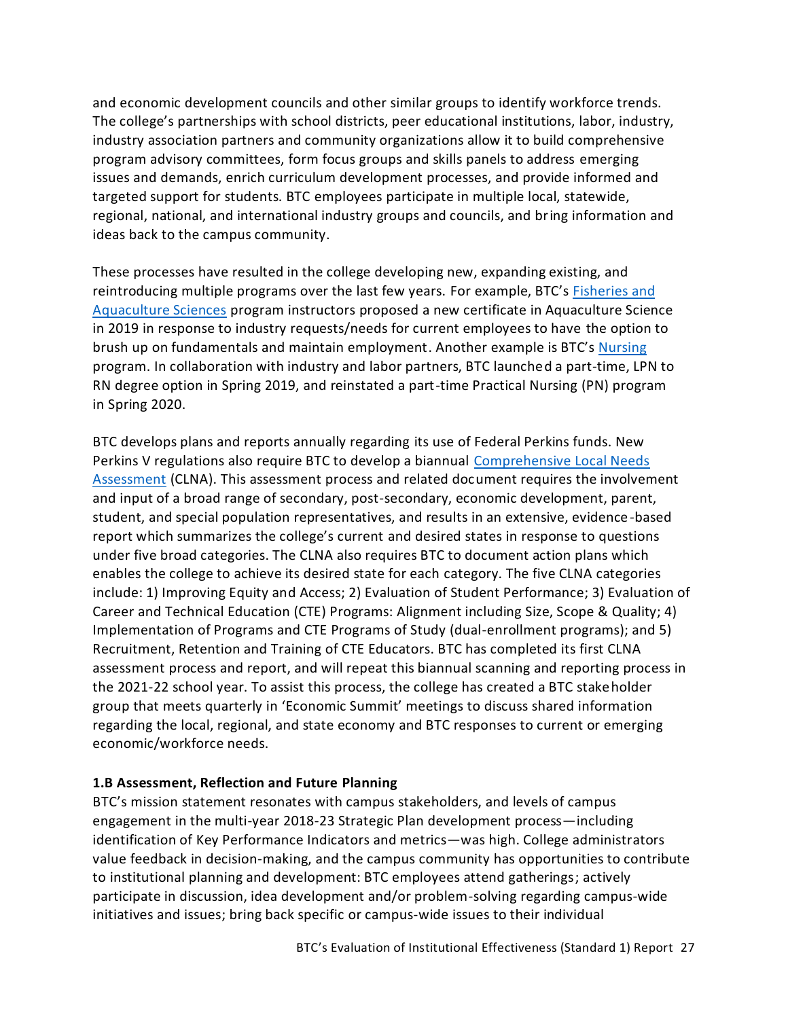and economic development councils and other similar groups to identify workforce trends. The college's partnerships with school districts, peer educational institutions, labor, industry, industry association partners and community organizations allow it to build comprehensive program advisory committees, form focus groups and skills panels to address emerging issues and demands, enrich curriculum development processes, and provide informed and targeted support for students. BTC employees participate in multiple local, statewide, regional, national, and international industry groups and councils, and bring information and ideas back to the campus community.

These processes have resulted in the college developing new, expanding existing, and reintroducing multiple programs over the last few years. For example, BTC's [Fisheries and](https://www.btc.edu/Academics/DegreesAndCertificates/FisheriesAndAquacultureSciences/index.html)  [Aquaculture Sciences](https://www.btc.edu/Academics/DegreesAndCertificates/FisheriesAndAquacultureSciences/index.html) program instructors proposed a new certificate in Aquaculture Science in 2019 in response to industry requests/needs for current employees to have the option to brush up on fundamentals and maintain employment. Another example is BTC's [Nursing](https://www.btc.edu/Academics/AreasofStudy/NursingandAlliedHealth.html) program. In collaboration with industry and labor partners, BTC launched a part-time, LPN to RN degree option in Spring 2019, and reinstated a part-time Practical Nursing (PN) program in Spring 2020.

BTC develops plans and reports annually regarding its use of Federal Perkins funds. New Perkins V regulations also require BTC to develop a biannual [Comprehensive Local Needs](https://nwccu.box.com/s/hoknrmrthy79o47p48ngoaxq72v8z360)  [Assessment](https://nwccu.box.com/s/hoknrmrthy79o47p48ngoaxq72v8z360) (CLNA). This assessment process and related document requires the involvement and input of a broad range of secondary, post-secondary, economic development, parent, student, and special population representatives, and results in an extensive, evidence-based report which summarizes the college's current and desired states in response to questions under five broad categories. The CLNA also requires BTC to document action plans which enables the college to achieve its desired state for each category. The five CLNA categories include: 1) Improving Equity and Access; 2) Evaluation of Student Performance; 3) Evaluation of Career and Technical Education (CTE) Programs: Alignment including Size, Scope & Quality; 4) Implementation of Programs and CTE Programs of Study (dual-enrollment programs); and 5) Recruitment, Retention and Training of CTE Educators. BTC has completed its first CLNA assessment process and report, and will repeat this biannual scanning and reporting process in the 2021-22 school year. To assist this process, the college has created a BTC stakeholder group that meets quarterly in 'Economic Summit' meetings to discuss shared information regarding the local, regional, and state economy and BTC responses to current or emerging economic/workforce needs.

#### <span id="page-28-0"></span>**1.B Assessment, Reflection and Future Planning**

BTC's mission statement resonates with campus stakeholders, and levels of campus engagement in the multi-year 2018-23 Strategic Plan development process—including identification of Key Performance Indicators and metrics—was high. College administrators value feedback in decision-making, and the campus community has opportunities to contribute to institutional planning and development: BTC employees attend gatherings; actively participate in discussion, idea development and/or problem-solving regarding campus-wide initiatives and issues; bring back specific or campus-wide issues to their individual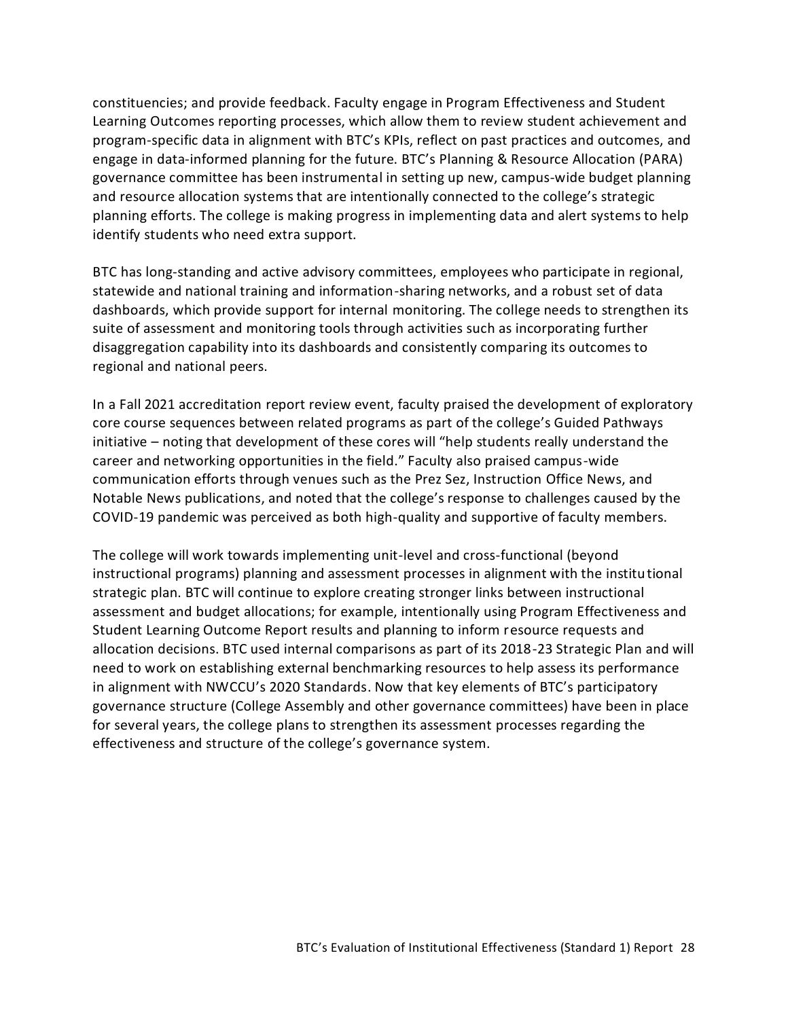constituencies; and provide feedback. Faculty engage in Program Effectiveness and Student Learning Outcomes reporting processes, which allow them to review student achievement and program-specific data in alignment with BTC's KPIs, reflect on past practices and outcomes, and engage in data-informed planning for the future. BTC's Planning & Resource Allocation (PARA) governance committee has been instrumental in setting up new, campus-wide budget planning and resource allocation systems that are intentionally connected to the college's strategic planning efforts. The college is making progress in implementing data and alert systems to help identify students who need extra support.

BTC has long-standing and active advisory committees, employees who participate in regional, statewide and national training and information-sharing networks, and a robust set of data dashboards, which provide support for internal monitoring. The college needs to strengthen its suite of assessment and monitoring tools through activities such as incorporating further disaggregation capability into its dashboards and consistently comparing its outcomes to regional and national peers.

In a Fall 2021 accreditation report review event, faculty praised the development of exploratory core course sequences between related programs as part of the college's Guided Pathways initiative – noting that development of these cores will "help students really understand the career and networking opportunities in the field." Faculty also praised campus-wide communication efforts through venues such as the Prez Sez, Instruction Office News, and Notable News publications, and noted that the college's response to challenges caused by the COVID-19 pandemic was perceived as both high-quality and supportive of faculty members.

<span id="page-29-0"></span>The college will work towards implementing unit-level and cross-functional (beyond instructional programs) planning and assessment processes in alignment with the institutional strategic plan. BTC will continue to explore creating stronger links between instructional assessment and budget allocations; for example, intentionally using Program Effectiveness and Student Learning Outcome Report results and planning to inform resource requests and allocation decisions. BTC used internal comparisons as part of its 2018-23 Strategic Plan and will need to work on establishing external benchmarking resources to help assess its performance in alignment with NWCCU's 2020 Standards. Now that key elements of BTC's participatory governance structure (College Assembly and other governance committees) have been in place for several years, the college plans to strengthen its assessment processes regarding the effectiveness and structure of the college's governance system.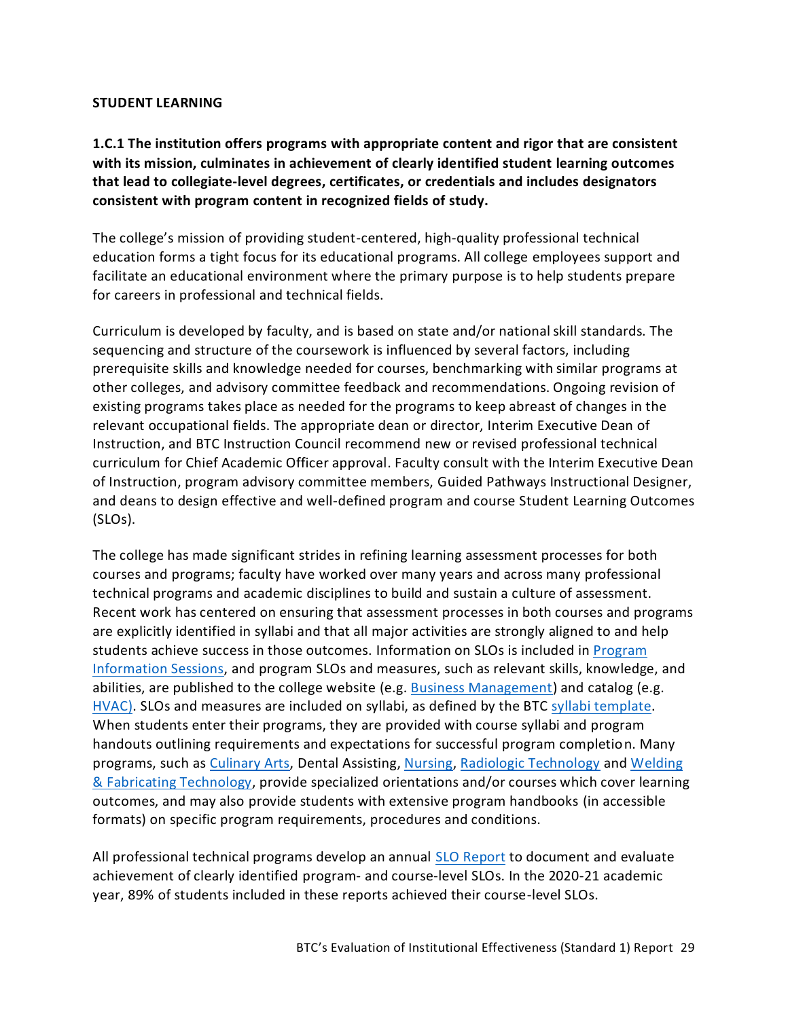#### **STUDENT LEARNING**

<span id="page-30-0"></span>**1.C.1 The institution offers programs with appropriate content and rigor that are consistent with its mission, culminates in achievement of clearly identified student learning outcomes that lead to collegiate-level degrees, certificates, or credentials and includes designators consistent with program content in recognized fields of study.**

The college's mission of providing student-centered, high-quality professional technical education forms a tight focus for its educational programs. All college employees support and facilitate an educational environment where the primary purpose is to help students prepare for careers in professional and technical fields.

Curriculum is developed by faculty, and is based on state and/or national skill standards. The sequencing and structure of the coursework is influenced by several factors, including prerequisite skills and knowledge needed for courses, benchmarking with similar programs at other colleges, and advisory committee feedback and recommendations. Ongoing revision of existing programs takes place as needed for the programs to keep abreast of changes in the relevant occupational fields. The appropriate dean or director, Interim Executive Dean of Instruction, and BTC Instruction Council recommend new or revised professional technical curriculum for Chief Academic Officer approval. Faculty consult with the Interim Executive Dean of Instruction, program advisory committee members, Guided Pathways Instructional Designer, and deans to design effective and well-defined program and course Student Learning Outcomes (SLOs).

The college has made significant strides in refining learning assessment processes for both courses and programs; faculty have worked over many years and across many professional technical programs and academic disciplines to build and sustain a culture of assessment. Recent work has centered on ensuring that assessment processes in both courses and programs are explicitly identified in syllabi and that all major activities are strongly aligned to and help students achieve success in those outcomes. Information on SLOs is included in **Program** [Information Sessions,](https://www.btc.edu/FutureStudents/ExploreYourPathway.html#InfoSessions) and program SLOs and measures, such as relevant skills, knowledge, and abilities, are published to the college website (e.g. [Business Management\)](https://www.btc.edu/Academics/DegreesAndCertificates/BusinessManagement/index.html) and catalog (e.g. [HVAC\)](https://catalog.btc.edu/preview_entity.php?catoid=10&ent_oid=617&returnto=238). SLOs and measures are included on syllabi, as defined by the BTC [syllabi template.](https://nwccu.box.com/s/9onzhwte6zo9noj6qgmsqdi6lm224yaw) When students enter their programs, they are provided with course syllabi and program handouts outlining requirements and expectations for successful program completion. Many programs, such a[s Culinary Arts,](https://www.btc.edu/Academics/DegreesAndCertificates/CulinaryArts/index.html) [Dental Assisting,](https://www.btc.edu/Academics/DegreesAndCertificates/DentalAssisting/Dental%20Assisting-Certificate.html) [Nursing,](https://www.btc.edu/Academics/AreasofStudy/NursingandAlliedHealth.html) [Radiologic Technology](https://www.btc.edu/Academics/DegreesAndCertificates/RadiologicTechnology/index.html) and Welding [& Fabricating Technology,](https://www.btc.edu/Academics/DegreesAndCertificates/WeldingAndFabricatingTechnology/index.html) provide specialized orientations and/or courses which cover learning outcomes, and may also provide students with extensive program handbooks (in accessible formats) on specific program requirements, procedures and conditions.

All professional technical programs develop an annual [SLO Report](https://nwccu.box.com/s/8q13adu9t68qba1jwybbj6d3vo7286v7) to document and evaluate achievement of clearly identified program- and course-level SLOs. In the 2020-21 academic year, 89% of students included in these reports achieved their course-level SLOs.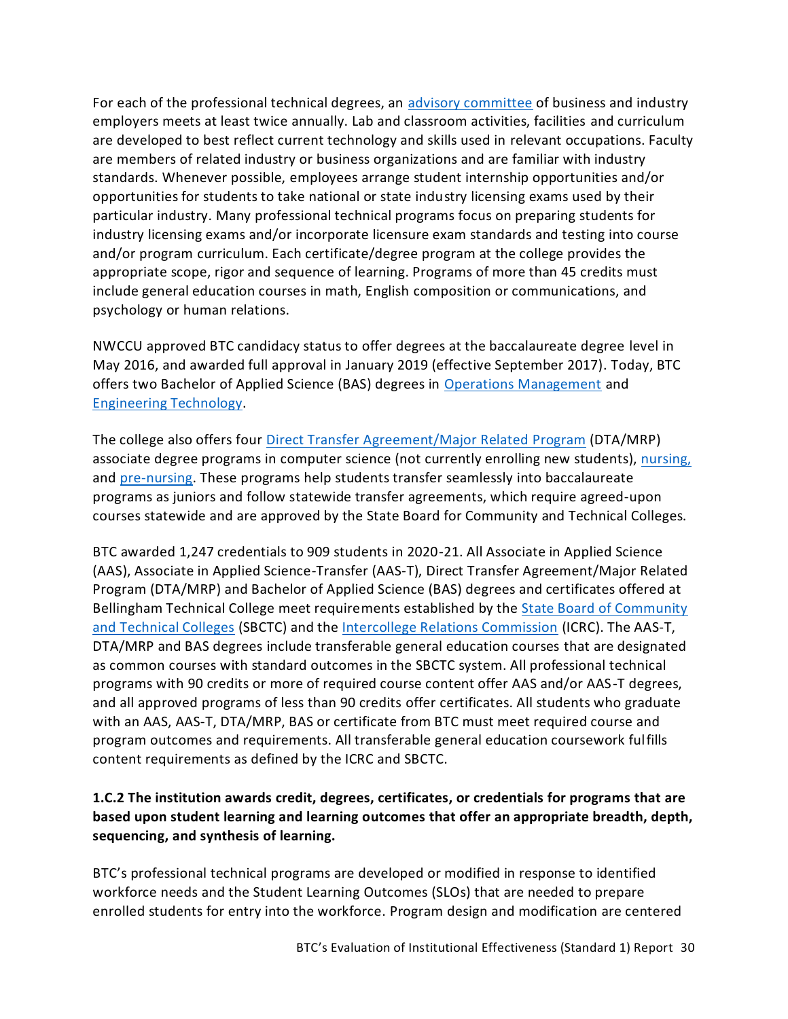For each of the professional technical degrees, an [advisory committee](https://nwccu.box.com/s/b18mjbwq8gs65cmcepxrbytz7wpkcay8) of business and industry employers meets at least twice annually. Lab and classroom activities, facilities and curriculum are developed to best reflect current technology and skills used in relevant occupations. Faculty are members of related industry or business organizations and are familiar with industry standards. Whenever possible, employees arrange student internship opportunities and/or opportunities for students to take national or state industry licensing exams used by their particular industry. Many professional technical programs focus on preparing students for industry licensing exams and/or incorporate licensure exam standards and testing into course and/or program curriculum. Each certificate/degree program at the college provides the appropriate scope, rigor and sequence of learning. Programs of more than 45 credits must include general education courses in math, English composition or communications, and psychology or human relations.

NWCCU approved BTC candidacy status to offer degrees at the baccalaureate degree level in May 2016, and awarded full approval in January 2019 (effective September 2017). Today, BTC offers two Bachelor of Applied Science (BAS) degrees in [Operations Management](https://www.btc.edu/Academics/DegreesAndCertificates/Operations%20Management/index.html) and [Engineering Technology.](https://www.btc.edu/Academics/DegreesAndCertificates/Engineering-BASET/index.html)

The college also offers four [Direct Transfer Agreement/Major Related Program](https://www.sbctc.edu/colleges-staff/programs-services/transfer/major-related-programs.aspx) (DTA/MRP) associate degree programs in computer science (not currently enrolling new students), [nursing,](https://www.btc.edu/Academics/DegreesAndCertificates/Nursing/Nursing-DTA-MRP-AssociateDegree.html) and [pre-nursing.](https://www.btc.edu/Academics/DegreesAndCertificates/Nursing/Nursing-DTA-MRP-Pre-Nursing.html) These programs help students transfer seamlessly into baccalaureate programs as juniors and follow statewide transfer agreements, which require agreed-upon courses statewide and are approved by the State Board for Community and Technical Colleges.

BTC awarded 1,247 credentials to 909 students in 2020-21. All Associate in Applied Science (AAS), Associate in Applied Science-Transfer (AAS-T), Direct Transfer Agreement/Major Related Program (DTA/MRP) and Bachelor of Applied Science (BAS) degrees and certificates offered at Bellingham Technical College meet requirements established by the State Board of Community [and Technical Colleges](https://www.sbctc.edu/) (SBCTC) and th[e Intercollege Relations Commission](https://www.wa-council.org/icrc/) (ICRC). The AAS-T, DTA/MRP and BAS degrees include transferable general education courses that are designated as common courses with standard outcomes in the SBCTC system. All professional technical programs with 90 credits or more of required course content offer AAS and/or AAS-T degrees, and all approved programs of less than 90 credits offer certificates. All students who graduate with an AAS, AAS-T, DTA/MRP, BAS or certificate from BTC must meet required course and program outcomes and requirements. All transferable general education coursework fulfills content requirements as defined by the ICRC and SBCTC.

# <span id="page-31-0"></span>**1.C.2 The institution awards credit, degrees, certificates, or credentials for programs that are based upon student learning and learning outcomes that offer an appropriate breadth, depth, sequencing, and synthesis of learning.**

BTC's professional technical programs are developed or modified in response to identified workforce needs and the Student Learning Outcomes (SLOs) that are needed to prepare enrolled students for entry into the workforce. Program design and modification are centered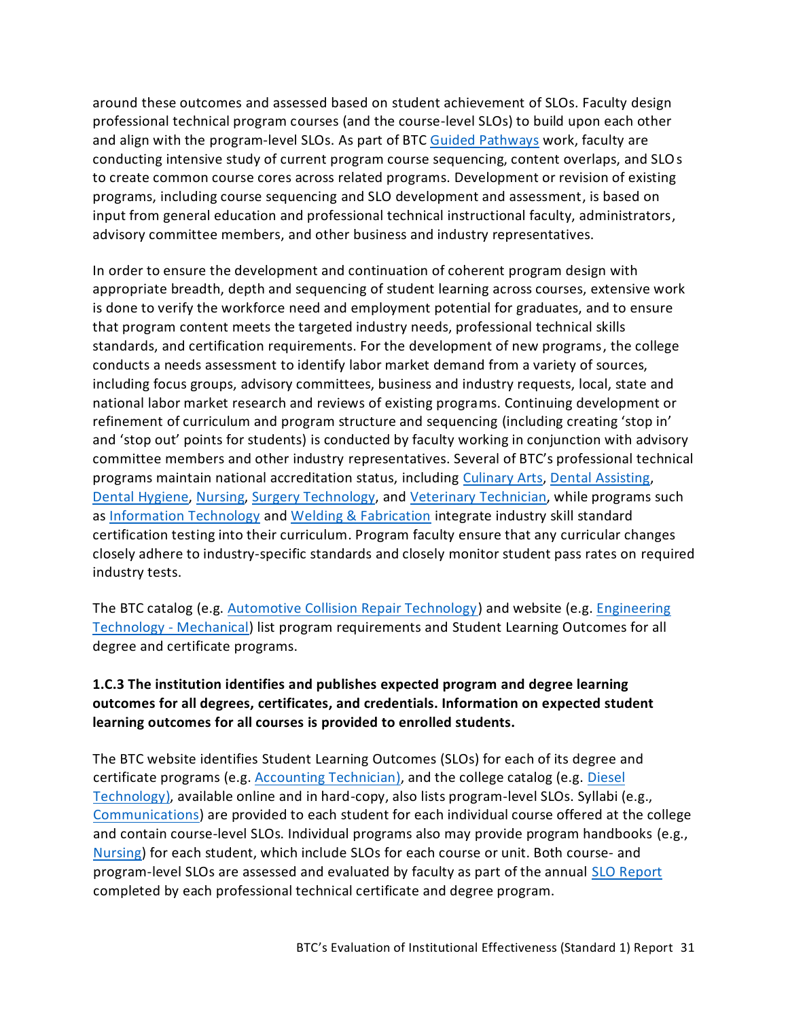around these outcomes and assessed based on student achievement of SLOs. Faculty design professional technical program courses (and the course-level SLOs) to build upon each other and align with the program-level SLOs. As part of BTC [Guided Pathways](https://nwccu.box.com/s/29zje421o3eb1y85igs15fhrgig3ne80) work, faculty are conducting intensive study of current program course sequencing, content overlaps, and SLOs to create common course cores across related programs. Development or revision of existing programs, including course sequencing and SLO development and assessment, is based on input from general education and professional technical instructional faculty, administrators, advisory committee members, and other business and industry representatives.

In order to ensure the development and continuation of coherent program design with appropriate breadth, depth and sequencing of student learning across courses, extensive work is done to verify the workforce need and employment potential for graduates, and to ensure that program content meets the targeted industry needs, professional technical skills standards, and certification requirements. For the development of new programs, the college conducts a needs assessment to identify labor market demand from a variety of sources, including focus groups, advisory committees, business and industry requests, local, state and national labor market research and reviews of existing programs. Continuing development or refinement of curriculum and program structure and sequencing (including creating 'stop in' and 'stop out' points for students) is conducted by faculty working in conjunction with advisory committee members and other industry representatives. Several of BTC's professional technical programs maintain national accreditation status, including [Culinary Arts,](https://nwccu.box.com/s/6pasisyz9y7zdo3wf35zdohszuf5qcxw) [Dental Assisting,](https://nwccu.box.com/s/q28zrb261ayt6a1wyo7h8mnv9e239zx2) [Dental Hygiene,](https://nwccu.box.com/s/wbct58szvnfnybjwn6yzhv458urmr431) [Nursing,](https://nwccu.box.com/s/58x6h84v5sjehaznqmfntn8j5zwljlya) [Surgery Technology,](https://nwccu.box.com/s/s9x0n2wb0cvsfjpe2zcegoknyd2gscqb) and [Veterinary Technician,](https://nwccu.box.com/s/bnz4o2mgplrh9eerdd99k4uz0vw2lxet) while programs such as [Information Technology](https://www.btc.edu/Academics/AreasofStudy/InformationTechnology.html) and [Welding & Fabrication](https://www.btc.edu/Academics/DegreesAndCertificates/WeldingAndFabricatingTechnology/index.html) integrate industry skill standard certification testing into their curriculum. Program faculty ensure that any curricular changes closely adhere to industry-specific standards and closely monitor student pass rates on required industry tests.

The BTC catalog (e.g. [Automotive Collision Repair Technology\)](https://catalog.btc.edu/preview_program.php?catoid=10&poid=1039&returnto=238) and website (e.g. [Engineering](https://www.btc.edu/Academics/DegreesAndCertificates/Engineering-Mechanical/index.html)  [Technology -](https://www.btc.edu/Academics/DegreesAndCertificates/Engineering-Mechanical/index.html) Mechanical) list program requirements and Student Learning Outcomes for all degree and certificate programs.

# <span id="page-32-0"></span>**1.C.3 The institution identifies and publishes expected program and degree learning outcomes for all degrees, certificates, and credentials. Information on expected student learning outcomes for all courses is provided to enrolled students.**

The BTC website identifies Student Learning Outcomes (SLOs) for each of its degree and certificate programs (e.g. [Accounting Technician\)](https://www.btc.edu/Academics/DegreesAndCertificates/Accounting/index.html), and the college catalog (e.g. [Diesel](https://catalog.btc.edu/preview_entity.php?catoid=10&ent_oid=588&returnto=238)  [Technology\)](https://catalog.btc.edu/preview_entity.php?catoid=10&ent_oid=588&returnto=238), available online and in hard-copy, also lists program-level SLOs. Syllabi (e.g., [Communications\)](https://nwccu.box.com/s/gyfx9p1uau5x644cm54uojvs1aenjqh1) are provided to each student for each individual course offered at the college and contain course-level SLOs. Individual programs also may provide program handbooks (e.g., [Nursing\)](https://www.btc.edu/files/Documents/Publications/Programs/21-22%20Nursing%20Student%20Program%20Handbook.pdf) for each student, which include SLOs for each course or unit. Both course- and program-level SLOs are assessed and evaluated by faculty as part of the annual SLO [Report](https://nwccu.box.com/s/8q13adu9t68qba1jwybbj6d3vo7286v7) completed by each professional technical certificate and degree program.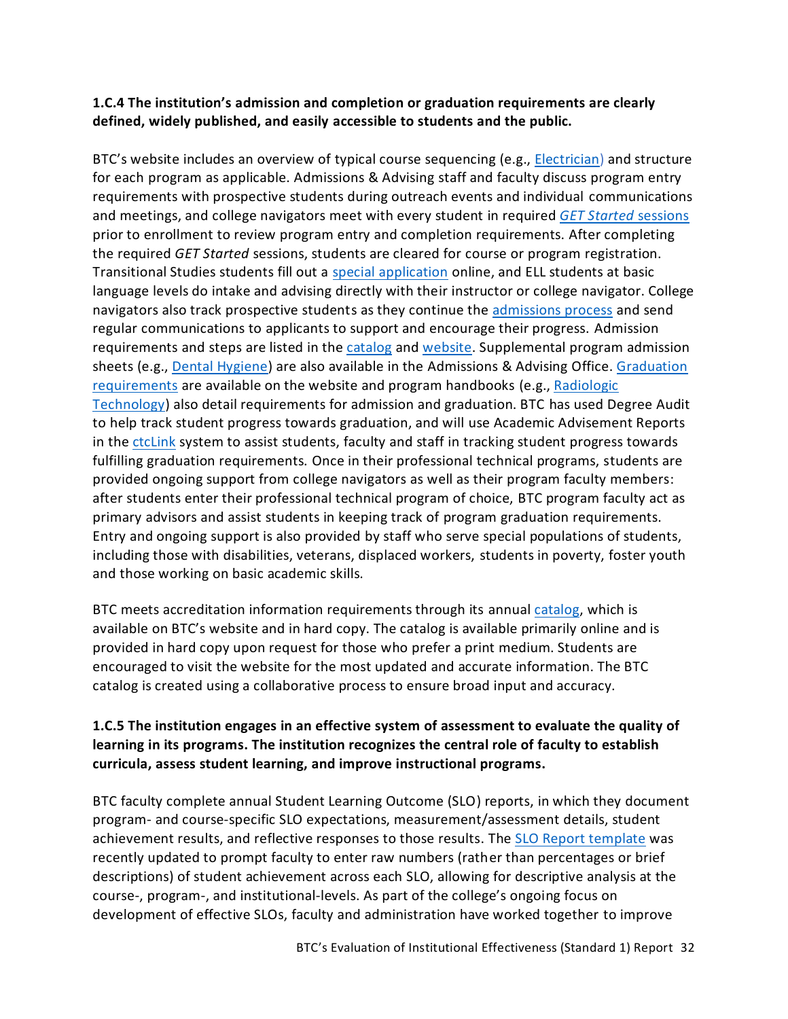### <span id="page-33-0"></span>**1.C.4 The institution's admission and completion or graduation requirements are clearly defined, widely published, and easily accessible to students and the public.**

BTC's website includes an overview of typical course sequencing (e.g., [Electrician\)](https://www.btc.edu/Academics/DegreesAndCertificates/Electrician/index.html#Classes) and structure for each program as applicable. Admissions & Advising staff and faculty discuss program entry requirements with prospective students during outreach events and individual communications and meetings, and college navigators meet with every student in required *GET Started* [sessions](https://www.btc.edu/AboutBTC/Forms/getstarted.html) prior to enrollment to review program entry and completion requirements. After completing the required *GET Started* sessions, students are cleared for course or program registration. Transitional Studies students fill out a [special application](https://nwccu.box.com/s/laivxpo95b8c3r6a8qgiid7gbozl18zw) online, and ELL students at basic language levels do intake and advising directly with their instructor or college navigator. College navigators also track prospective students as they continue the [admissions process](https://www.btc.edu/FutureStudents/AdmissionsSteps.html) and send regular communications to applicants to support and encourage their progress. [Admission](https://catalog.btc.edu/content.php?catoid=10&navoid=240)  [requirements](https://catalog.btc.edu/content.php?catoid=10&navoid=240) and steps are listed in the [catalog](https://catalog.btc.edu/content.php?catoid=10&navoid=240#enrollment-services) and [website.](https://www.btc.edu/FutureStudents/AdmissionsSteps.html) Supplemental program admission sheets (e.g., [Dental Hygiene\)](https://nwccu.box.com/s/chop6zqtk3w52adn1s4aox4a3aahlm6c) are also available in the Admissions & Advising Office[. Graduation](https://www.btc.edu/CurrentStudents/StudentResources/CommencementGraduationInformation.html)  [requirements](https://www.btc.edu/CurrentStudents/StudentResources/CommencementGraduationInformation.html) are available on the website and program handbooks (e.g., [Radiologic](https://nwccu.box.com/s/xv2wf4eqanprl8fodpk58s4r8cj71kgu)  [Technology\)](https://nwccu.box.com/s/xv2wf4eqanprl8fodpk58s4r8cj71kgu) also detail requirements for admission and graduation. BTC has used Degree Audit to help track student progress towards graduation, and will use Academic Advisement Reports in the [ctcLink](https://www.sbctc.edu/colleges-staff/it-support/ctclink/) system to assist students, faculty and staff in tracking student progress towards fulfilling graduation requirements. Once in their professional technical programs, students are provided ongoing support from college navigators as well as their program faculty members: after students enter their professional technical program of choice, BTC program faculty act as primary advisors and assist students in keeping track of program graduation requirements. Entry and ongoing support is also provided by staff who serve special populations of students, including those with disabilities, veterans, displaced workers, students in poverty, foster youth and those working on basic academic skills.

BTC meets accreditation information requirements through its annual [catalog,](https://catalog.btc.edu/) which is available on BTC's website and in hard copy. The catalog is available primarily online and is provided in hard copy upon request for those who prefer a print medium. Students are encouraged to visit the website for the most updated and accurate information. The BTC catalog is created using a collaborative process to ensure broad input and accuracy.

## <span id="page-33-1"></span>**1.C.5 The institution engages in an effective system of assessment to evaluate the quality of learning in its programs. The institution recognizes the central role of faculty to establish curricula, assess student learning, and improve instructional programs.**

BTC faculty complete annual Student Learning Outcome (SLO) reports, in which they document program- and course-specific SLO expectations, measurement/assessment details, student achievement results, and reflective responses to those results. The [SLO Report template](https://nwccu.box.com/s/ete0pizhbcrzg1p69sz2wb5nfqatawhw) was recently updated to prompt faculty to enter raw numbers (rather than percentages or brief descriptions) of student achievement across each SLO, allowing for descriptive analysis at the course-, program-, and institutional-levels. As part of the college's ongoing focus on development of effective SLOs, faculty and administration have worked together to improve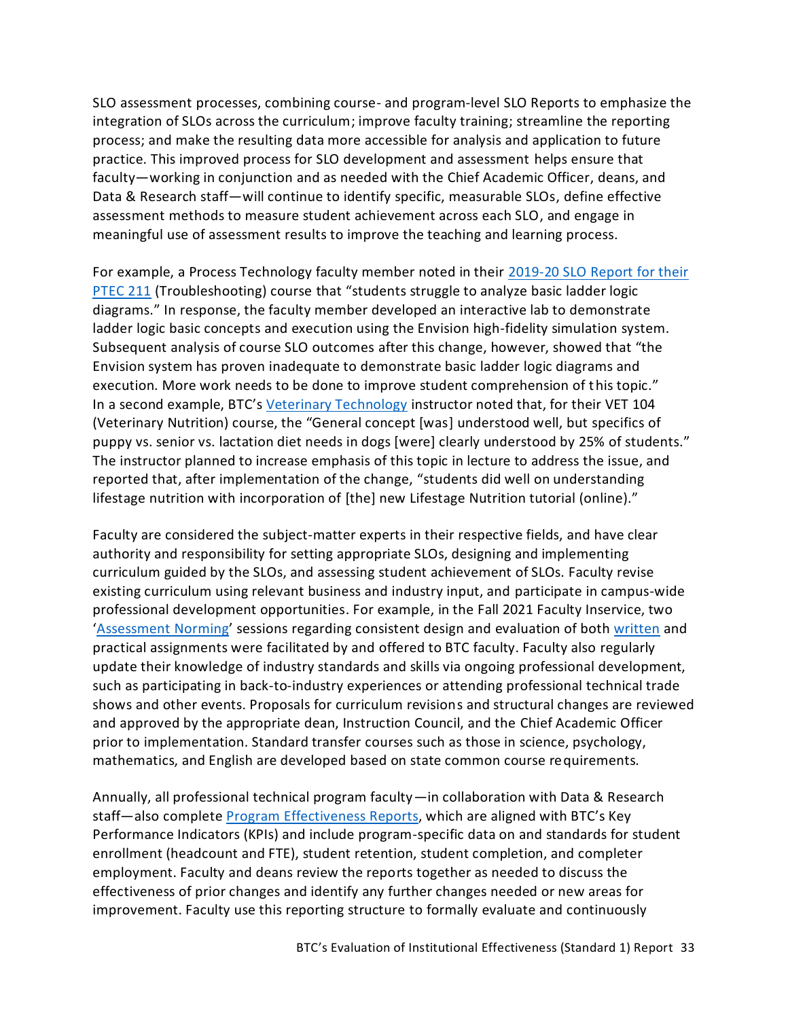SLO assessment processes, combining course- and program-level SLO Reports to emphasize the integration of SLOs across the curriculum; improve faculty training; streamline the reporting process; and make the resulting data more accessible for analysis and application to future practice. This improved process for SLO development and assessment helps ensure that faculty—working in conjunction and as needed with the Chief Academic Officer, deans, and Data & Research staff—will continue to identify specific, measurable SLOs, define effective assessment methods to measure student achievement across each SLO, and engage in meaningful use of assessment results to improve the teaching and learning process.

For example, a Process Technology faculty member noted in their 2019-20 [SLO Report for their](https://nwccu.box.com/s/2jwj7e6u1cu6wmk54lwv3vtnst8mgm22)  [PTEC 211](https://nwccu.box.com/s/2jwj7e6u1cu6wmk54lwv3vtnst8mgm22) (Troubleshooting) course that "students struggle to analyze basic ladder logic diagrams." In response, the faculty member developed an interactive lab to demonstrate ladder logic basic concepts and execution using the Envision high-fidelity simulation system. Subsequent analysis of course SLO outcomes after this change, however, showed that "the Envision system has proven inadequate to demonstrate basic ladder logic diagrams and execution. More work needs to be done to improve student comprehension of this topic." In a second example, BTC's [Veterinary Technology](https://nwccu.box.com/s/bk0wqd6hw7dcqq523enc4one9jozco1e) instructor noted that, for their VET 104 (Veterinary Nutrition) course, the "General concept [was] understood well, but specifics of puppy vs. senior vs. lactation diet needs in dogs [were] clearly understood by 25% of students." The instructor planned to increase emphasis of this topic in lecture to address the issue, and reported that, after implementation of the change, "students did well on understanding lifestage nutrition with incorporation of [the] new Lifestage Nutrition tutorial (online)."

Faculty are considered the subject-matter experts in their respective fields, and have clear authority and responsibility for setting appropriate SLOs, designing and implementing curriculum guided by the SLOs, and assessing student achievement of SLOs. Faculty revise existing curriculum using relevant business and industry input, and participate in campus-wide professional development opportunities. For example, in the Fall 2021 Faculty Inservice, two '[Assessment Norming](https://nwccu.box.com/s/s8och64wi1cme7p27y6y09ucg22bccdk)' sessions regarding consistent design and evaluation of bot[h written](https://nwccu.box.com/s/961y1o2vh2lg3359t427vdvcgecpl2bu) and practical assignments were facilitated by and offered to BTC faculty. Faculty also regularly update their knowledge of industry standards and skills via ongoing professional development, such as participating in back-to-industry experiences or attending professional technical trade shows and other events. Proposals for curriculum revisions and structural changes are reviewed and approved by the appropriate dean, Instruction Council, and the Chief Academic Officer prior to implementation. Standard transfer courses such as those in science, psychology, mathematics, and English are developed based on state common course requirements.

Annually, all professional technical program faculty—in collaboration with Data & Research staff—also complete [Program Effectiveness Reports,](https://nwccu.box.com/s/68pmk7kf91law5dytrf1vafwoqgv7xfs) which are aligned with BTC's Key Performance Indicators (KPIs) and include program-specific data on and standards for student enrollment (headcount and FTE), student retention, student completion, and completer employment. Faculty and deans review the reports together as needed to discuss the effectiveness of prior changes and identify any further changes needed or new areas for improvement. Faculty use this reporting structure to formally evaluate and continuously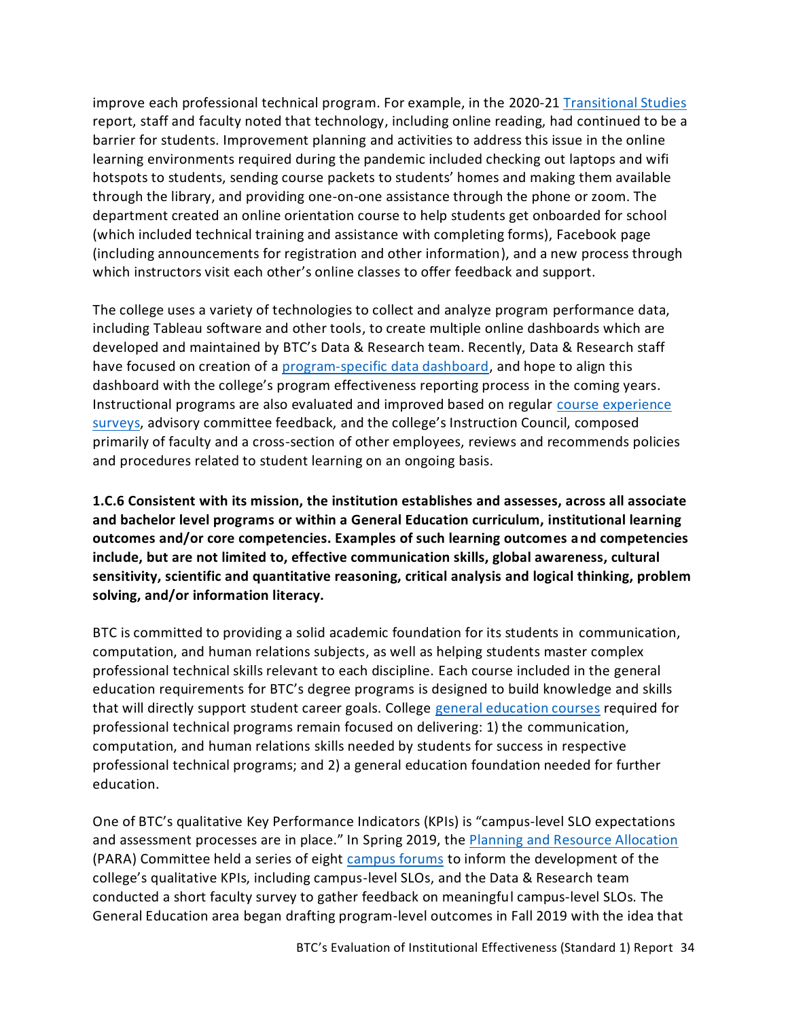improve each professional technical program. For example, in the 2020-21 [Transitional Studies](https://nwccu.box.com/s/uwofyiibfac0gqpc64lgfw8mlsdmrbeu) report, staff and faculty noted that technology, including online reading, had continued to be a barrier for students. Improvement planning and activities to address this issue in the online learning environments required during the pandemic included checking out laptops and wifi hotspots to students, sending course packets to students' homes and making them available through the library, and providing one-on-one assistance through the phone or zoom. The department created an online orientation course to help students get onboarded for school (which included technical training and assistance with completing forms), Facebook page (including announcements for registration and other information), and a new process through which instructors visit each other's online classes to offer feedback and support.

The college uses a variety of technologies to collect and analyze program performance data, including Tableau software and other tools, to create multiple online dashboards which are developed and maintained by BTC's Data & Research team. Recently, Data & Research staff have focused on creation of a [program-specific data dashboard,](https://tableau.sbctc.edu/t/Bellingham/views/Programdashboard/Introduction?iframeSizedToWindow=true&:embed=y&:showAppBanner=false&:display_count=no&:showVizHome=no&:origin=viz_share_link) and hope to align this dashboard with the college's program effectiveness reporting process in the coming years. Instructional programs are also evaluated and improved based on regular [course experience](https://nwccu.box.com/s/bx8cex79oalcxjc8p49bqif5u6tjdta8)  [surveys,](https://nwccu.box.com/s/bx8cex79oalcxjc8p49bqif5u6tjdta8) advisory committee feedback, and the college's Instruction Council, composed primarily of faculty and a cross-section of other employees, reviews and recommends policies and procedures related to student learning on an ongoing basis.

<span id="page-35-0"></span>**1.C.6 Consistent with its mission, the institution establishes and assesses, across all associate and bachelor level programs or within a General Education curriculum, institutional learning outcomes and/or core competencies. Examples of such learning outcomes and competencies include, but are not limited to, effective communication skills, global awareness, cultural sensitivity, scientific and quantitative reasoning, critical analysis and logical thinking, problem solving, and/or information literacy.**

BTC is committed to providing a solid academic foundation for its students in communication, computation, and human relations subjects, as well as helping students master complex professional technical skills relevant to each discipline. Each course included in the general education requirements for BTC's degree programs is designed to build knowledge and skills that will directly support student career goals. College [general education courses](https://www.btc.edu/Academics/GeneralEdTransfer.html#GeneralEducationClasses) required for professional technical programs remain focused on delivering: 1) the communication, computation, and human relations skills needed by students for success in respective professional technical programs; and 2) a general education foundation needed for further education.

One of BTC's qualitative Key Performance Indicators (KPIs) is "campus-level SLO expectations and assessment processes are in place." In Spring 2019, the [Planning and Resource Allocation](https://nwccu.box.com/s/ftmi1cp798lj0z5deq394646q7z50tec) (PARA) Committee held a series of eight [campus forums](https://nwccu.box.com/s/on6nf2gs6f02dro9movr3pmieqyi69bw) to inform the development of the college's qualitative KPIs, including campus-level SLOs, and the Data & Research team conducted a short faculty survey to gather feedback on meaningful campus-level SLOs. The General Education area began drafting program-level outcomes in Fall 2019 with the idea that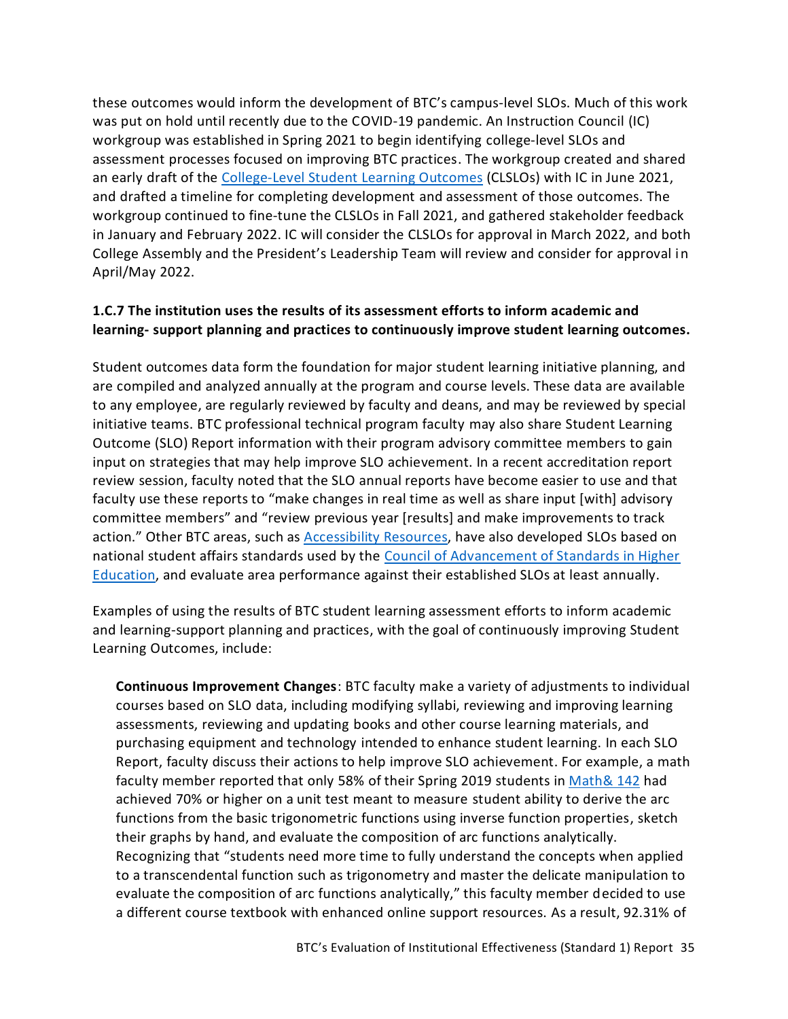these outcomes would inform the development of BTC's campus-level SLOs. Much of this work was put on hold until recently due to the COVID-19 pandemic. An Instruction Council (IC) workgroup was established in Spring 2021 to begin identifying college-level SLOs and assessment processes focused on improving BTC practices. The workgroup created and shared an early draft of the [College-Level Student Learning Outcomes](https://nwccu.box.com/s/q7qup3ogvkmqk7cm09pwgvfljs03jz01) (CLSLOs) with IC in June 2021, and drafted a timeline for completing development and assessment of those outcomes. The workgroup continued to fine-tune the CLSLOs in Fall 2021, and gathered stakeholder feedback in January and February 2022. IC will consider the CLSLOs for approval in March 2022, and both College Assembly and the President's Leadership Team will review and consider for approval in April/May 2022.

### <span id="page-36-0"></span>**1.C.7 The institution uses the results of its assessment efforts to inform academic and learning- support planning and practices to continuously improve student learning outcomes.**

Student outcomes data form the foundation for major student learning initiative planning, and are compiled and analyzed annually at the program and course levels. These data are available to any employee, are regularly reviewed by faculty and deans, and may be reviewed by special initiative teams. BTC professional technical program faculty may also share Student Learning Outcome (SLO) Report information with their program advisory committee members to gain input on strategies that may help improve SLO achievement. In a recent accreditation report review session, faculty noted that the SLO annual reports have become easier to use and that faculty use these reports to "make changes in real time as well as share input [with] advisory committee members" and "review previous year [results] and make improvements to track action." Other BTC areas, such as [Accessibility Resources,](https://www.btc.edu/CurrentStudents/AccessibilityResources/Index.html) have also developed SLOs based on national student affairs standards used by the [Council of Advancement of Standards in Higher](https://www.cas.edu/)  [Education,](https://www.cas.edu/) and evaluate area performance against their established SLOs at least annually.

Examples of using the results of BTC student learning assessment efforts to inform academic and learning-support planning and practices, with the goal of continuously improving Student Learning Outcomes, include:

**Continuous Improvement Changes**: BTC faculty make a variety of adjustments to individual courses based on SLO data, including modifying syllabi, reviewing and improving learning assessments, reviewing and updating books and other course learning materials, and purchasing equipment and technology intended to enhance student learning. In each SLO Report, faculty discuss their actions to help improve SLO achievement. For example, a math faculty member reported that only 58% of their Spring 2019 students i[n Math& 142](https://nwccu.box.com/s/ozj4omwenpg6141muthqzwtdh24on01f) had achieved 70% or higher on a unit test meant to measure student ability to derive the arc functions from the basic trigonometric functions using inverse function properties, sketch their graphs by hand, and evaluate the composition of arc functions analytically. Recognizing that "students need more time to fully understand the concepts when applied to a transcendental function such as trigonometry and master the delicate manipulation to evaluate the composition of arc functions analytically," this faculty member decided to use a different course textbook with enhanced online support resources. As a result, 92.31% of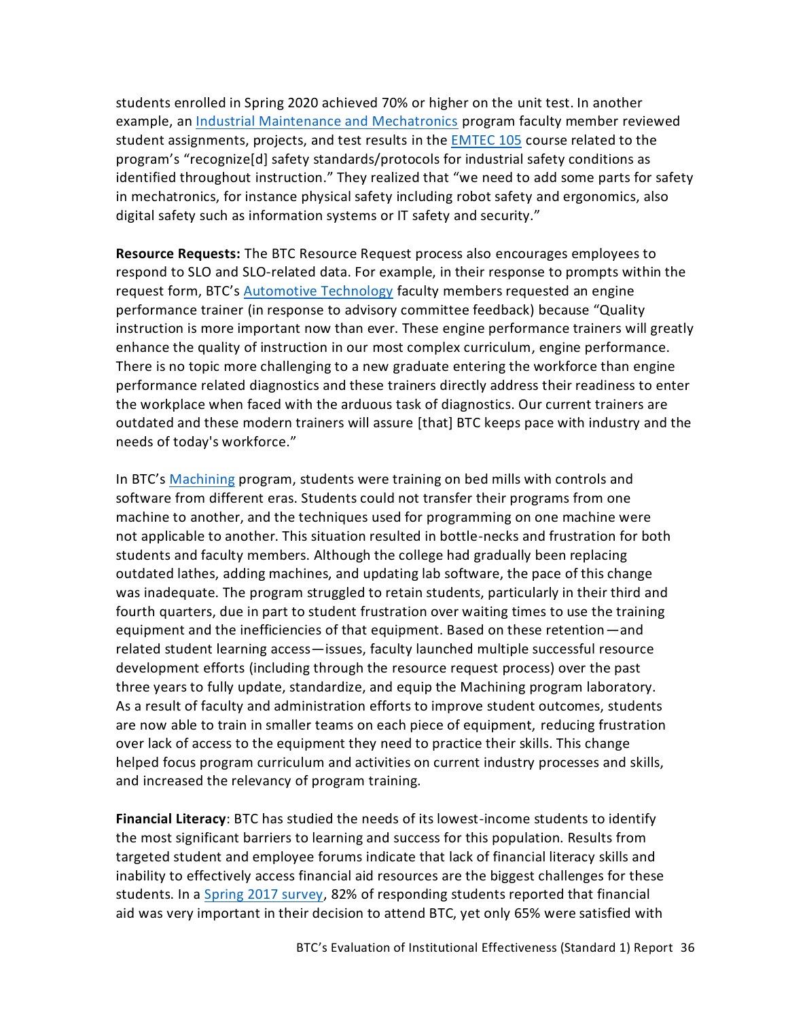students enrolled in Spring 2020 achieved 70% or higher on the unit test. In another example, an [Industrial Maintenance and Mechatronics](https://www.btc.edu/Academics/DegreesAndCertificates/IndustrialMaintenanceAndMechatronics/index.html) program faculty member reviewed student assignments, projects, and test results in the [EMTEC 105](https://nwccu.box.com/s/enw62w9edo5wzr0vav7li1qtzg8elyl2) course related to the program's "recognize[d] safety standards/protocols for industrial safety conditions as identified throughout instruction." They realized that "we need to add some parts for safety in mechatronics, for instance physical safety including robot safety and ergonomics, also digital safety such as information systems or IT safety and security."

**Resource Requests:** The BTC Resource Request process also encourages employees to respond to SLO and SLO-related data. For example, in their response to prompts within the request form, BTC's [Automotive Technology](https://www.btc.edu/Academics/DegreesAndCertificates/AutomotiveTechnology/index.html) faculty members requested an engine performance trainer (in response to advisory committee feedback) because "Quality instruction is more important now than ever. These engine performance trainers will greatly enhance the quality of instruction in our most complex curriculum, engine performance. There is no topic more challenging to a new graduate entering the workforce than engine performance related diagnostics and these trainers directly address their readiness to enter the workplace when faced with the arduous task of diagnostics. Our current trainers are outdated and these modern trainers will assure [that] BTC keeps pace with industry and the needs of today's workforce."

In BTC's [Machining](https://www.btc.edu/Academics/DegreesAndCertificates/Machining/index.html) program, students were training on bed mills with controls and software from different eras. Students could not transfer their programs from one machine to another, and the techniques used for programming on one machine were not applicable to another. This situation resulted in bottle-necks and frustration for both students and faculty members. Although the college had gradually been replacing outdated lathes, adding machines, and updating lab software, the pace of this change was inadequate. The program struggled to retain students, particularly in their third and fourth quarters, due in part to student frustration over waiting times to use the training equipment and the inefficiencies of that equipment. Based on these retention—and related student learning access—issues, faculty launched multiple successful resource development efforts (including through the resource request process) over the past three years to fully update, standardize, and equip the Machining program laboratory. As a result of faculty and administration efforts to improve student outcomes, students are now able to train in smaller teams on each piece of equipment, reducing frustration over lack of access to the equipment they need to practice their skills. This change helped focus program curriculum and activities on current industry processes and skills, and increased the relevancy of program training.

**Financial Literacy**: BTC has studied the needs of its lowest-income students to identify the most significant barriers to learning and success for this population. Results from targeted student and employee forums indicate that lack of financial literacy skills and inability to effectively access financial aid resources are the biggest challenges for these students. In a [Spring 2017 survey,](https://nwccu.box.com/s/14ipoayb5ysom8dms5lf0grjn9g0xvrp) 82% of responding students reported that financial aid was very important in their decision to attend BTC, yet only 65% were satisfied with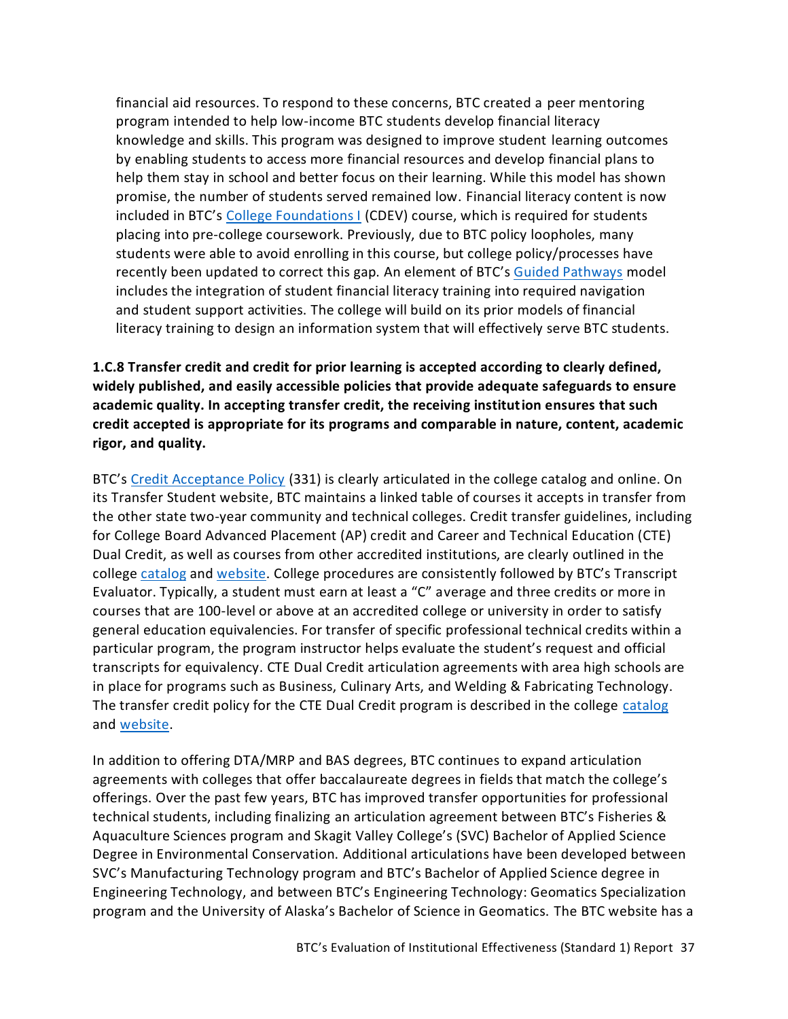financial aid resources. To respond to these concerns, BTC created a peer mentoring program intended to help low-income BTC students develop financial literacy knowledge and skills. This program was designed to improve student learning outcomes by enabling students to access more financial resources and develop financial plans to help them stay in school and better focus on their learning. While this model has shown promise, the number of students served remained low. Financial literacy content is now included in BTC's [College Foundations I](https://nwccu.box.com/s/bmqgztrhw0pn1v6e4hpil00u4vr5rvci) (CDEV) course, which is required for students placing into pre-college coursework. Previously, due to BTC policy loopholes, many students were able to avoid enrolling in this course, but college policy/processes have recently been updated to correct this gap. An element of BTC's [Guided Pathways](https://nwccu.box.com/s/29zje421o3eb1y85igs15fhrgig3ne80) model includes the integration of student financial literacy training into required navigation and student support activities. The college will build on its prior models of financial literacy training to design an information system that will effectively serve BTC students.

<span id="page-38-0"></span>**1.C.8 Transfer credit and credit for prior learning is accepted according to clearly defined, widely published, and easily accessible policies that provide adequate safeguards to ensure academic quality. In accepting transfer credit, the receiving institution ensures that such credit accepted is appropriate for its programs and comparable in nature, content, academic rigor, and quality.**

BTC's [Credit Acceptance Policy](https://nwccu.box.com/s/gh1s73nvpokii8sb7y7pxlkkahru27zm) (331) is clearly articulated in the college catalog and online. On its Transfer Student website, BTC maintains a linked table of courses it accepts in transfer from the other state two-year community and technical colleges. Credit transfer guidelines, including for College Board Advanced Placement (AP) credit and Career and Technical Education (CTE) Dual Credit, as well as courses from other accredited institutions, are clearly outlined in the college [catalog](https://catalog.btc.edu/content.php?catoid=10&navoid=235#transferring-earning-credits) and [website](https://www.btc.edu/FutureStudents/TransferStudent.html). College procedures are consistently followed by BTC's Transcript Evaluator. Typically, a student must earn at least a "C" average and three credits or more in courses that are 100-level or above at an accredited college or university in order to satisfy general education equivalencies. For transfer of specific professional technical credits within a particular program, the program instructor helps evaluate the student's request and official transcripts for equivalency. CTE Dual Credit articulation agreements with area high schools are in place for programs such as Business, Culinary Arts, and Welding & Fabricating Technology. The transfer credit policy for the CTE Dual Credit program is described in the college [catalog](https://catalog.btc.edu/content.php?catoid=10&navoid=240#dual-credit) and [website.](https://www.btc.edu/FutureStudents/HighSchoolPrograms/CTEDualCredit.html)

In addition to offering DTA/MRP and BAS degrees, BTC continues to expand articulation agreements with colleges that offer baccalaureate degrees in fields that match the college's offerings. Over the past few years, BTC has improved transfer opportunities for professional technical students, including finalizing an articulation agreement between BTC's Fisheries & Aquaculture Sciences program and Skagit Valley College's (SVC) Bachelor of Applied Science Degree in Environmental Conservation. Additional articulations have been developed between SVC's Manufacturing Technology program and BTC's Bachelor of Applied Science degree in Engineering Technology, and between BTC's Engineering Technology: Geomatics Specialization program and the University of Alaska's Bachelor of Science in Geomatics. The BTC website has a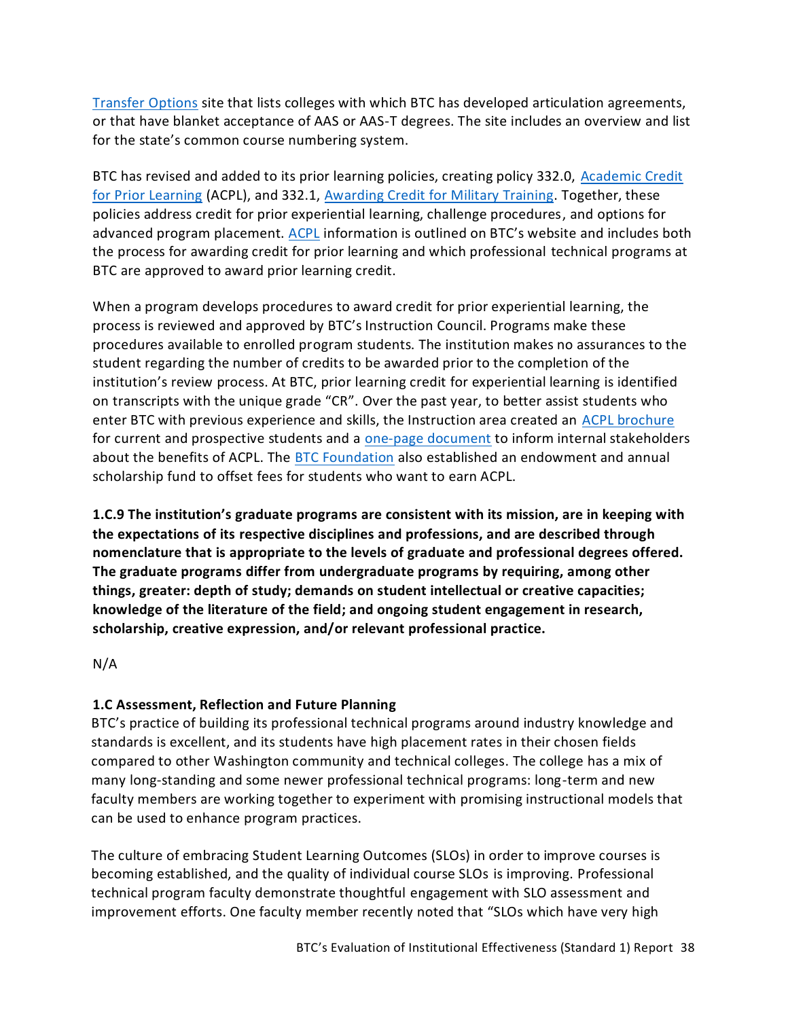[Transfer Options](https://www.btc.edu/Academics/TransferOptions.html) site that lists colleges with which BTC has developed articulation agreements, or that have blanket acceptance of AAS or AAS-T degrees. The site includes an overview and list for the state's common course numbering system.

BTC has revised and added to its prior learning policies, creating policy 332.0, Academic Credit [for Prior Learning](https://nwccu.box.com/s/qitfrplfe3veeztoxzksx2qy3ylzlbwe) (ACPL), and 332.1, [Awarding Credit for Military Training.](https://nwccu.box.com/s/119qxzlfbtqe6mafmcpz1q67xp0ymn8u) Together, these policies address credit for prior experiential learning, challenge procedures, and options for advanced program placement. [ACPL](https://www.btc.edu/FutureStudents/AcademicCreditforPriorLearning.html) information is outlined on BTC's website and includes both the process for awarding credit for prior learning and which professional technical programs at BTC are approved to award prior learning credit.

When a program develops procedures to award credit for prior experiential learning, the process is reviewed and approved by BTC's Instruction Council. Programs make these procedures available to enrolled program students. The institution makes no assurances to the student regarding the number of credits to be awarded prior to the completion of the institution's review process. At BTC, prior learning credit for experiential learning is identified on transcripts with the unique grade "CR". Over the past year, to better assist students who enter BTC with previous experience and skills, the Instruction area created an [ACPL brochure](https://nwccu.box.com/s/yklf5x2k348i774c6ncdv20rkm3fl772) for current and prospective students and a [one-page document](https://nwccu.box.com/s/rkfxgvbx9bo4az30wv1msgllpcczuzb5) to inform internal stakeholders about the benefits of ACPL. The [BTC Foundation](https://www.btc.edu/AboutBTC/BTCFoundation/Index.html) also established an endowment and annual scholarship fund to offset fees for students who want to earn ACPL.

<span id="page-39-0"></span>**1.C.9 The institution's graduate programs are consistent with its mission, are in keeping with the expectations of its respective disciplines and professions, and are described through nomenclature that is appropriate to the levels of graduate and professional degrees offered. The graduate programs differ from undergraduate programs by requiring, among other things, greater: depth of study; demands on student intellectual or creative capacities; knowledge of the literature of the field; and ongoing student engagement in research, scholarship, creative expression, and/or relevant professional practice.**

N/A

## <span id="page-39-1"></span>**1.C Assessment, Reflection and Future Planning**

BTC's practice of building its professional technical programs around industry knowledge and standards is excellent, and its students have high placement rates in their chosen fields compared to other Washington community and technical colleges. The college has a mix of many long-standing and some newer professional technical programs: long-term and new faculty members are working together to experiment with promising instructional models that can be used to enhance program practices.

The culture of embracing Student Learning Outcomes (SLOs) in order to improve courses is becoming established, and the quality of individual course SLOs is improving. Professional technical program faculty demonstrate thoughtful engagement with SLO assessment and improvement efforts. One faculty member recently noted that "SLOs which have very high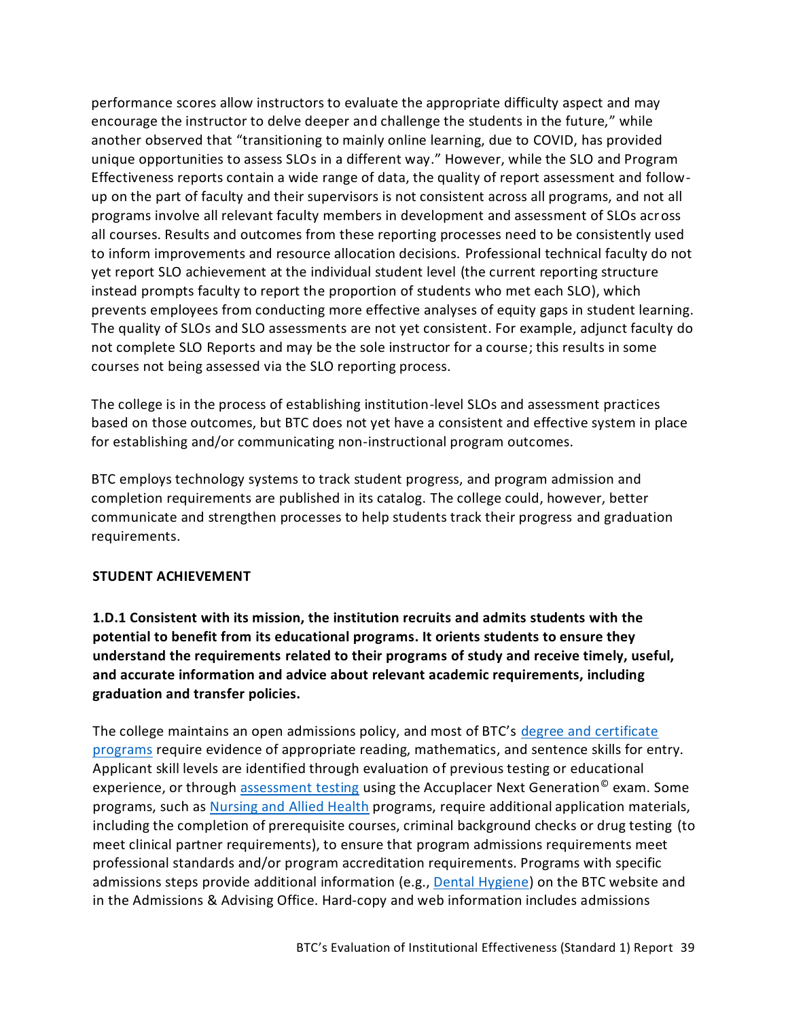performance scores allow instructors to evaluate the appropriate difficulty aspect and may encourage the instructor to delve deeper and challenge the students in the future," while another observed that "transitioning to mainly online learning, due to COVID, has provided unique opportunities to assess SLOs in a different way." However, while the SLO and Program Effectiveness reports contain a wide range of data, the quality of report assessment and followup on the part of faculty and their supervisors is not consistent across all programs, and not all programs involve all relevant faculty members in development and assessment of SLOs across all courses. Results and outcomes from these reporting processes need to be consistently used to inform improvements and resource allocation decisions. Professional technical faculty do not yet report SLO achievement at the individual student level (the current reporting structure instead prompts faculty to report the proportion of students who met each SLO), which prevents employees from conducting more effective analyses of equity gaps in student learning. The quality of SLOs and SLO assessments are not yet consistent. For example, adjunct faculty do not complete SLO Reports and may be the sole instructor for a course; this results in some courses not being assessed via the SLO reporting process.

The college is in the process of establishing institution-level SLOs and assessment practices based on those outcomes, but BTC does not yet have a consistent and effective system in place for establishing and/or communicating non-instructional program outcomes.

BTC employs technology systems to track student progress, and program admission and completion requirements are published in its catalog. The college could, however, better communicate and strengthen processes to help students track their progress and graduation requirements.

#### <span id="page-40-0"></span>**STUDENT ACHIEVEMENT**

<span id="page-40-1"></span>**1.D.1 Consistent with its mission, the institution recruits and admits students with the potential to benefit from its educational programs. It orients students to ensure they understand the requirements related to their programs of study and receive timely, useful, and accurate information and advice about relevant academic requirements, including graduation and transfer policies.**

The college maintains an open admissions policy, and most of BTC's [degree and certificate](https://www.btc.edu/Academics/DegreesAndCertificates/index.html)  [programs](https://www.btc.edu/Academics/DegreesAndCertificates/index.html) require evidence of appropriate reading, mathematics, and sentence skills for entry. Applicant skill levels are identified through evaluation of previous testing or educational experience, or through [assessment testing](https://www.btc.edu/CurrentStudents/AdmissionsAndAdvising/AssessmentCenter.html) using the Accuplacer Next Generation<sup>®</sup> exam. Some programs, such a[s Nursing and Allied Health](https://www.btc.edu/Academics/AreasofStudy/NursingandAlliedHealth.html) programs, require additional application materials, including the completion of prerequisite courses, criminal background checks or drug testing (to meet clinical partner requirements), to ensure that program admissions requirements meet professional standards and/or program accreditation requirements. Programs with specific admissions steps provide additional information (e.g.[, Dental Hygiene\)](https://www.btc.edu/files/Documents/Publications/Programs/Dental%20Hygiene%20Program%20Admissions%20Process%20FAQ%2022-23.pdf) on the BTC website and in the Admissions & Advising Office. Hard-copy and web information includes admissions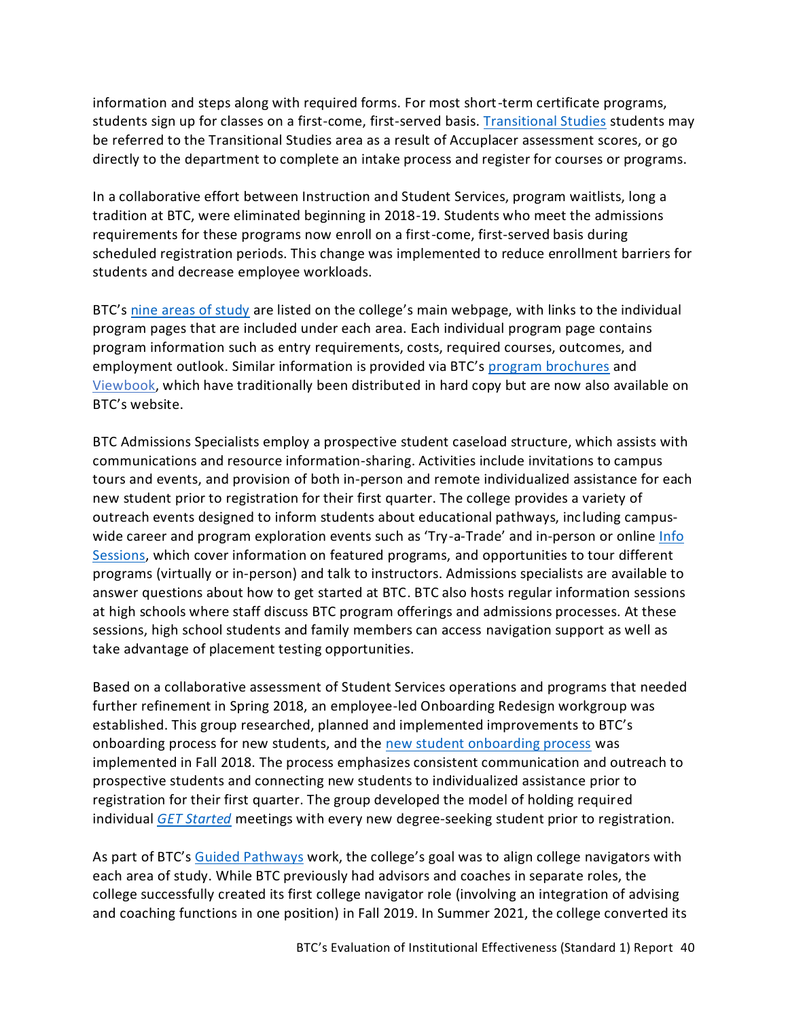information and steps along with required forms. For most short-term certificate programs, students sign up for classes on a first-come, first-served basis. [Transitional Studies](https://www.btc.edu/Academics/TransitionalStudies.html) students may be referred to the Transitional Studies area as a result of Accuplacer assessment scores, or go directly to the department to complete an intake process and register for courses or programs.

In a collaborative effort between Instruction and Student Services, program waitlists, long a tradition at BTC, were eliminated beginning in 2018-19. Students who meet the admissions requirements for these programs now enroll on a first-come, first-served basis during scheduled registration periods. This change was implemented to reduce enrollment barriers for students and decrease employee workloads.

BTC's nine [areas of study](https://www.btc.edu/Academics/AreasofStudy/index.html) are listed on the college's main webpage, with links to the individual program pages that are included under each area. Each individual program page contains program information such as entry requirements, costs, required courses, outcomes, and employment outlook. Similar information is provided via BTC's [program brochures](https://www.btc.edu/AboutBTC/PublicationsandMedia.html#Publications) and [Viewbook,](https://www.btc.edu/files/Documents/Publications/Brochures/BTCViewbook.pdf) which have traditionally been distributed in hard copy but are now also available on BTC's website.

BTC Admissions Specialists employ a prospective student caseload structure, which assists with communications and resource information-sharing. Activities include invitations to campus tours and events, and provision of both in-person and remote individualized assistance for each new student prior to registration for their first quarter. The college provides a variety of outreach events designed to inform students about educational pathways, inc luding campus-wide career and program exploration events such as 'Try-a-Trade' and in-person or online [Info](https://www.btc.edu/FutureStudents/ExploreYourPathway.html#InfoSessions) [Sessions,](https://www.btc.edu/FutureStudents/ExploreYourPathway.html#InfoSessions) which cover information on featured programs, and opportunities to tour different programs (virtually or in-person) and talk to instructors. Admissions specialists are available to answer questions about how to get started at BTC. BTC also hosts regular information sessions at high schools where staff discuss BTC program offerings and admissions processes. At these sessions, high school students and family members can access navigation support as well as take advantage of placement testing opportunities.

Based on a collaborative assessment of Student Services operations and programs that needed further refinement in Spring 2018, an employee-led Onboarding Redesign workgroup was established. This group researched, planned and implemented improvements to BTC's onboarding process for new students, and the [new student onboarding process](https://www.btc.edu/FutureStudents/AdmissionsSteps.html) was implemented in Fall 2018. The process emphasizes consistent communication and outreach to prospective students and connecting new students to individualized assistance prior to registration for their first quarter. The group developed the model of holding required individual *[GET Started](https://www.btc.edu/AboutBTC/Forms/getstarted.html)* meetings with every new degree-seeking student prior to registration.

As part of BTC's [Guided Pathways](https://nwccu.box.com/s/29zje421o3eb1y85igs15fhrgig3ne80) work, the college's goal was to align college navigators with each area of study. While BTC previously had advisors and coaches in separate roles, the college successfully created its first college navigator role (involving an integration of advising and coaching functions in one position) in Fall 2019. In Summer 2021, the college converted its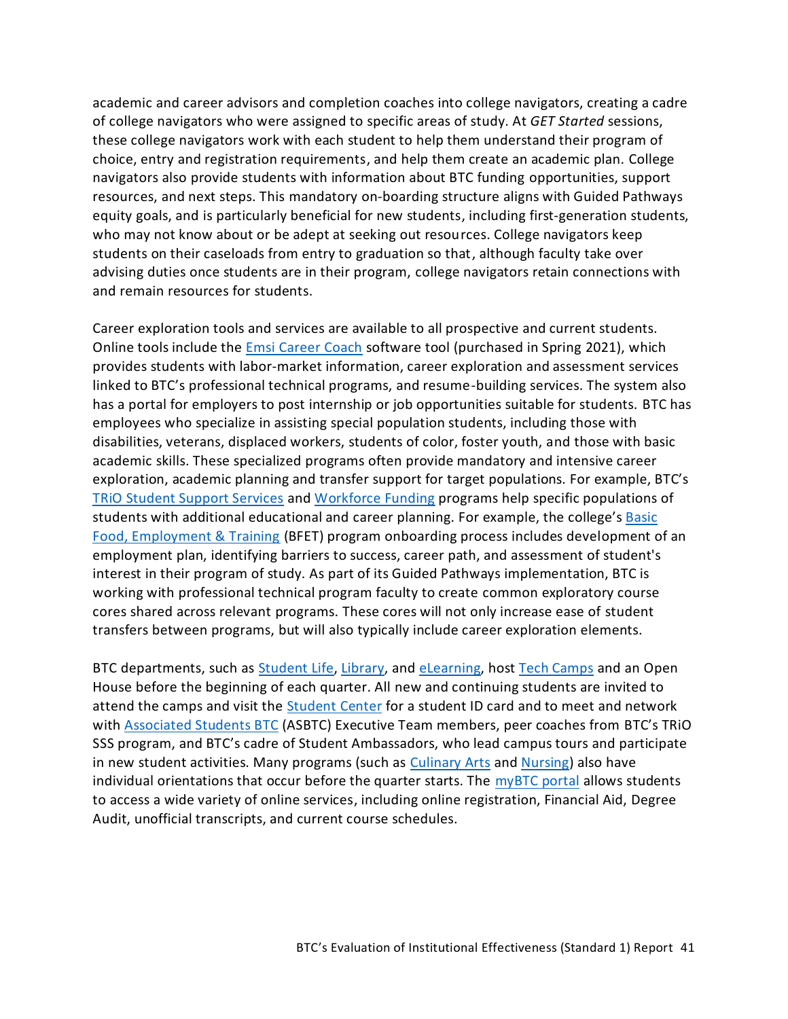academic and career advisors and completion coaches into college navigators, creating a cadre of college navigators who were assigned to specific areas of study. At *GET Started* sessions, these college navigators work with each student to help them understand their program of choice, entry and registration requirements, and help them create an academic plan. College navigators also provide students with information about BTC funding opportunities, support resources, and next steps. This mandatory on-boarding structure aligns with Guided Pathways equity goals, and is particularly beneficial for new students, including first-generation students, who may not know about or be adept at seeking out resources. College navigators keep students on their caseloads from entry to graduation so that, although faculty take over advising duties once students are in their program, college navigators retain connections with and remain resources for students.

Career exploration tools and services are available to all prospective and current students. Online tools include the Emsi [Career Coach](https://bellinghamtechnical.emsicc.com/?radius=®ion=Whatcom%2C%20Skagit%2C%20and%20Island%20counties) software tool (purchased in Spring 2021), which provides students with labor-market information, career exploration and assessment services linked to BTC's professional technical programs, and resume-building services. The system also has a portal for employers to post internship or job opportunities suitable for students. BTC has employees who specialize in assisting special population students, including those with disabilities, veterans, displaced workers, students of color, foster youth, and those with basic academic skills. These specialized programs often provide mandatory and intensive career exploration, academic planning and transfer support for target populations. For example, BTC's [TRiO Student Support Services](https://www.btc.edu/CurrentStudents/StudentResources/TRIO.html) and [Workforce Funding](https://www.btc.edu/CurrentStudents/FinancialResources/WorkForceFunding.html) programs help specific populations of students with additional educational and career planning. For example, the college's Basic [Food, Employment & Training](https://www.btc.edu/CurrentStudents/FinancialResources/WorkForceFunding.html#BasicFoodEmploymentTraining) (BFET) program onboarding process includes development of an employment plan, identifying barriers to success, career path, and assessment of student's interest in their program of study. As part of its Guided Pathways implementation, BTC is working with professional technical program faculty to create common exploratory course cores shared across relevant programs. These cores will not only increase ease of student transfers between programs, but will also typically include career exploration elements.

BTC departments, such as [Student Life,](https://www.btc.edu/CurrentStudents/StudentLife/Index.html) [Library,](https://www.btc.edu/Academics/Library/Index.html) and [eLearning,](https://www.btc.edu/CurrentStudents/eLearning.html) host [Tech Camps](https://btc.ctc.libguides.com/OnlineBTCtechcamp) and an Open House before the beginning of each quarter. All new and continuing students are invited to attend the camps and visit the [Student Center](https://www.btc.edu/CurrentStudents/StudentLife/Index.html#StudentCenter) for a student ID card and to meet and network with [Associated Students BTC](https://www.btc.edu/CurrentStudents/StudentLife/Index.html#AssociatedStudentsASBTC) (ASBTC) Executive Team members, peer coaches from BTC's TRiO SSS program, and BTC's cadre of Student Ambassadors, who lead campus tours and participate in new student activities. Many programs (such as [Culinary Arts](https://www.btc.edu/Academics/DegreesAndCertificates/CulinaryArts/index.html) an[d Nursing\)](https://www.btc.edu/Academics/AreasofStudy/NursingandAlliedHealth.html) also have individual orientations that occur before the quarter starts. The  $myBTC$  portal allows students to access a wide variety of online services, including online registration, Financial Aid, Degree Audit, unofficial transcripts, and current course schedules.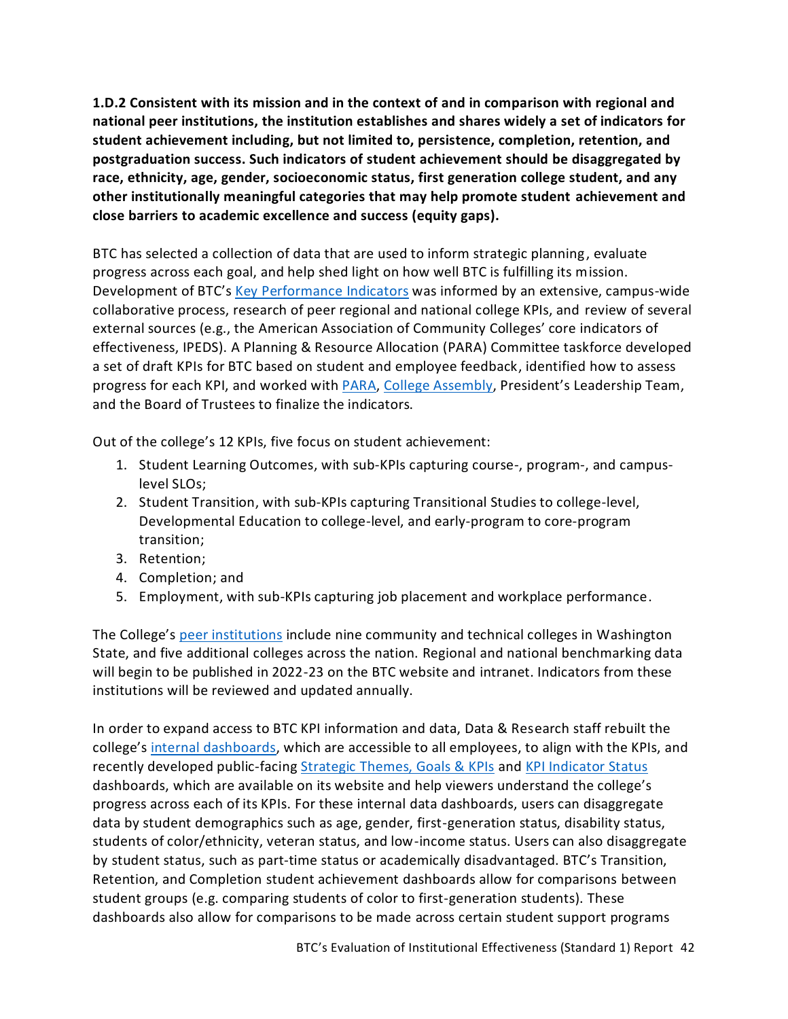<span id="page-43-0"></span>**1.D.2 Consistent with its mission and in the context of and in comparison with regional and national peer institutions, the institution establishes and shares widely a set of indicators for student achievement including, but not limited to, persistence, completion, retention, and postgraduation success. Such indicators of student achievement should be disaggregated by race, ethnicity, age, gender, socioeconomic status, first generation college student, and any other institutionally meaningful categories that may help promote student achievement and close barriers to academic excellence and success (equity gaps).**

BTC has selected a collection of data that are used to inform strategic planning, evaluate progress across each goal, and help shed light on how well BTC is fulfilling its mission. Development of BTC's [Key Performance Indicators](https://www.btc.edu/AboutBTC/ReportsandPolicies/InstitutionalEffectiveness.html#KeyPerformanceIndicatorStatus) was informed by an extensive, campus-wide collaborative process, research of peer regional and national college KPIs, and review of several external sources (e.g., the American Association of Community Colleges' core indicators of effectiveness, IPEDS). A Planning & Resource Allocation (PARA) Committee taskforce developed a set of draft KPIs for BTC based on student and employee feedback, identified how to assess progress for each KPI, and worked wit[h PARA,](https://nwccu.box.com/s/ftmi1cp798lj0z5deq394646q7z50tec) [College Assembly,](https://nwccu.box.com/s/xqdtznc74moap2ljy5jmxjcrmrazih81) President's Leadership Team, and the Board of Trustees to finalize the indicators.

Out of the college's 12 KPIs, five focus on student achievement:

- 1. Student Learning Outcomes, with sub-KPIs capturing course-, program-, and campuslevel SLOs;
- 2. Student Transition, with sub-KPIs capturing Transitional Studies to college-level, Developmental Education to college-level, and early-program to core-program transition;
- 3. Retention;
- 4. Completion; and
- 5. Employment, with sub-KPIs capturing job placement and workplace performance.

The College's [peer institutions](https://www.btc.edu/AboutBTC/BTCFacts.html#ExternalBenchmarking) include nine community and technical colleges in Washington State, and five additional colleges across the nation. Regional and national benchmarking data will begin to be published in 2022-23 on the BTC website and intranet. Indicators from these institutions will be reviewed and updated annually.

In order to expand access to BTC KPI information and data, Data & Research staff rebuilt the college's [internal dashboards,](https://nwccu.box.com/s/q8pax7atc3ioaierr80jqjirsixydjzw) which are accessible to all employees, to align with the KPIs, and recently developed public-facin[g Strategic Themes, Goals & KPIs](https://www.btc.edu/AboutBTC/ReportsandPolicies/InstitutionalEffectiveness.html#201823ThemesGoalsKeyPerformanceIndicators) and KPI [Indicator](https://www.btc.edu/AboutBTC/ReportsandPolicies/InstitutionalEffectiveness.html#KeyPerformanceIndicatorStatus) Status dashboards, which are available on its website and help viewers understand the college's progress across each of its KPIs. For these internal data dashboards, users can disaggregate data by student demographics such as age, gender, first-generation status, disability status, students of color/ethnicity, veteran status, and low-income status. Users can also disaggregate by student status, such as part-time status or academically disadvantaged. BTC's Transition, Retention, and Completion student achievement dashboards allow for comparisons between student groups (e.g. comparing students of color to first-generation students). These dashboards also allow for comparisons to be made across certain student support programs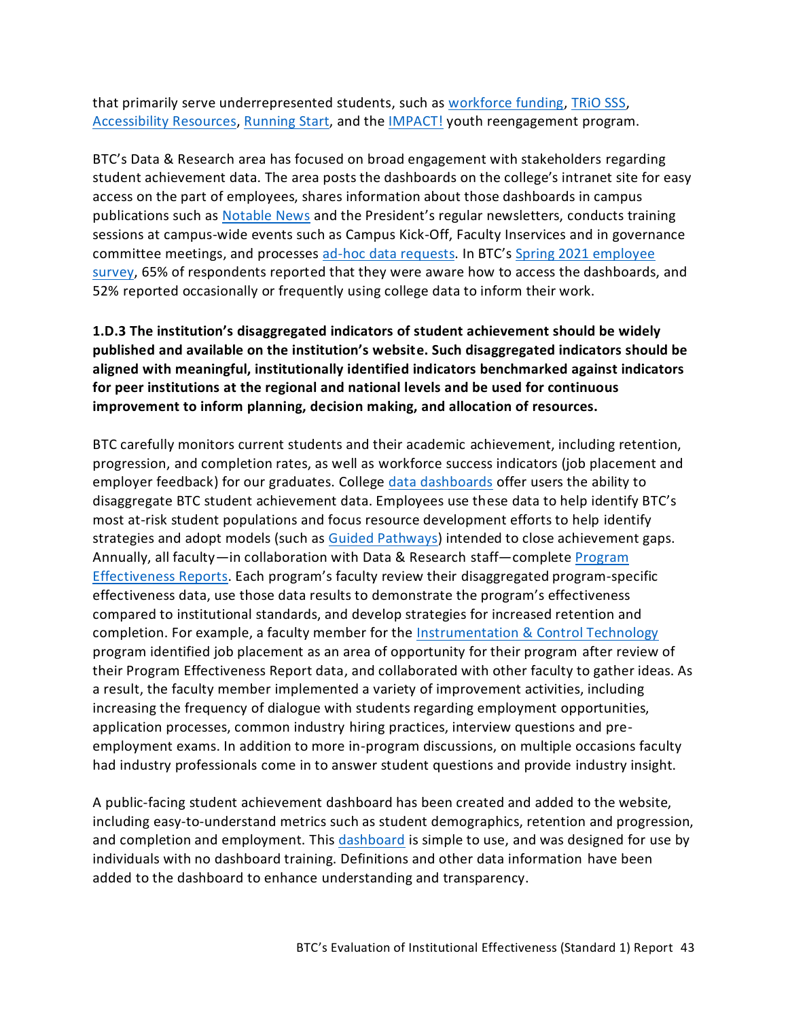that primarily serve underrepresented students, such as [workforce funding,](https://www.btc.edu/CurrentStudents/FinancialResources/WorkForceFunding.html) [TRiO SSS,](https://www.btc.edu/CurrentStudents/StudentResources/TRIO.html) [Accessibility Resources,](https://www.btc.edu/CurrentStudents/AccessibilityResources/Index.html) [Running Start,](https://www.btc.edu/FutureStudents/HighSchoolPrograms/RunningStart.html) and th[e IMPACT!](https://www.btc.edu/FutureStudents/HighSchoolPrograms/IMPACT.html) youth reengagement program.

BTC's Data & Research area has focused on broad engagement with stakeholders regarding student achievement data. The area posts the dashboards on the college's intranet site for easy access on the part of employees, shares information about those dashboards in campus publications such as [Notable News](https://nwccu.box.com/s/8ojinaqpwb8spepp1o1jiif46k1ou2bd) and the President's regular newsletters, conducts training sessions at campus-wide events such as Campus Kick-Off, Faculty Inservices and in governance committee meetings, and processes [ad-hoc data requests.](https://nwccu.box.com/s/0xzck2qr6qnloaac4qdg3jqk1r6xjm2j) In BTC's [Spring 2021 employee](https://nwccu.box.com/s/y39nciy27xku0aiip5v50mn8ndu44vg0)  [survey,](https://nwccu.box.com/s/y39nciy27xku0aiip5v50mn8ndu44vg0) 65% of respondents reported that they were aware how to access the dashboards, and 52% reported occasionally or frequently using college data to inform their work.

# <span id="page-44-0"></span>**1.D.3 The institution's disaggregated indicators of student achievement should be widely published and available on the institution's website. Such disaggregated indicators should be aligned with meaningful, institutionally identified indicators benchmarked against indicators for peer institutions at the regional and national levels and be used for continuous improvement to inform planning, decision making, and allocation of resources.**

BTC carefully monitors current students and their academic achievement, including retention, progression, and completion rates, as well as workforce success indicators (job placement and employer feedback) for our graduates. College [data dashboards](https://nwccu.box.com/s/q8pax7atc3ioaierr80jqjirsixydjzw) offer users the ability to disaggregate BTC student achievement data. Employees use these data to help identify BTC's most at-risk student populations and focus resource development efforts to help identify strategies and adopt models (such as [Guided Pathways\)](https://www.sbctc.edu/colleges-staff/programs-services/student-success-center/guided-pathways.aspx) intended to close achievement gaps. Annually, all faculty—in collaboration with Data & Research staff—complete Program [Effectiveness Reports](https://nwccu.box.com/s/68pmk7kf91law5dytrf1vafwoqgv7xfs). Each program's faculty review their disaggregated program-specific effectiveness data, use those data results to demonstrate the program's effectiveness compared to institutional standards, and develop strategies for increased retention and completion. For example, a faculty member for the [Instrumentation & Control Technology](https://nwccu.box.com/s/8tphnv79ep9bmg4blnl3rrxihfy1swmo) program identified job placement as an area of opportunity for their program after review of their Program Effectiveness Report data, and collaborated with other faculty to gather ideas. As a result, the faculty member implemented a variety of improvement activities, including increasing the frequency of dialogue with students regarding employment opportunities, application processes, common industry hiring practices, interview questions and preemployment exams. In addition to more in-program discussions, on multiple occasions faculty had industry professionals come in to answer student questions and provide industry insight.

A public-facing student achievement dashboard has been created and added to the website, including easy-to-understand metrics such as student demographics, retention and progression, and completion and employment. This [dashboard](https://www.btc.edu/AboutBTC/BTCFacts.html#StudentProfile) is simple to use, and was designed for use by individuals with no dashboard training. Definitions and other data information have been added to the dashboard to enhance understanding and transparency.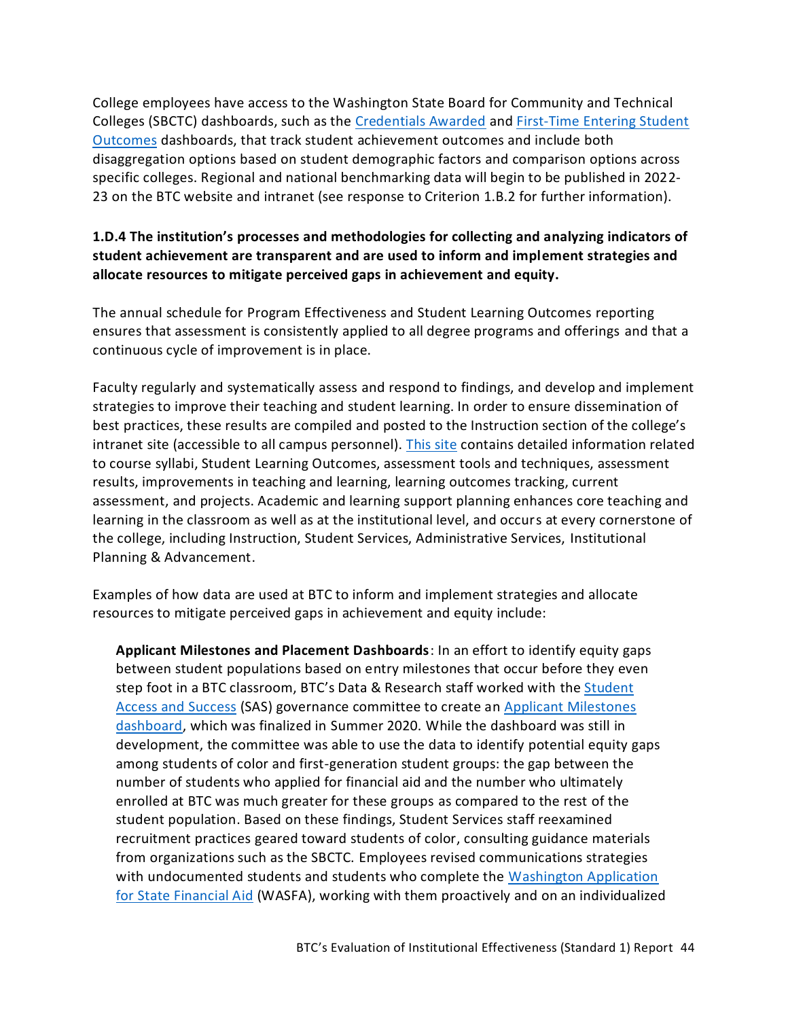College employees have access to the Washington State Board for Community and Technical Colleges (SBCTC) dashboards, such as the [Credentials Awarded](https://www.sbctc.edu/colleges-staff/research/data-public/credentials-awarded-dashboard.aspx) and [First-Time Entering Student](https://nwccu.box.com/s/53iuf7flih16jjuogu9t73gzhosdnyb8)  [Outcomes](https://nwccu.box.com/s/53iuf7flih16jjuogu9t73gzhosdnyb8) dashboards, that track student achievement outcomes and include both disaggregation options based on student demographic factors and comparison options across specific colleges. Regional and national benchmarking data will begin to be published in 2022- 23 on the BTC website and intranet (see response to Criterion 1.B.2 for further information).

# <span id="page-45-0"></span>**1.D.4 The institution's processes and methodologies for collecting and analyzing indicators of student achievement are transparent and are used to inform and implement strategies and allocate resources to mitigate perceived gaps in achievement and equity.**

The annual schedule for [Program Effectiveness a](https://sharepoint2013.btc.ctc.edu/sites/intranet/instruction/faculty/SitePages/EffectivenessReports.aspx)nd Student Learning Outcomes reporting ensures that assessment is consistently applied to all degree programs and offerings and that a continuous cycle of improvement is in place.

Faculty regularly and systematically assess and respond to findings, and develop and implement strategies to improve their teaching and student learning. In order to ensure dissemination of best practices, these results are compiled and posted to the Instruction section of the college's intranet site (accessible to all campus personnel). [This site](https://nwccu.box.com/s/ndt018nnkrq4i2sjbwmh0c6cie8ukojj) contains detailed information related to course [syllabi,](https://sharepoint2013.btc.ctc.edu/sites/accreditation/SitePages/Syllabi.aspx) Student Learning Outcomes, assessment tools and techniques, assessment results, improvements in teaching and learning, learning outcomes tracking, current assessment, and projects. Academic and learning support planning enhances core teaching and learning in the classroom as well as at the institutional level, and occurs at every cornerstone of the college, including Instruction, Student Services, Administrative Services, Institutional Planning & Advancement.

Examples of how data are used at BTC to inform and implement strategies and allocate resources to mitigate perceived gaps in achievement and equity include:

**Applicant Milestones and Placement Dashboards**: In an effort to identify equity gaps between student populations based on entry milestones that occur before they even step foot in a BTC classroom, BTC's Data & Research staff worked with the [Student](https://nwccu.box.com/s/sf2o8ttdazszlxc4u7ast2vgfc1gjiuv)  [Access and Success](https://nwccu.box.com/s/sf2o8ttdazszlxc4u7ast2vgfc1gjiuv) (SAS) governance committee to create an [Applicant Milestones](https://tableau.sbctc.edu/t/Bellingham/views/ApplicantYield/Applicantsbydemographic?:isGuestRedirectFromVizportal=y&:embed=y)  [dashboard,](https://tableau.sbctc.edu/t/Bellingham/views/ApplicantYield/Applicantsbydemographic?:isGuestRedirectFromVizportal=y&:embed=y) which was finalized in Summer 2020. While the dashboard was still in development, the committee was able to use the data to identify potential equity gaps among students of color and first-generation student groups: the gap between the number of students who applied for financial aid and the number who ultimately enrolled at BTC was much greater for these groups as compared to the rest of the student population. Based on these findings, Student Services staff reexamined recruitment practices geared toward students of color, consulting guidance materials from organizations such as the SBCTC. Employees revised communications strategies with undocumented students and students who complete the [Washington Application](https://wsac.wa.gov/wasfa)  [for State Financial Aid](https://wsac.wa.gov/wasfa) (WASFA), working with them proactively and on an individualized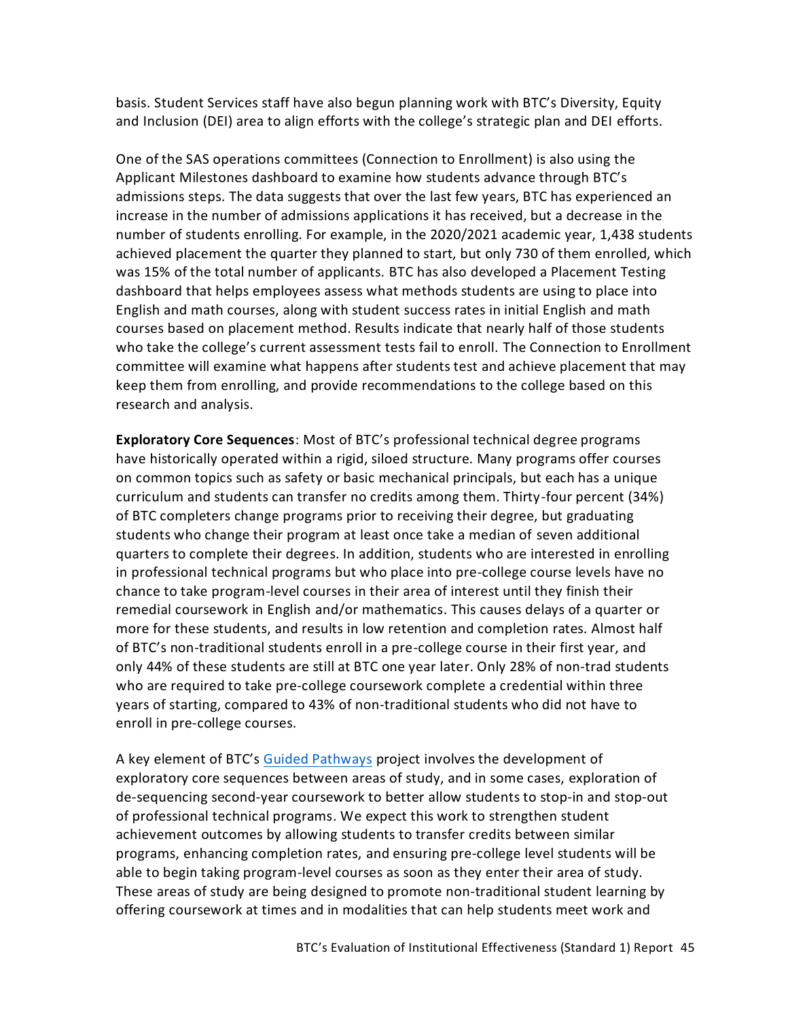basis. Student Services staff have also begun planning work with BTC's Diversity, Equity and Inclusion (DEI) area to align efforts with the college's strategic plan and DEI efforts.

One of the SAS operations committees (Connection to Enrollment) is also using the Applicant Milestones dashboard to examine how students advance through BTC's admissions steps. The data suggests that over the last few years, BTC has experienced an increase in the number of admissions applications it has received, but a decrease in the number of students enrolling. For example, in the 2020/2021 academic year, 1,438 students achieved placement the quarter they planned to start, but only 730 of them enrolled, which was 15% of the total number of applicants. BTC has also developed a Placement Testing dashboard that helps employees assess what methods students are using to place into English and math courses, along with student success rates in initial English and math courses based on placement method. Results indicate that nearly half of those students who take the college's current assessment tests fail to enroll. The Connection to Enrollment committee will examine what happens after students test and achieve placement that may keep them from enrolling, and provide recommendations to the college based on this research and analysis.

**Exploratory Core Sequences**: Most of BTC's professional technical degree programs have historically operated within a rigid, siloed structure. Many programs offer courses on common topics such as safety or basic mechanical principals, but each has a unique curriculum and students can transfer no credits among them. Thirty-four percent (34%) of BTC completers change programs prior to receiving their degree, but graduating students who change their program at least once take a median of seven additional quarters to complete their degrees. In addition, students who are interested in enrolling in professional technical programs but who place into pre-college course levels have no chance to take program-level courses in their area of interest until they finish their remedial coursework in English and/or mathematics. This causes delays of a quarter or more for these students, and results in low retention and completion rates. Almost half of BTC's non-traditional students enroll in a pre-college course in their first year, and only 44% of these students are still at BTC one year later. Only 28% of non-trad students who are required to take pre-college coursework complete a credential within three years of starting, compared to 43% of non-traditional students who did not have to enroll in pre-college courses.

A key element of BTC's [Guided Pathways](https://nwccu.box.com/s/29zje421o3eb1y85igs15fhrgig3ne80) project involves the development of exploratory core sequences between areas of study, and in some cases, exploration of de-sequencing second-year coursework to better allow students to stop-in and stop-out of professional technical programs. We expect this work to strengthen student achievement outcomes by allowing students to transfer credits between similar programs, enhancing completion rates, and ensuring pre-college level students will be able to begin taking program-level courses as soon as they enter their area of study. These areas of study are being designed to promote non-traditional student learning by offering coursework at times and in modalities that can help students meet work and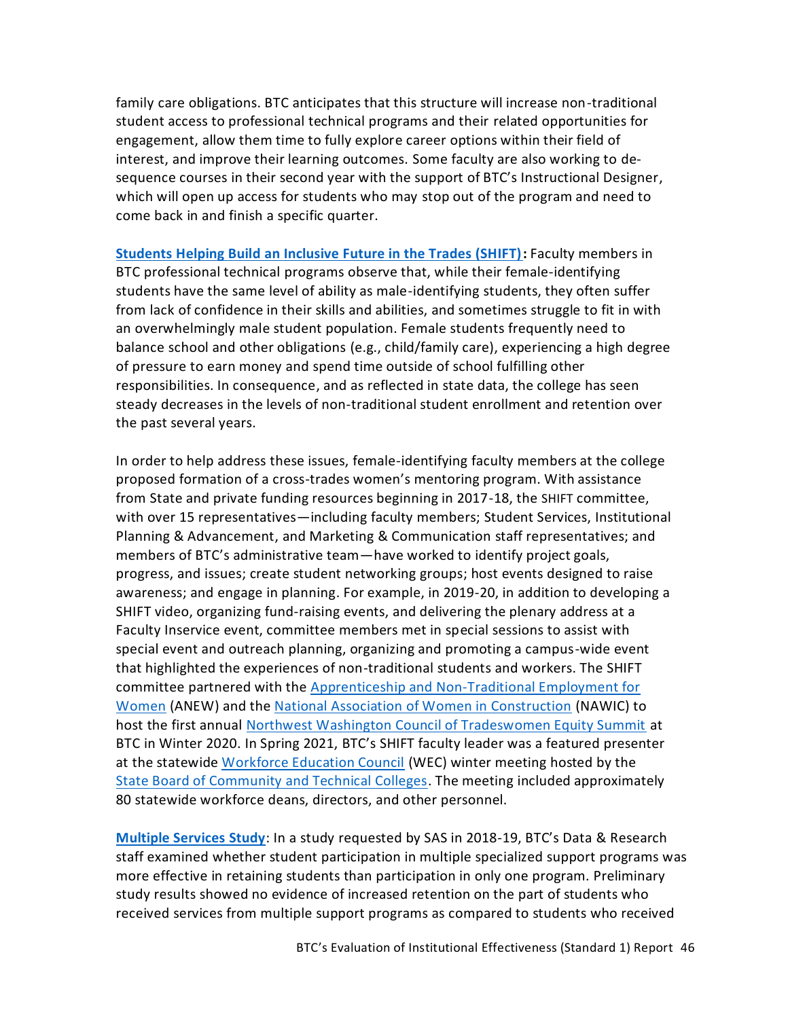family care obligations. BTC anticipates that this structure will increase non-traditional student access to professional technical programs and their related opportunities for engagement, allow them time to fully explore career options within their field of interest, and improve their learning outcomes. Some faculty are also working to desequence courses in their second year with the support of BTC's Instructional Designer, which will open up access for students who may stop out of the program and need to come back in and finish a specific quarter.

**[Students Helping Build an Inclusive Future in the Trades \(SHIFT\):](https://www.btc.edu/AboutBTC/SHIFT.html)** Faculty members in BTC professional technical programs observe that, while their female-identifying students have the same level of ability as male-identifying students, they often suffer from lack of confidence in their skills and abilities, and sometimes struggle to fit in with an overwhelmingly male student population. Female students frequently need to balance school and other obligations (e.g., child/family care), experiencing a high degree of pressure to earn money and spend time outside of school fulfilling other responsibilities. In consequence, and as reflected in state data, the college has seen steady decreases in the levels of non-traditional student enrollment and retention over the past several years.

In order to help address these issues, female-identifying faculty members at the college proposed formation of a cross-trades women's mentoring program. With assistance from State and private funding resources beginning in 2017-18, the SHIFT committee, with over 15 representatives—including faculty members; Student Services, Institutional Planning & Advancement, and Marketing & Communication staff representatives; and members of BTC's administrative team—have worked to identify project goals, progress, and issues; create student networking groups; host events designed to raise awareness; and engage in planning. For example, in 2019-20, in addition to developing a SHIFT video, organizing fund-raising events, and delivering the plenary address at a Faculty Inservice event, committee members met in special sessions to assist with special event and outreach planning, organizing and promoting a campus-wide event that highlighted the experiences of non-traditional students and workers. The SHIFT committee partnered with the [Apprenticeship and Non-Traditional Employment for](https://anewcareer.org/)  [Women](https://anewcareer.org/) (ANEW) and the [National Association of Women in Construction](https://www.nawic.org/) (NAWIC) to host the first annual [Northwest Washington Council of Tradeswomen Equity Summit](https://nwccu.box.com/s/swg0q99tf687dnc7bu2y07po32eogue6) at BTC in Winter 2020. In Spring 2021, BTC's SHIFT faculty leader was a featured presenter at the statewide [Workforce Education Council](https://www.sbctc.edu/colleges-staff/commissions-councils/wec/default.aspx) (WEC) winter meeting hosted by the [State Board of Community and Technical Colleges.](https://www.sbctc.edu/) The meeting included approximately 80 statewide workforce deans, directors, and other personnel.

**[Multiple Services Study](https://nwccu.box.com/s/zg2bhwvzptxkeuvjxjw1q0213wvgjieu)**: In a study requested by SAS in 2018-19, BTC's Data & Research staff examined whether student participation in multiple specialized support programs was more effective in retaining students than participation in only one program. Preliminary study results showed no evidence of increased retention on the part of students who received services from multiple support programs as compared to students who received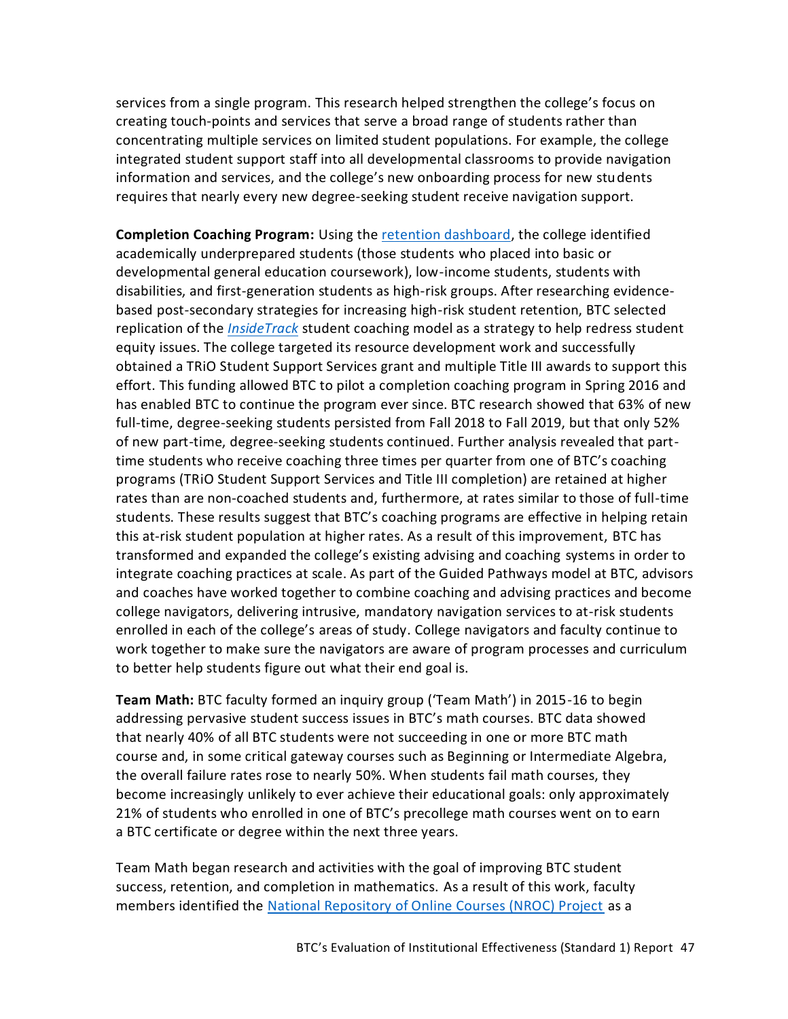services from a single program. This research helped strengthen the college's focus on creating touch-points and services that serve a broad range of students rather than concentrating multiple services on limited student populations. For example, the college integrated student support staff into all developmental classrooms to provide navigation information and services, and the college's new onboarding process for new students requires that nearly every new degree-seeking student receive navigation support.

**Completion Coaching Program:** Using the [retention dashboard,](https://tableau.sbctc.edu/t/Bellingham/views/Progressionandretention/Studentprogression?iframeSizedToWindow=true&:embed=y&:showAppBanner=false&:display_count=no&:showVizHome=no&:origin=viz_share_link) the college identified academically underprepared students (those students who placed into basic or developmental general education coursework), low-income students, students with disabilities, and first-generation students as high-risk groups. After researching evidencebased post-secondary strategies for increasing high-risk student retention, BTC selected replication of the *[InsideTrack](https://www.insidetrack.org/)* student coaching model as a strategy to help redress student equity issues. The college targeted its resource development work and successfully obtained a TRiO Student Support Services grant and multiple Title III awards to support this effort. This funding allowed BTC to pilot a completion coaching program in Spring 2016 and has enabled BTC to continue the program ever since. BTC research showed that 63% of new full-time, degree-seeking students persisted from Fall 2018 to Fall 2019, but that only 52% of new part-time, degree-seeking students continued. Further analysis revealed that parttime students who receive coaching three times per quarter from one of BTC's coaching programs (TRiO Student Support Services and Title III completion) are retained at higher rates than are non-coached students and, furthermore, at rates similar to those of full-time students. These results suggest that BTC's coaching programs are effective in helping retain this at-risk student population at higher rates. As a result of this improvement, BTC has transformed and expanded the college's existing advising and coaching systems in order to integrate coaching practices at scale. As part of the Guided Pathways model at BTC, advisors and coaches have worked together to combine coaching and advising practices and become college navigators, delivering intrusive, mandatory navigation services to at-risk students enrolled in each of the college's areas of study. College navigators and faculty continue to work together to make sure the navigators are aware of program processes and curriculum to better help students figure out what their end goal is.

**Team Math:** BTC faculty formed an inquiry group ('Team Math') in 2015-16 to begin addressing pervasive student success issues in BTC's math courses. BTC data showed that nearly 40% of all BTC students were not succeeding in one or more BTC math course and, in some critical gateway courses such as Beginning or Intermediate Algebra, the overall failure rates rose to nearly 50%. When students fail math courses, they become increasingly unlikely to ever achieve their educational goals: only approximately 21% of students who enrolled in one of BTC's precollege math courses went on to earn a BTC certificate or degree within the next three years.

Team Math began research and activities with the goal of improving BTC student success, retention, and completion in mathematics. As a result of this work, faculty members identified the [National Repository of Online Courses \(NROC\) Project](https://www.nroc.org/) as a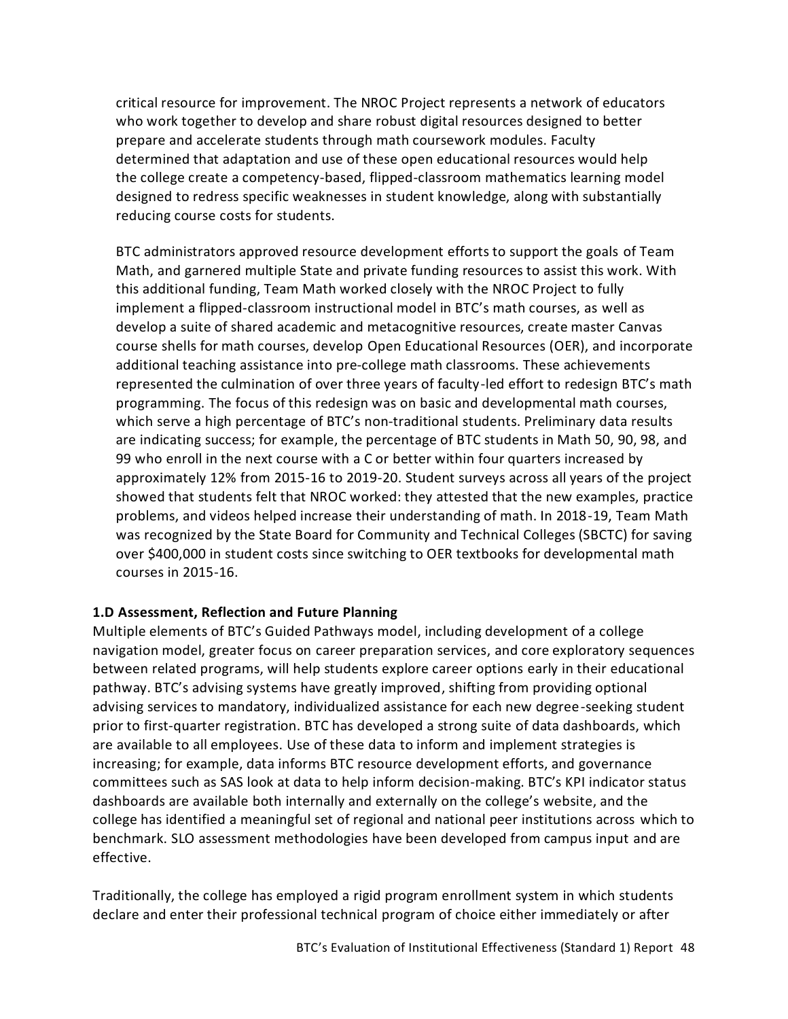critical resource for improvement. The NROC Project represents a network of educators who work together to develop and share robust digital resources designed to better prepare and accelerate students through math coursework modules. Faculty determined that adaptation and use of these open educational resources would help the college create a competency-based, flipped-classroom mathematics learning model designed to redress specific weaknesses in student knowledge, along with substantially reducing course costs for students.

BTC administrators approved resource development efforts to support the goals of Team Math, and garnered multiple State and private funding resources to assist this work. With this additional funding, Team Math worked closely with the NROC Project to fully implement a flipped-classroom instructional model in BTC's math courses, as well as develop a suite of shared academic and metacognitive resources, create master Canvas course shells for math courses, develop Open Educational Resources (OER), and incorporate additional teaching assistance into pre-college math classrooms. These achievements represented the culmination of over three years of faculty-led effort to redesign BTC's math programming. The focus of this redesign was on basic and developmental math courses, which serve a high percentage of BTC's non-traditional students. Preliminary data results are indicating success; for example, the percentage of BTC students in Math 50, 90, 98, and 99 who enroll in the next course with a C or better within four quarters increased by approximately 12% from 2015-16 to 2019-20. Student surveys across all years of the project showed that students felt that NROC worked: they attested that the new examples, practice problems, and videos helped increase their understanding of math. In 2018-19, Team Math was recognized by the State Board for Community and Technical Colleges (SBCTC) for saving over \$400,000 in student costs since switching to OER textbooks for developmental math courses in 2015-16.

#### <span id="page-49-0"></span>**1.D Assessment, Reflection and Future Planning**

Multiple elements of BTC's Guided Pathways model, including development of a college navigation model, greater focus on career preparation services, and core exploratory sequences between related programs, will help students explore career options early in their educational pathway. BTC's advising systems have greatly improved, shifting from providing optional advising services to mandatory, individualized assistance for each new degree-seeking student prior to first-quarter registration. BTC has developed a strong suite of data dashboards, which are available to all employees. Use of these data to inform and implement strategies is increasing; for example, data informs BTC resource development efforts, and governance committees such as SAS look at data to help inform decision-making. BTC's KPI indicator status dashboards are available both internally and externally on the college's website, and the college has identified a meaningful set of regional and national peer institutions across which to benchmark. SLO assessment methodologies have been developed from campus input and are effective.

Traditionally, the college has employed a rigid program enrollment system in which students declare and enter their professional technical program of choice either immediately or after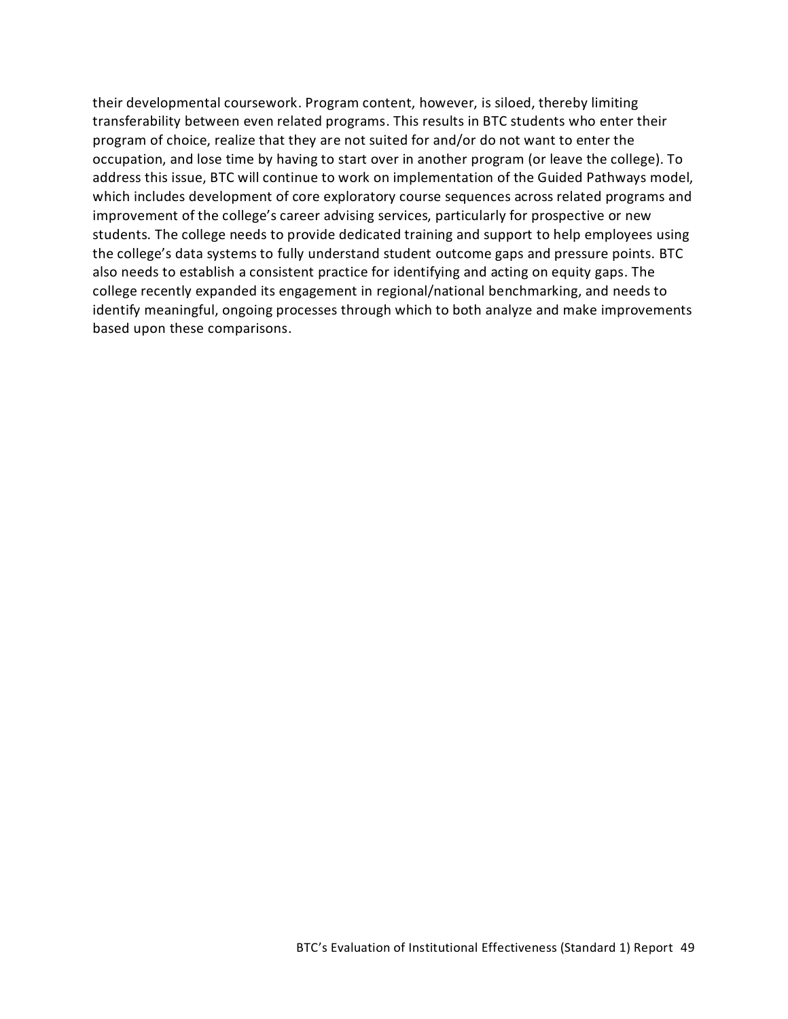their developmental coursework. Program content, however, is siloed, thereby limiting transferability between even related programs. This results in BTC students who enter their program of choice, realize that they are not suited for and/or do not want to enter the occupation, and lose time by having to start over in another program (or leave the college). To address this issue, BTC will continue to work on implementation of the Guided Pathways model, which includes development of core exploratory course sequences across related programs and improvement of the college's career advising services, particularly for prospective or new students. The college needs to provide dedicated training and support to help employees using the college's data systems to fully understand student outcome gaps and pressure points. BTC also needs to establish a consistent practice for identifying and acting on equity gaps. The college recently expanded its engagement in regional/national benchmarking, and needs to identify meaningful, ongoing processes through which to both analyze and make improvements based upon these comparisons.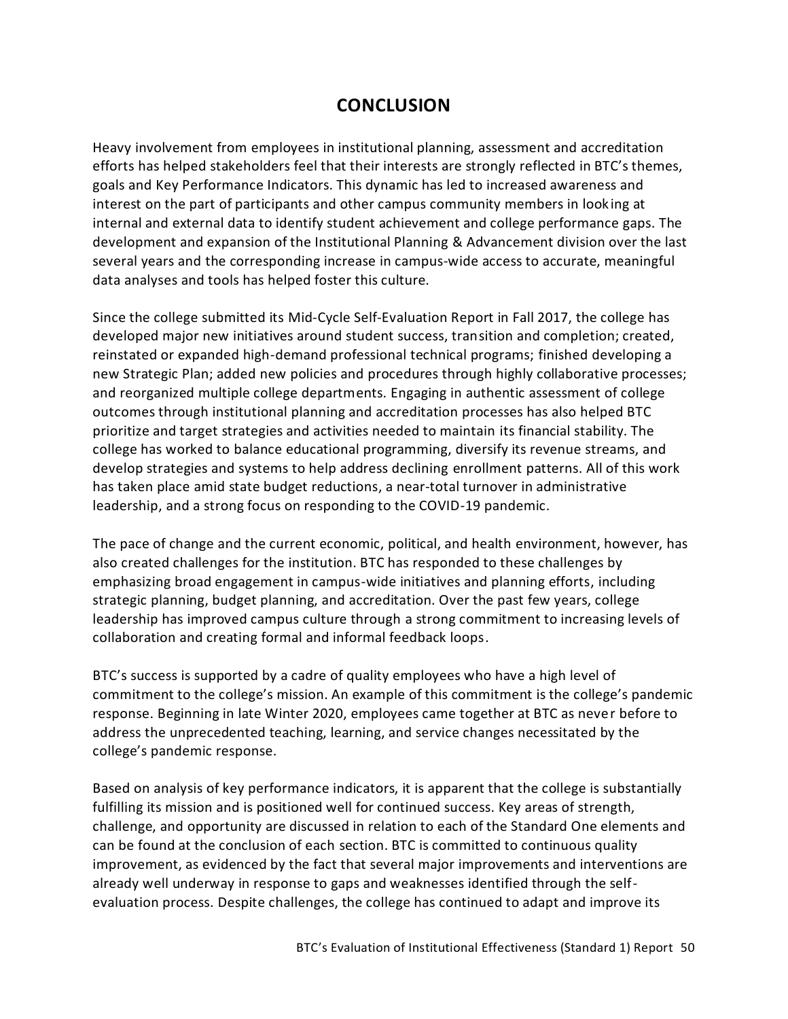# **CONCLUSION**

<span id="page-51-0"></span>Heavy involvement from employees in institutional planning, assessment and accreditation efforts has helped stakeholders feel that their interests are strongly reflected in BTC's themes, goals and Key Performance Indicators. This dynamic has led to increased awareness and interest on the part of participants and other campus community members in look ing at internal and external data to identify student achievement and college performance gaps. The development and expansion of the Institutional Planning & Advancement division over the last several years and the corresponding increase in campus-wide access to accurate, meaningful data analyses and tools has helped foster this culture.

Since the college submitted its Mid-Cycle Self-Evaluation Report in Fall 2017, the college has developed major new initiatives around student success, transition and completion; created, reinstated or expanded high-demand professional technical programs; finished developing a new Strategic Plan; added new policies and procedures through highly collaborative processes; and reorganized multiple college departments. Engaging in authentic assessment of college outcomes through institutional planning and accreditation processes has also helped BTC prioritize and target strategies and activities needed to maintain its financial stability. The college has worked to balance educational programming, diversify its revenue streams, and develop strategies and systems to help address declining [enrollment](https://sharepoint2013.btc.ctc.edu/sites/accreditation/Shared%20Documents/Institutional-Research-and-Planning/Other%20Data/Historical%20Enrollment.pdf) patterns. All of this work has taken place amid state budget reductions, a near-total turnover in administrative leadership, and a strong focus on responding to the COVID-19 pandemic.

The pace of change and the current economic, political, and health environment, however, has also created challenges for the institution. BTC has responded to these challenges by emphasizing broad engagement in campus-wide initiatives and planning efforts, including strategic planning, budget planning, and accreditation. Over the past few years, college leadership has improved campus culture through a strong commitment to increasing levels of collaboration and creating formal and informal feedback loops.

BTC's success is supported by a cadre of quality employees who have a high level of commitment to the college's mission. An example of this commitment is the college's pandemic response. Beginning in late Winter 2020, employees came together at BTC as never before to address the unprecedented teaching, learning, and service changes necessitated by the college's pandemic response.

Based on analysis of key performance indicators, it is apparent that the college is substantially fulfilling its mission and is positioned well for continued success. Key areas of strength, challenge, and opportunity are discussed in relation to each of the Standard One elements and can be found at the conclusion of each section. BTC is committed to continuous quality improvement, as evidenced by the fact that several major improvements and interventions are already well underway in response to gaps and weaknesses identified through the selfevaluation process. Despite challenges, the college has continued to adapt and improve its